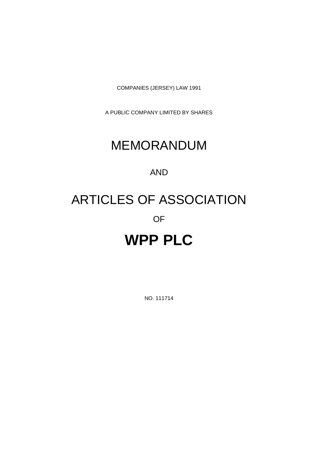COMPANIES (JERSEY) LAW 1991

A PUBLIC COMPANY LIMITED BY SHARES

# MEMORANDUM

# AND

# ARTICLES OF ASSOCIATION

# OF

# **WPP PLC**

NO. 111714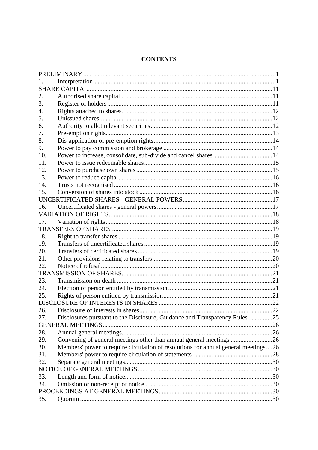# **CONTENTS**

| 2.  |                                                                                    |  |  |  |  |  |
|-----|------------------------------------------------------------------------------------|--|--|--|--|--|
| 3.  |                                                                                    |  |  |  |  |  |
| 4.  |                                                                                    |  |  |  |  |  |
| 5.  |                                                                                    |  |  |  |  |  |
| 6.  |                                                                                    |  |  |  |  |  |
| 7.  |                                                                                    |  |  |  |  |  |
| 8.  |                                                                                    |  |  |  |  |  |
| 9.  |                                                                                    |  |  |  |  |  |
| 10. |                                                                                    |  |  |  |  |  |
| 11. |                                                                                    |  |  |  |  |  |
| 12. |                                                                                    |  |  |  |  |  |
| 13. |                                                                                    |  |  |  |  |  |
| 14. |                                                                                    |  |  |  |  |  |
| 15. |                                                                                    |  |  |  |  |  |
|     |                                                                                    |  |  |  |  |  |
| 16. |                                                                                    |  |  |  |  |  |
|     |                                                                                    |  |  |  |  |  |
| 17. |                                                                                    |  |  |  |  |  |
|     |                                                                                    |  |  |  |  |  |
| 18. |                                                                                    |  |  |  |  |  |
| 19. |                                                                                    |  |  |  |  |  |
| 20. |                                                                                    |  |  |  |  |  |
| 21. |                                                                                    |  |  |  |  |  |
| 22. |                                                                                    |  |  |  |  |  |
|     |                                                                                    |  |  |  |  |  |
| 23. |                                                                                    |  |  |  |  |  |
| 24. |                                                                                    |  |  |  |  |  |
| 25. |                                                                                    |  |  |  |  |  |
|     |                                                                                    |  |  |  |  |  |
| 26. |                                                                                    |  |  |  |  |  |
| 27. | Disclosures pursuant to the Disclosure, Guidance and Transparency Rules25          |  |  |  |  |  |
|     |                                                                                    |  |  |  |  |  |
| 28. |                                                                                    |  |  |  |  |  |
| 29. | Convening of general meetings other than annual general meetings 26                |  |  |  |  |  |
| 30. | Members' power to require circulation of resolutions for annual general meetings26 |  |  |  |  |  |
| 31. |                                                                                    |  |  |  |  |  |
| 32. |                                                                                    |  |  |  |  |  |
|     |                                                                                    |  |  |  |  |  |
| 33. |                                                                                    |  |  |  |  |  |
| 34. |                                                                                    |  |  |  |  |  |
|     |                                                                                    |  |  |  |  |  |
| 35. |                                                                                    |  |  |  |  |  |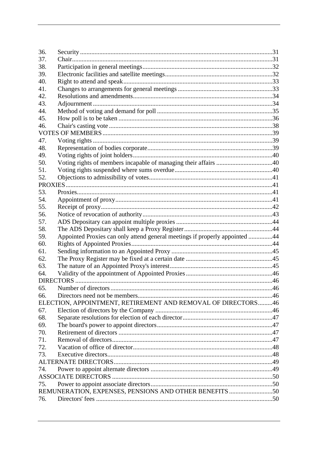| 36. |                                                                             |  |
|-----|-----------------------------------------------------------------------------|--|
| 37. |                                                                             |  |
| 38. |                                                                             |  |
| 39. |                                                                             |  |
| 40. |                                                                             |  |
| 41. |                                                                             |  |
| 42. |                                                                             |  |
| 43. |                                                                             |  |
| 44. |                                                                             |  |
| 45. |                                                                             |  |
| 46. |                                                                             |  |
|     |                                                                             |  |
| 47. |                                                                             |  |
| 48. |                                                                             |  |
| 49. |                                                                             |  |
| 50. |                                                                             |  |
| 51. |                                                                             |  |
| 52. |                                                                             |  |
|     |                                                                             |  |
| 53. |                                                                             |  |
| 54. |                                                                             |  |
| 55. |                                                                             |  |
| 56. |                                                                             |  |
| 57. |                                                                             |  |
| 58. |                                                                             |  |
| 59. | Appointed Proxies can only attend general meetings if properly appointed 44 |  |
| 60. |                                                                             |  |
| 61. |                                                                             |  |
| 62. |                                                                             |  |
| 63. |                                                                             |  |
| 64. |                                                                             |  |
|     |                                                                             |  |
| 65. |                                                                             |  |
| 66. |                                                                             |  |
|     | ELECTION, APPOINTMENT, RETIREMENT AND REMOVAL OF DIRECTORS 46               |  |
| 67. |                                                                             |  |
| 68. |                                                                             |  |
| 69. |                                                                             |  |
| 70. |                                                                             |  |
| 71. |                                                                             |  |
| 72. |                                                                             |  |
| 73. |                                                                             |  |
|     |                                                                             |  |
| 74. |                                                                             |  |
|     |                                                                             |  |
| 75. |                                                                             |  |
|     | REMUNERATION, EXPENSES, PENSIONS AND OTHER BENEFITS 50                      |  |
| 76. |                                                                             |  |
|     |                                                                             |  |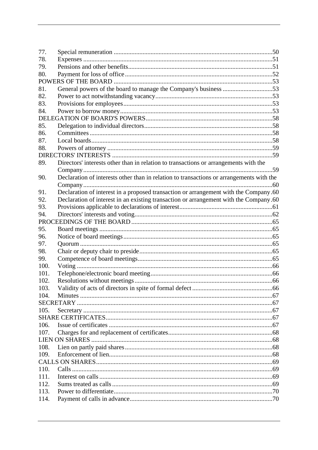| 77.  |                                                                                          |  |
|------|------------------------------------------------------------------------------------------|--|
| 78.  |                                                                                          |  |
| 79.  |                                                                                          |  |
| 80.  |                                                                                          |  |
|      |                                                                                          |  |
| 81.  | General powers of the board to manage the Company's business 53                          |  |
| 82.  |                                                                                          |  |
| 83.  |                                                                                          |  |
| 84.  |                                                                                          |  |
|      |                                                                                          |  |
| 85.  |                                                                                          |  |
| 86.  |                                                                                          |  |
| 87.  |                                                                                          |  |
| 88.  |                                                                                          |  |
|      |                                                                                          |  |
| 89.  | Directors' interests other than in relation to transactions or arrangements with the     |  |
|      |                                                                                          |  |
| 90.  | Declaration of interests other than in relation to transactions or arrangements with the |  |
|      |                                                                                          |  |
| 91.  | Declaration of interest in a proposed transaction or arrangement with the Company.60     |  |
| 92.  | Declaration of interest in an existing transaction or arrangement with the Company.60    |  |
| 93.  |                                                                                          |  |
| 94.  |                                                                                          |  |
|      |                                                                                          |  |
| 95.  |                                                                                          |  |
| 96.  |                                                                                          |  |
| 97.  |                                                                                          |  |
| 98.  |                                                                                          |  |
| 99.  |                                                                                          |  |
| 100. |                                                                                          |  |
| 101. |                                                                                          |  |
| 102. |                                                                                          |  |
| 103. |                                                                                          |  |
| 104. |                                                                                          |  |
|      |                                                                                          |  |
| 105. |                                                                                          |  |
|      |                                                                                          |  |
| 106. |                                                                                          |  |
| 107. |                                                                                          |  |
|      |                                                                                          |  |
| 108. |                                                                                          |  |
| 109. |                                                                                          |  |
|      |                                                                                          |  |
| 110. |                                                                                          |  |
| 111. |                                                                                          |  |
| 112. |                                                                                          |  |
| 113. |                                                                                          |  |
| 114. |                                                                                          |  |
|      |                                                                                          |  |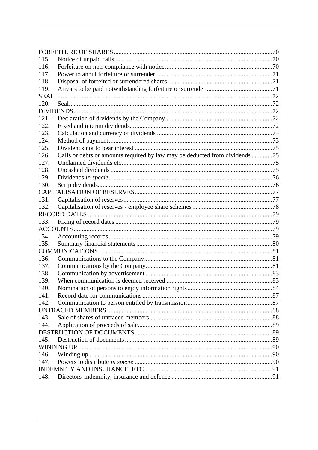| 115.        |                                                                             |  |
|-------------|-----------------------------------------------------------------------------|--|
| 116.        |                                                                             |  |
| 117.        |                                                                             |  |
| 118.        |                                                                             |  |
| 119.        |                                                                             |  |
| <b>SEAL</b> |                                                                             |  |
| 120.        |                                                                             |  |
|             |                                                                             |  |
| 121.        |                                                                             |  |
| 122.        |                                                                             |  |
| 123.        |                                                                             |  |
| 124.        |                                                                             |  |
| 125.        |                                                                             |  |
| 126.        | Calls or debts or amounts required by law may be deducted from dividends 75 |  |
| 127.        |                                                                             |  |
| 128.        |                                                                             |  |
| 129.        |                                                                             |  |
| 130.        |                                                                             |  |
|             |                                                                             |  |
| 131.        |                                                                             |  |
| 132.        |                                                                             |  |
|             |                                                                             |  |
| 133.        |                                                                             |  |
|             |                                                                             |  |
| 134.        |                                                                             |  |
| 135.        |                                                                             |  |
|             |                                                                             |  |
| 136.        |                                                                             |  |
| 137.        |                                                                             |  |
| 138.        |                                                                             |  |
| 139.        |                                                                             |  |
| 140.        |                                                                             |  |
| 141.        |                                                                             |  |
| 142.        |                                                                             |  |
|             |                                                                             |  |
| 143.        |                                                                             |  |
| 144.        |                                                                             |  |
|             |                                                                             |  |
| 145.        |                                                                             |  |
|             |                                                                             |  |
| 146.        |                                                                             |  |
| 147.        |                                                                             |  |
|             |                                                                             |  |
| 148.        |                                                                             |  |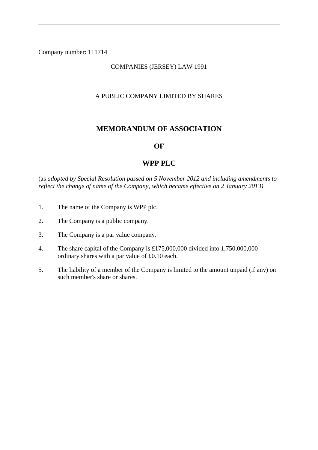#### Company number: 111714

## COMPANIES (JERSEY) LAW 1991

#### A PUBLIC COMPANY LIMITED BY SHARES

# **MEMORANDUM OF ASSOCIATION**

#### **OF**

# **WPP PLC**

(as *adopted by Special Resolution passed on 5 November 2012 and including amendments to reflect the change of name of the Company, which became effective on 2 January 2013)*

- 1. The name of the Company is WPP plc.
- 2. The Company is a public company.
- 3. The Company is a par value company.
- 4. The share capital of the Company is £175,000,000 divided into 1,750,000,000 ordinary shares with a par value of £0.10 each.
- 5. The liability of a member of the Company is limited to the amount unpaid (if any) on such member's share or shares.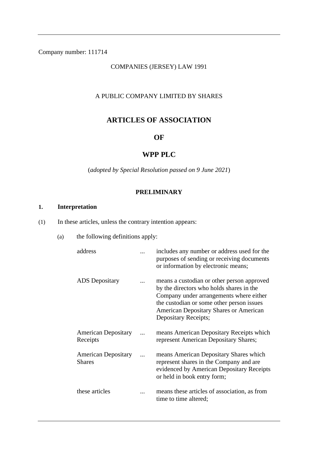# Company number: 111714

## COMPANIES (JERSEY) LAW 1991

#### A PUBLIC COMPANY LIMITED BY SHARES

# **ARTICLES OF ASSOCIATION**

#### **OF**

# **WPP PLC**

(*adopted by Special Resolution passed on 9 June 2021*)

### **PRELIMINARY**

# **1. Interpretation**

(1) In these articles, unless the contrary intention appears:

(a) the following definitions apply:

| address                                     | includes any number or address used for the<br>purposes of sending or receiving documents<br>or information by electronic means;                                                                                                                 |
|---------------------------------------------|--------------------------------------------------------------------------------------------------------------------------------------------------------------------------------------------------------------------------------------------------|
| <b>ADS</b> Depositary                       | means a custodian or other person approved<br>by the directors who holds shares in the<br>Company under arrangements where either<br>the custodian or some other person issues<br>American Depositary Shares or American<br>Depositary Receipts; |
| <b>American Depositary</b><br>Receipts      | means American Depositary Receipts which<br>represent American Depositary Shares;                                                                                                                                                                |
| <b>American Depositary</b><br><b>Shares</b> | means American Depositary Shares which<br>represent shares in the Company and are<br>evidenced by American Depositary Receipts<br>or held in book entry form;                                                                                    |
| these articles                              | means these articles of association, as from<br>time to time altered;                                                                                                                                                                            |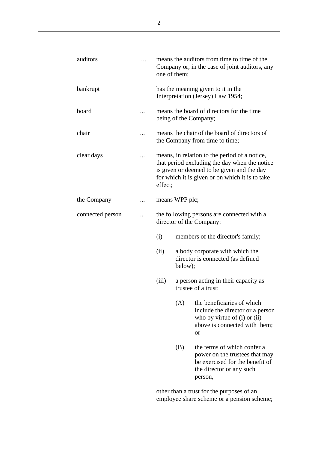| auditors         | one of them; |                | means the auditors from time to time of the<br>Company or, in the case of joint auditors, any                                                                                                   |
|------------------|--------------|----------------|-------------------------------------------------------------------------------------------------------------------------------------------------------------------------------------------------|
| bankrupt         |              |                | has the meaning given to it in the<br>Interpretation (Jersey) Law 1954;                                                                                                                         |
| board            |              |                | means the board of directors for the time<br>being of the Company;                                                                                                                              |
| chair            |              |                | means the chair of the board of directors of<br>the Company from time to time;                                                                                                                  |
| clear days       | effect;      |                | means, in relation to the period of a notice,<br>that period excluding the day when the notice<br>is given or deemed to be given and the day<br>for which it is given or on which it is to take |
| the Company      |              | means WPP plc; |                                                                                                                                                                                                 |
| connected person |              |                | the following persons are connected with a<br>director of the Company:                                                                                                                          |
|                  | (i)          |                | members of the director's family;                                                                                                                                                               |
|                  | (ii)         | below);        | a body corporate with which the<br>director is connected (as defined                                                                                                                            |
|                  | (iii)        |                | a person acting in their capacity as<br>trustee of a trust:                                                                                                                                     |
|                  |              | (A)            | the beneficiaries of which<br>include the director or a person<br>who by virtue of $(i)$ or $(ii)$<br>above is connected with them;<br><b>or</b>                                                |
|                  |              | (B)            | the terms of which confer a<br>power on the trustees that may<br>be exercised for the benefit of<br>the director or any such<br>person,                                                         |
|                  |              |                | other than a trust for the nurnoses of an                                                                                                                                                       |

other than a trust for the purposes of an employee share scheme or a pension scheme;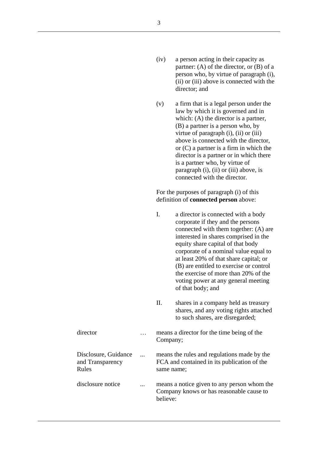- (iv) a person acting in their capacity as partner: (A) of the director, or (B) of a person who, by virtue of paragraph (i), (ii) or (iii) above is connected with the director; and
- (v) a firm that is a legal person under the law by which it is governed and in which: (A) the director is a partner, (B) a partner is a person who, by virtue of paragraph (i), (ii) or (iii) above is connected with the director, or (C) a partner is a firm in which the director is a partner or in which there is a partner who, by virtue of paragraph (i), (ii) or (iii) above, is connected with the director.

For the purposes of paragraph (i) of this definition of **connected person** above:

|                                                   | I.         | a director is connected with a body<br>corporate if they and the persons<br>connected with them together: (A) are<br>interested in shares comprised in the<br>equity share capital of that body<br>corporate of a nominal value equal to<br>at least 20% of that share capital; or<br>(B) are entitled to exercise or control<br>the exercise of more than 20% of the<br>voting power at any general meeting<br>of that body; and |
|---------------------------------------------------|------------|-----------------------------------------------------------------------------------------------------------------------------------------------------------------------------------------------------------------------------------------------------------------------------------------------------------------------------------------------------------------------------------------------------------------------------------|
|                                                   | Π.         | shares in a company held as treasury<br>shares, and any voting rights attached<br>to such shares, are disregarded;                                                                                                                                                                                                                                                                                                                |
| director                                          | Company;   | means a director for the time being of the                                                                                                                                                                                                                                                                                                                                                                                        |
| Disclosure, Guidance<br>and Transparency<br>Rules | same name; | means the rules and regulations made by the<br>FCA and contained in its publication of the                                                                                                                                                                                                                                                                                                                                        |
| disclosure notice                                 | believe:   | means a notice given to any person whom the<br>Company knows or has reasonable cause to                                                                                                                                                                                                                                                                                                                                           |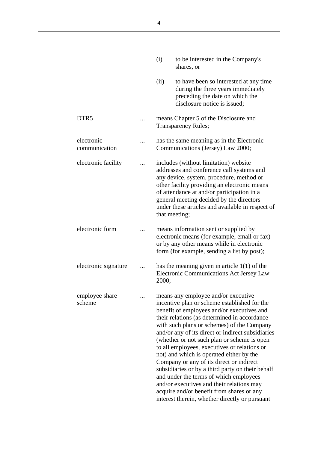|                             | (i)   | to be interested in the Company's<br>shares, or                                                                                                                                                                                                                                                                                                                                                                                                                                                                                                                                                                                                                                                                       |
|-----------------------------|-------|-----------------------------------------------------------------------------------------------------------------------------------------------------------------------------------------------------------------------------------------------------------------------------------------------------------------------------------------------------------------------------------------------------------------------------------------------------------------------------------------------------------------------------------------------------------------------------------------------------------------------------------------------------------------------------------------------------------------------|
|                             | (ii)  | to have been so interested at any time<br>during the three years immediately<br>preceding the date on which the<br>disclosure notice is issued:                                                                                                                                                                                                                                                                                                                                                                                                                                                                                                                                                                       |
| DTR <sub>5</sub>            |       | means Chapter 5 of the Disclosure and<br><b>Transparency Rules;</b>                                                                                                                                                                                                                                                                                                                                                                                                                                                                                                                                                                                                                                                   |
| electronic<br>communication |       | has the same meaning as in the Electronic<br>Communications (Jersey) Law 2000;                                                                                                                                                                                                                                                                                                                                                                                                                                                                                                                                                                                                                                        |
| electronic facility         |       | includes (without limitation) website<br>addresses and conference call systems and<br>any device, system, procedure, method or<br>other facility providing an electronic means<br>of attendance at and/or participation in a<br>general meeting decided by the directors<br>under these articles and available in respect of<br>that meeting;                                                                                                                                                                                                                                                                                                                                                                         |
| electronic form             |       | means information sent or supplied by<br>electronic means (for example, email or fax)<br>or by any other means while in electronic<br>form (for example, sending a list by post);                                                                                                                                                                                                                                                                                                                                                                                                                                                                                                                                     |
| electronic signature        | 2000; | has the meaning given in article $1(1)$ of the<br><b>Electronic Communications Act Jersey Law</b>                                                                                                                                                                                                                                                                                                                                                                                                                                                                                                                                                                                                                     |
| employee share<br>scheme    |       | means any employee and/or executive<br>incentive plan or scheme established for the<br>benefit of employees and/or executives and<br>their relations (as determined in accordance<br>with such plans or schemes) of the Company<br>and/or any of its direct or indirect subsidiaries<br>(whether or not such plan or scheme is open<br>to all employees, executives or relations or<br>not) and which is operated either by the<br>Company or any of its direct or indirect<br>subsidiaries or by a third party on their behalf<br>and under the terms of which employees<br>and/or executives and their relations may<br>acquire and/or benefit from shares or any<br>interest therein, whether directly or pursuant |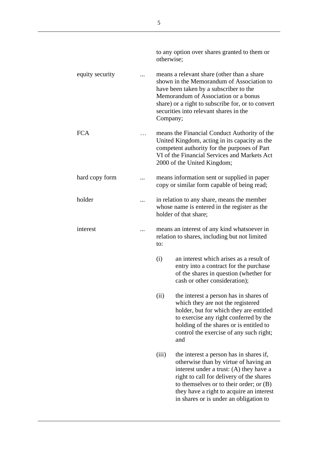|                 | to any option over shares granted to them or<br>otherwise;                                                                                                                                                                                                                                                          |
|-----------------|---------------------------------------------------------------------------------------------------------------------------------------------------------------------------------------------------------------------------------------------------------------------------------------------------------------------|
| equity security | means a relevant share (other than a share<br>shown in the Memorandum of Association to<br>have been taken by a subscriber to the<br>Memorandum of Association or a bonus<br>share) or a right to subscribe for, or to convert<br>securities into relevant shares in the<br>Company;                                |
| <b>FCA</b>      | means the Financial Conduct Authority of the<br>United Kingdom, acting in its capacity as the<br>competent authority for the purposes of Part<br>VI of the Financial Services and Markets Act<br>2000 of the United Kingdom;                                                                                        |
| hard copy form  | means information sent or supplied in paper<br>copy or similar form capable of being read;                                                                                                                                                                                                                          |
| holder          | in relation to any share, means the member<br>whose name is entered in the register as the<br>holder of that share;                                                                                                                                                                                                 |
| interest        | means an interest of any kind whatsoever in<br>relation to shares, including but not limited<br>to:                                                                                                                                                                                                                 |
|                 | (i)<br>an interest which arises as a result of<br>entry into a contract for the purchase<br>of the shares in question (whether for<br>cash or other consideration);                                                                                                                                                 |
|                 | (ii)<br>the interest a person has in shares of<br>which they are not the registered<br>holder, but for which they are entitled<br>to exercise any right conferred by the<br>holding of the shares or is entitled to<br>control the exercise of any such right;<br>and                                               |
|                 | (iii)<br>the interest a person has in shares if,<br>otherwise than by virtue of having an<br>interest under a trust: (A) they have a<br>right to call for delivery of the shares<br>to themselves or to their order; or $(B)$<br>they have a right to acquire an interest<br>in shares or is under an obligation to |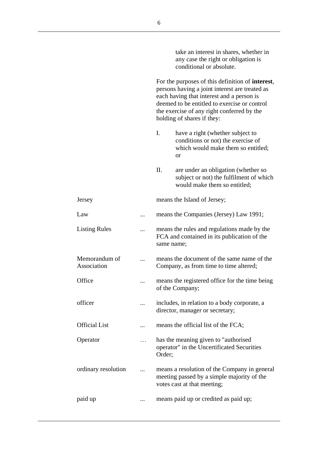|                              |   | take an interest in shares, whether in<br>any case the right or obligation is<br>conditional or absolute.                                                                                                                                                                           |
|------------------------------|---|-------------------------------------------------------------------------------------------------------------------------------------------------------------------------------------------------------------------------------------------------------------------------------------|
|                              |   | For the purposes of this definition of <b>interest</b> ,<br>persons having a joint interest are treated as<br>each having that interest and a person is<br>deemed to be entitled to exercise or control<br>the exercise of any right conferred by the<br>holding of shares if they: |
|                              |   | I.<br>have a right (whether subject to<br>conditions or not) the exercise of<br>which would make them so entitled;<br>or                                                                                                                                                            |
|                              |   | Π.<br>are under an obligation (whether so<br>subject or not) the fulfilment of which<br>would make them so entitled;                                                                                                                                                                |
| Jersey                       |   | means the Island of Jersey;                                                                                                                                                                                                                                                         |
| Law                          | . | means the Companies (Jersey) Law 1991;                                                                                                                                                                                                                                              |
| <b>Listing Rules</b>         |   | means the rules and regulations made by the<br>FCA and contained in its publication of the<br>same name;                                                                                                                                                                            |
| Memorandum of<br>Association |   | means the document of the same name of the<br>Company, as from time to time altered;                                                                                                                                                                                                |
| Office                       |   | means the registered office for the time being<br>of the Company;                                                                                                                                                                                                                   |
| officer                      |   | includes, in relation to a body corporate, a<br>director, manager or secretary;                                                                                                                                                                                                     |
| <b>Official List</b>         |   | means the official list of the FCA;                                                                                                                                                                                                                                                 |
| Operator                     |   | has the meaning given to "authorised<br>operator" in the Uncertificated Securities<br>Order;                                                                                                                                                                                        |
| ordinary resolution          |   | means a resolution of the Company in general<br>meeting passed by a simple majority of the<br>votes cast at that meeting;                                                                                                                                                           |
| paid up                      |   | means paid up or credited as paid up;                                                                                                                                                                                                                                               |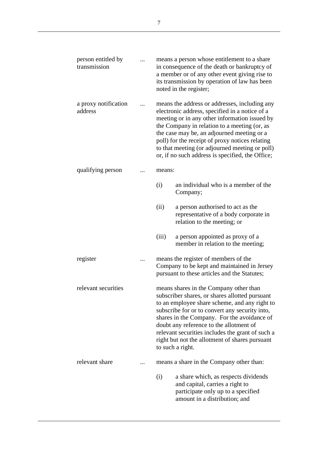| person entitled by<br>transmission |        | means a person whose entitlement to a share<br>in consequence of the death or bankruptcy of<br>a member or of any other event giving rise to<br>its transmission by operation of law has been<br>noted in the register;                                                                                                                                                                                         |
|------------------------------------|--------|-----------------------------------------------------------------------------------------------------------------------------------------------------------------------------------------------------------------------------------------------------------------------------------------------------------------------------------------------------------------------------------------------------------------|
| a proxy notification<br>address    |        | means the address or addresses, including any<br>electronic address, specified in a notice of a<br>meeting or in any other information issued by<br>the Company in relation to a meeting (or, as<br>the case may be, an adjourned meeting or a<br>poll) for the receipt of proxy notices relating<br>to that meeting (or adjourned meeting or poll)<br>or, if no such address is specified, the Office;         |
| qualifying person                  | means: |                                                                                                                                                                                                                                                                                                                                                                                                                 |
|                                    | (i)    | an individual who is a member of the<br>Company;                                                                                                                                                                                                                                                                                                                                                                |
|                                    | (ii)   | a person authorised to act as the<br>representative of a body corporate in<br>relation to the meeting; or                                                                                                                                                                                                                                                                                                       |
|                                    | (iii)  | a person appointed as proxy of a<br>member in relation to the meeting;                                                                                                                                                                                                                                                                                                                                          |
| register                           |        | means the register of members of the<br>Company to be kept and maintained in Jersey<br>pursuant to these articles and the Statutes;                                                                                                                                                                                                                                                                             |
| relevant securities                |        | means shares in the Company other than<br>subscriber shares, or shares allotted pursuant<br>to an employee share scheme, and any right to<br>subscribe for or to convert any security into,<br>shares in the Company. For the avoidance of<br>doubt any reference to the allotment of<br>relevant securities includes the grant of such a<br>right but not the allotment of shares pursuant<br>to such a right. |
| relevant share                     |        | means a share in the Company other than:                                                                                                                                                                                                                                                                                                                                                                        |
|                                    | (i)    | a share which, as respects dividends<br>and capital, carries a right to<br>participate only up to a specified<br>amount in a distribution; and                                                                                                                                                                                                                                                                  |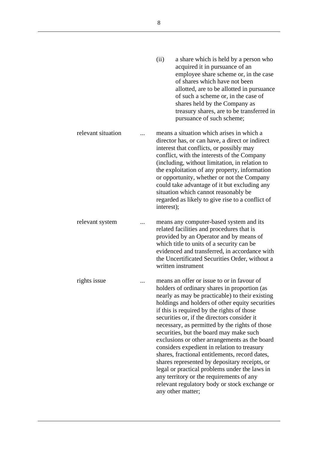|                    | (ii)<br>a share which is held by a person who<br>acquired it in pursuance of an<br>employee share scheme or, in the case<br>of shares which have not been<br>allotted, are to be allotted in pursuance<br>of such a scheme or, in the case of<br>shares held by the Company as<br>treasury shares, are to be transferred in<br>pursuance of such scheme;                                                                                                                                                                                                                                                                                                                                                                                                         |
|--------------------|------------------------------------------------------------------------------------------------------------------------------------------------------------------------------------------------------------------------------------------------------------------------------------------------------------------------------------------------------------------------------------------------------------------------------------------------------------------------------------------------------------------------------------------------------------------------------------------------------------------------------------------------------------------------------------------------------------------------------------------------------------------|
| relevant situation | means a situation which arises in which a<br>director has, or can have, a direct or indirect<br>interest that conflicts, or possibly may<br>conflict, with the interests of the Company<br>(including, without limitation, in relation to<br>the exploitation of any property, information<br>or opportunity, whether or not the Company<br>could take advantage of it but excluding any<br>situation which cannot reasonably be<br>regarded as likely to give rise to a conflict of<br>interest);                                                                                                                                                                                                                                                               |
| relevant system    | means any computer-based system and its<br>related facilities and procedures that is<br>provided by an Operator and by means of<br>which title to units of a security can be<br>evidenced and transferred, in accordance with<br>the Uncertificated Securities Order, without a<br>written instrument                                                                                                                                                                                                                                                                                                                                                                                                                                                            |
| rights issue       | means an offer or issue to or in favour of<br>holders of ordinary shares in proportion (as<br>nearly as may be practicable) to their existing<br>holdings and holders of other equity securities<br>if this is required by the rights of those<br>securities or, if the directors consider it<br>necessary, as permitted by the rights of those<br>securities, but the board may make such<br>exclusions or other arrangements as the board<br>considers expedient in relation to treasury<br>shares, fractional entitlements, record dates,<br>shares represented by depositary receipts, or<br>legal or practical problems under the laws in<br>any territory or the requirements of any<br>relevant regulatory body or stock exchange or<br>any other matter; |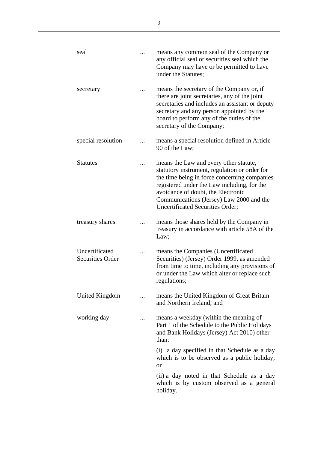| seal                                      |   | means any common seal of the Company or<br>any official seal or securities seal which the<br>Company may have or be permitted to have<br>under the Statutes;                                                                                                                                                        |
|-------------------------------------------|---|---------------------------------------------------------------------------------------------------------------------------------------------------------------------------------------------------------------------------------------------------------------------------------------------------------------------|
| secretary                                 |   | means the secretary of the Company or, if<br>there are joint secretaries, any of the joint<br>secretaries and includes an assistant or deputy<br>secretary and any person appointed by the<br>board to perform any of the duties of the<br>secretary of the Company;                                                |
| special resolution                        |   | means a special resolution defined in Article<br>90 of the Law;                                                                                                                                                                                                                                                     |
| <b>Statutes</b>                           |   | means the Law and every other statute,<br>statutory instrument, regulation or order for<br>the time being in force concerning companies<br>registered under the Law including, for the<br>avoidance of doubt, the Electronic<br>Communications (Jersey) Law 2000 and the<br><b>Uncertificated Securities Order;</b> |
| treasury shares                           |   | means those shares held by the Company in<br>treasury in accordance with article 58A of the<br>Law;                                                                                                                                                                                                                 |
| Uncertificated<br><b>Securities Order</b> |   | means the Companies (Uncertificated<br>Securities) (Jersey) Order 1999, as amended<br>from time to time, including any provisions of<br>or under the Law which alter or replace such<br>regulations;                                                                                                                |
| United Kingdom                            |   | means the United Kingdom of Great Britain<br>and Northern Ireland; and                                                                                                                                                                                                                                              |
| working day                               | . | means a weekday (within the meaning of<br>Part 1 of the Schedule to the Public Holidays<br>and Bank Holidays (Jersey) Act 2010) other<br>than:                                                                                                                                                                      |
|                                           |   | (i) a day specified in that Schedule as a day<br>which is to be observed as a public holiday;<br><b>or</b>                                                                                                                                                                                                          |
|                                           |   | (ii) a day noted in that Schedule as a day<br>which is by custom observed as a general<br>holiday.                                                                                                                                                                                                                  |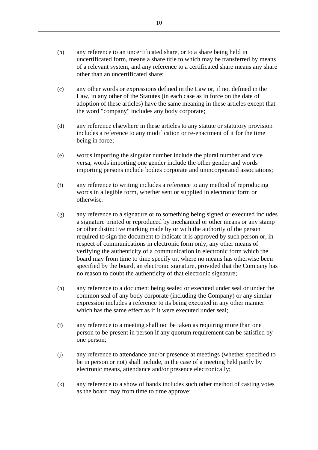- (b) any reference to an uncertificated share, or to a share being held in uncertificated form, means a share title to which may be transferred by means of a relevant system, and any reference to a certificated share means any share other than an uncertificated share;
- (c) any other words or expressions defined in the Law or, if not defined in the Law, in any other of the Statutes (in each case as in force on the date of adoption of these articles) have the same meaning in these articles except that the word "company" includes any body corporate;
- (d) any reference elsewhere in these articles to any statute or statutory provision includes a reference to any modification or re-enactment of it for the time being in force;
- (e) words importing the singular number include the plural number and vice versa, words importing one gender include the other gender and words importing persons include bodies corporate and unincorporated associations;
- (f) any reference to writing includes a reference to any method of reproducing words in a legible form, whether sent or supplied in electronic form or otherwise;
- (g) any reference to a signature or to something being signed or executed includes a signature printed or reproduced by mechanical or other means or any stamp or other distinctive marking made by or with the authority of the person required to sign the document to indicate it is approved by such person or, in respect of communications in electronic form only, any other means of verifying the authenticity of a communication in electronic form which the board may from time to time specify or, where no means has otherwise been specified by the board, an electronic signature, provided that the Company has no reason to doubt the authenticity of that electronic signature;
- (h) any reference to a document being sealed or executed under seal or under the common seal of any body corporate (including the Company) or any similar expression includes a reference to its being executed in any other manner which has the same effect as if it were executed under seal;
- (i) any reference to a meeting shall not be taken as requiring more than one person to be present in person if any quorum requirement can be satisfied by one person;
- (j) any reference to attendance and/or presence at meetings (whether specified to be in person or not) shall include, in the case of a meeting held partly by electronic means, attendance and/or presence electronically;
- (k) any reference to a show of hands includes such other method of casting votes as the board may from time to time approve;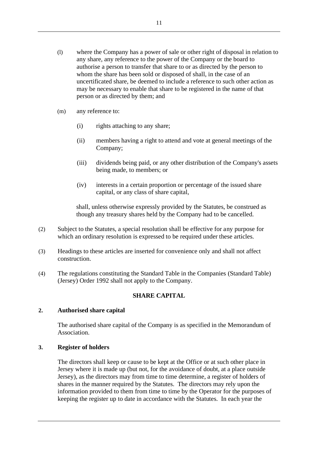- (l) where the Company has a power of sale or other right of disposal in relation to any share, any reference to the power of the Company or the board to authorise a person to transfer that share to or as directed by the person to whom the share has been sold or disposed of shall, in the case of an uncertificated share, be deemed to include a reference to such other action as may be necessary to enable that share to be registered in the name of that person or as directed by them; and
- (m) any reference to:
	- (i) rights attaching to any share;
	- (ii) members having a right to attend and vote at general meetings of the Company;
	- (iii) dividends being paid, or any other distribution of the Company's assets being made, to members; or
	- (iv) interests in a certain proportion or percentage of the issued share capital, or any class of share capital,

shall, unless otherwise expressly provided by the Statutes, be construed as though any treasury shares held by the Company had to be cancelled.

- (2) Subject to the Statutes, a special resolution shall be effective for any purpose for which an ordinary resolution is expressed to be required under these articles.
- (3) Headings to these articles are inserted for convenience only and shall not affect construction.
- (4) The regulations constituting the Standard Table in the Companies (Standard Table) (Jersey) Order 1992 shall not apply to the Company.

#### **SHARE CAPITAL**

#### **2. Authorised share capital**

The authorised share capital of the Company is as specified in the Memorandum of Association.

# **3. Register of holders**

The directors shall keep or cause to be kept at the Office or at such other place in Jersey where it is made up (but not, for the avoidance of doubt, at a place outside Jersey), as the directors may from time to time determine, a register of holders of shares in the manner required by the Statutes. The directors may rely upon the information provided to them from time to time by the Operator for the purposes of keeping the register up to date in accordance with the Statutes. In each year the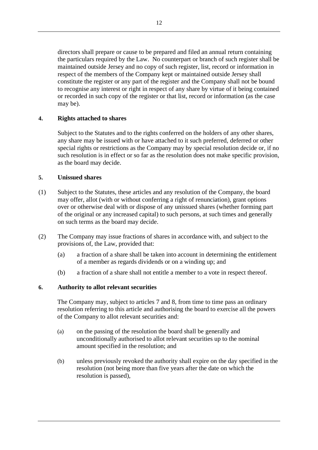directors shall prepare or cause to be prepared and filed an annual return containing the particulars required by the Law. No counterpart or branch of such register shall be maintained outside Jersey and no copy of such register, list, record or information in respect of the members of the Company kept or maintained outside Jersey shall constitute the register or any part of the register and the Company shall not be bound to recognise any interest or right in respect of any share by virtue of it being contained or recorded in such copy of the register or that list, record or information (as the case may be).

### **4. Rights attached to shares**

Subject to the Statutes and to the rights conferred on the holders of any other shares, any share may be issued with or have attached to it such preferred, deferred or other special rights or restrictions as the Company may by special resolution decide or, if no such resolution is in effect or so far as the resolution does not make specific provision, as the board may decide.

#### **5. Unissued shares**

- (1) Subject to the Statutes, these articles and any resolution of the Company, the board may offer, allot (with or without conferring a right of renunciation), grant options over or otherwise deal with or dispose of any unissued shares (whether forming part of the original or any increased capital) to such persons, at such times and generally on such terms as the board may decide.
- (2) The Company may issue fractions of shares in accordance with, and subject to the provisions of, the Law, provided that:
	- (a) a fraction of a share shall be taken into account in determining the entitlement of a member as regards dividends or on a winding up; and
	- (b) a fraction of a share shall not entitle a member to a vote in respect thereof.

#### <span id="page-17-0"></span>**6. Authority to allot relevant securities**

The Company may, subject to articles [7](#page-18-0) and [8,](#page-19-0) from time to time pass an ordinary resolution referring to this article and authorising the board to exercise all the powers of the Company to allot relevant securities and:

- (a) on the passing of the resolution the board shall be generally and unconditionally authorised to allot relevant securities up to the nominal amount specified in the resolution; and
- (b) unless previously revoked the authority shall expire on the day specified in the resolution (not being more than five years after the date on which the resolution is passed),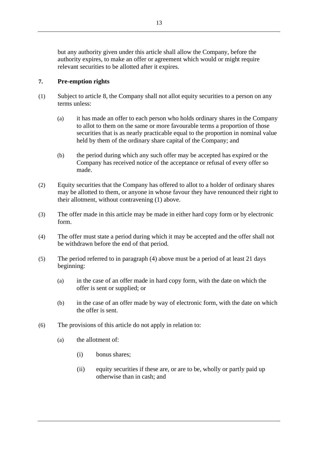but any authority given under this article shall allow the Company, before the authority expires, to make an offer or agreement which would or might require relevant securities to be allotted after it expires.

#### <span id="page-18-0"></span>**7. Pre-emption rights**

- (1) Subject to article [8,](#page-19-0) the Company shall not allot equity securities to a person on any terms unless:
	- (a) it has made an offer to each person who holds ordinary shares in the Company to allot to them on the same or more favourable terms a proportion of those securities that is as nearly practicable equal to the proportion in nominal value held by them of the ordinary share capital of the Company; and
	- (b) the period during which any such offer may be accepted has expired or the Company has received notice of the acceptance or refusal of every offer so made.
- (2) Equity securities that the Company has offered to allot to a holder of ordinary shares may be allotted to them, or anyone in whose favour they have renounced their right to their allotment, without contravening (1) above.
- (3) The offer made in this article may be made in either hard copy form or by electronic form.
- (4) The offer must state a period during which it may be accepted and the offer shall not be withdrawn before the end of that period.
- (5) The period referred to in paragraph (4) above must be a period of at least 21 days beginning:
	- (a) in the case of an offer made in hard copy form, with the date on which the offer is sent or supplied; or
	- (b) in the case of an offer made by way of electronic form, with the date on which the offer is sent.
- (6) The provisions of this article do not apply in relation to:
	- (a) the allotment of:
		- (i) bonus shares;
		- (ii) equity securities if these are, or are to be, wholly or partly paid up otherwise than in cash; and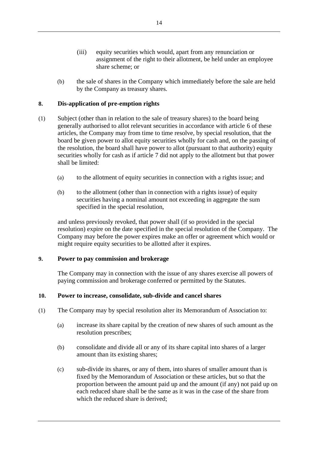- (iii) equity securities which would, apart from any renunciation or assignment of the right to their allotment, be held under an employee share scheme; or
- (b) the sale of shares in the Company which immediately before the sale are held by the Company as treasury shares.

#### <span id="page-19-0"></span>**8. Dis-application of pre-emption rights**

- (1) Subject (other than in relation to the sale of treasury shares) to the board being generally authorised to allot relevant securities in accordance with article [6](#page-17-0) of these articles, the Company may from time to time resolve, by special resolution, that the board be given power to allot equity securities wholly for cash and, on the passing of the resolution, the board shall have power to allot (pursuant to that authority) equity securities wholly for cash as if article [7](#page-18-0) did not apply to the allotment but that power shall be limited:
	- (a) to the allotment of equity securities in connection with a rights issue; and
	- (b) to the allotment (other than in connection with a rights issue) of equity securities having a nominal amount not exceeding in aggregate the sum specified in the special resolution,

and unless previously revoked, that power shall (if so provided in the special resolution) expire on the date specified in the special resolution of the Company. The Company may before the power expires make an offer or agreement which would or might require equity securities to be allotted after it expires.

#### **9. Power to pay commission and brokerage**

The Company may in connection with the issue of any shares exercise all powers of paying commission and brokerage conferred or permitted by the Statutes.

#### **10. Power to increase, consolidate, sub-divide and cancel shares**

- (1) The Company may by special resolution alter its Memorandum of Association to:
	- (a) increase its share capital by the creation of new shares of such amount as the resolution prescribes;
	- (b) consolidate and divide all or any of its share capital into shares of a larger amount than its existing shares;
	- (c) sub-divide its shares, or any of them, into shares of smaller amount than is fixed by the Memorandum of Association or these articles, but so that the proportion between the amount paid up and the amount (if any) not paid up on each reduced share shall be the same as it was in the case of the share from which the reduced share is derived;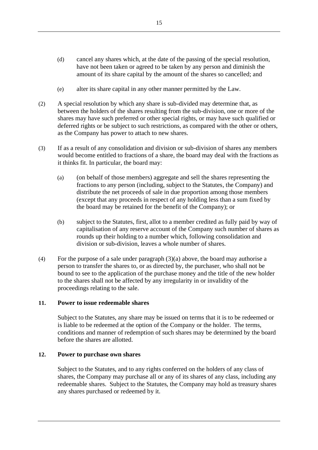- (d) cancel any shares which, at the date of the passing of the special resolution, have not been taken or agreed to be taken by any person and diminish the amount of its share capital by the amount of the shares so cancelled; and
- (e) alter its share capital in any other manner permitted by the Law.
- (2) A special resolution by which any share is sub-divided may determine that, as between the holders of the shares resulting from the sub-division, one or more of the shares may have such preferred or other special rights, or may have such qualified or deferred rights or be subject to such restrictions, as compared with the other or others, as the Company has power to attach to new shares.
- (3) If as a result of any consolidation and division or sub-division of shares any members would become entitled to fractions of a share, the board may deal with the fractions as it thinks fit. In particular, the board may:
	- (a) (on behalf of those members) aggregate and sell the shares representing the fractions to any person (including, subject to the Statutes, the Company) and distribute the net proceeds of sale in due proportion among those members (except that any proceeds in respect of any holding less than a sum fixed by the board may be retained for the benefit of the Company); or
	- (b) subject to the Statutes, first, allot to a member credited as fully paid by way of capitalisation of any reserve account of the Company such number of shares as rounds up their holding to a number which, following consolidation and division or sub-division, leaves a whole number of shares.
- (4) For the purpose of a sale under paragraph  $(3)(a)$  above, the board may authorise a person to transfer the shares to, or as directed by, the purchaser, who shall not be bound to see to the application of the purchase money and the title of the new holder to the shares shall not be affected by any irregularity in or invalidity of the proceedings relating to the sale.

#### **11. Power to issue redeemable shares**

Subject to the Statutes, any share may be issued on terms that it is to be redeemed or is liable to be redeemed at the option of the Company or the holder. The terms, conditions and manner of redemption of such shares may be determined by the board before the shares are allotted.

#### **12. Power to purchase own shares**

Subject to the Statutes, and to any rights conferred on the holders of any class of shares, the Company may purchase all or any of its shares of any class, including any redeemable shares. Subject to the Statutes, the Company may hold as treasury shares any shares purchased or redeemed by it.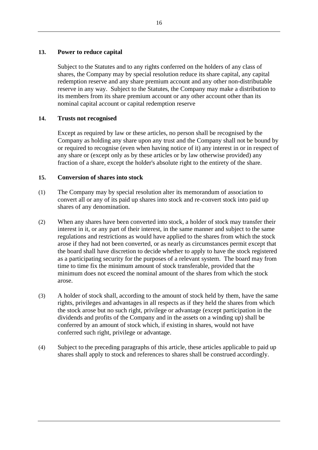#### **13. Power to reduce capital**

Subject to the Statutes and to any rights conferred on the holders of any class of shares, the Company may by special resolution reduce its share capital, any capital redemption reserve and any share premium account and any other non-distributable reserve in any way. Subject to the Statutes, the Company may make a distribution to its members from its share premium account or any other account other than its nominal capital account or capital redemption reserve

#### **14. Trusts not recognised**

Except as required by law or these articles, no person shall be recognised by the Company as holding any share upon any trust and the Company shall not be bound by or required to recognise (even when having notice of it) any interest in or in respect of any share or (except only as by these articles or by law otherwise provided) any fraction of a share, except the holder's absolute right to the entirety of the share.

#### **15. Conversion of shares into stock**

- (1) The Company may by special resolution alter its memorandum of association to convert all or any of its paid up shares into stock and re-convert stock into paid up shares of any denomination.
- (2) When any shares have been converted into stock, a holder of stock may transfer their interest in it, or any part of their interest, in the same manner and subject to the same regulations and restrictions as would have applied to the shares from which the stock arose if they had not been converted, or as nearly as circumstances permit except that the board shall have discretion to decide whether to apply to have the stock registered as a participating security for the purposes of a relevant system. The board may from time to time fix the minimum amount of stock transferable, provided that the minimum does not exceed the nominal amount of the shares from which the stock arose.
- (3) A holder of stock shall, according to the amount of stock held by them, have the same rights, privileges and advantages in all respects as if they held the shares from which the stock arose but no such right, privilege or advantage (except participation in the dividends and profits of the Company and in the assets on a winding up) shall be conferred by an amount of stock which, if existing in shares, would not have conferred such right, privilege or advantage.
- (4) Subject to the preceding paragraphs of this article, these articles applicable to paid up shares shall apply to stock and references to shares shall be construed accordingly.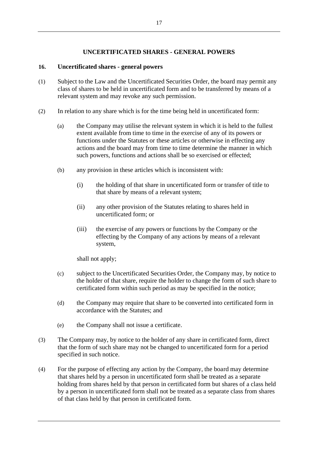#### **UNCERTIFICATED SHARES - GENERAL POWERS**

#### **16. Uncertificated shares - general powers**

- (1) Subject to the Law and the Uncertificated Securities Order, the board may permit any class of shares to be held in uncertificated form and to be transferred by means of a relevant system and may revoke any such permission.
- (2) In relation to any share which is for the time being held in uncertificated form:
	- (a) the Company may utilise the relevant system in which it is held to the fullest extent available from time to time in the exercise of any of its powers or functions under the Statutes or these articles or otherwise in effecting any actions and the board may from time to time determine the manner in which such powers, functions and actions shall be so exercised or effected;
	- (b) any provision in these articles which is inconsistent with:
		- (i) the holding of that share in uncertificated form or transfer of title to that share by means of a relevant system;
		- (ii) any other provision of the Statutes relating to shares held in uncertificated form; or
		- (iii) the exercise of any powers or functions by the Company or the effecting by the Company of any actions by means of a relevant system,

shall not apply;

- (c) subject to the Uncertificated Securities Order, the Company may, by notice to the holder of that share, require the holder to change the form of such share to certificated form within such period as may be specified in the notice;
- (d) the Company may require that share to be converted into certificated form in accordance with the Statutes; and
- (e) the Company shall not issue a certificate.
- (3) The Company may, by notice to the holder of any share in certificated form, direct that the form of such share may not be changed to uncertificated form for a period specified in such notice.
- (4) For the purpose of effecting any action by the Company, the board may determine that shares held by a person in uncertificated form shall be treated as a separate holding from shares held by that person in certificated form but shares of a class held by a person in uncertificated form shall not be treated as a separate class from shares of that class held by that person in certificated form.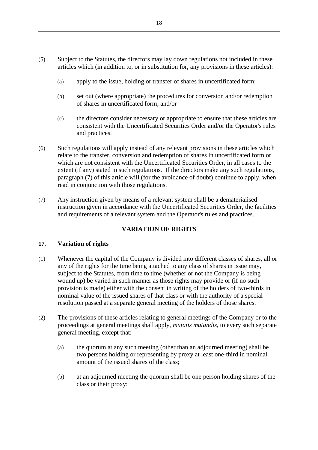- (5) Subject to the Statutes, the directors may lay down regulations not included in these articles which (in addition to, or in substitution for, any provisions in these articles):
	- (a) apply to the issue, holding or transfer of shares in uncertificated form;
	- (b) set out (where appropriate) the procedures for conversion and/or redemption of shares in uncertificated form; and/or
	- (c) the directors consider necessary or appropriate to ensure that these articles are consistent with the Uncertificated Securities Order and/or the Operator's rules and practices.
- (6) Such regulations will apply instead of any relevant provisions in these articles which relate to the transfer, conversion and redemption of shares in uncertificated form or which are not consistent with the Uncertificated Securities Order, in all cases to the extent (if any) stated in such regulations. If the directors make any such regulations, paragraph (7) of this article will (for the avoidance of doubt) continue to apply, when read in conjunction with those regulations.
- (7) Any instruction given by means of a relevant system shall be a dematerialised instruction given in accordance with the Uncertificated Securities Order, the facilities and requirements of a relevant system and the Operator's rules and practices.

# **VARIATION OF RIGHTS**

#### **17. Variation of rights**

- (1) Whenever the capital of the Company is divided into different classes of shares, all or any of the rights for the time being attached to any class of shares in issue may, subject to the Statutes, from time to time (whether or not the Company is being wound up) be varied in such manner as those rights may provide or (if no such provision is made) either with the consent in writing of the holders of two-thirds in nominal value of the issued shares of that class or with the authority of a special resolution passed at a separate general meeting of the holders of those shares.
- (2) The provisions of these articles relating to general meetings of the Company or to the proceedings at general meetings shall apply, *mutatis mutandis*, to every such separate general meeting, except that:
	- (a) the quorum at any such meeting (other than an adjourned meeting) shall be two persons holding or representing by proxy at least one-third in nominal amount of the issued shares of the class;
	- (b) at an adjourned meeting the quorum shall be one person holding shares of the class or their proxy;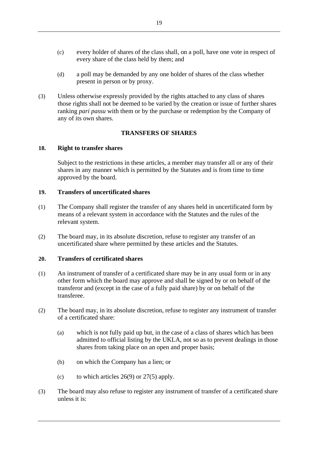- (c) every holder of shares of the class shall, on a poll, have one vote in respect of every share of the class held by them; and
- (d) a poll may be demanded by any one holder of shares of the class whether present in person or by proxy.
- (3) Unless otherwise expressly provided by the rights attached to any class of shares those rights shall not be deemed to be varied by the creation or issue of further shares ranking *pari passu* with them or by the purchase or redemption by the Company of any of its own shares.

#### **TRANSFERS OF SHARES**

#### **18. Right to transfer shares**

Subject to the restrictions in these articles, a member may transfer all or any of their shares in any manner which is permitted by the Statutes and is from time to time approved by the board.

#### **19. Transfers of uncertificated shares**

- (1) The Company shall register the transfer of any shares held in uncertificated form by means of a relevant system in accordance with the Statutes and the rules of the relevant system.
- (2) The board may, in its absolute discretion, refuse to register any transfer of an uncertificated share where permitted by these articles and the Statutes.

#### **20. Transfers of certificated shares**

- (1) An instrument of transfer of a certificated share may be in any usual form or in any other form which the board may approve and shall be signed by or on behalf of the transferor and (except in the case of a fully paid share) by or on behalf of the transferee.
- (2) The board may, in its absolute discretion, refuse to register any instrument of transfer of a certificated share:
	- (a) which is not fully paid up but, in the case of a class of shares which has been admitted to official listing by the UKLA, not so as to prevent dealings in those shares from taking place on an open and proper basis;
	- (b) on which the Company has a lien; or
	- (c) to which articles  $26(9)$  or  $27(5)$  apply.
- (3) The board may also refuse to register any instrument of transfer of a certificated share unless it is: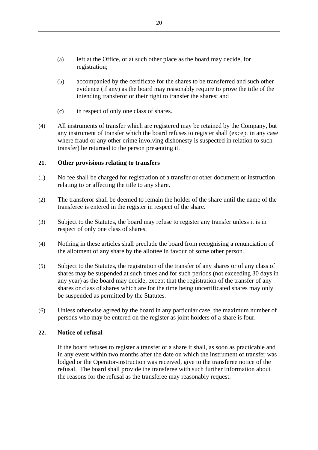- (a) left at the Office, or at such other place as the board may decide, for registration;
- (b) accompanied by the certificate for the shares to be transferred and such other evidence (if any) as the board may reasonably require to prove the title of the intending transferor or their right to transfer the shares; and
- (c) in respect of only one class of shares.
- (4) All instruments of transfer which are registered may be retained by the Company, but any instrument of transfer which the board refuses to register shall (except in any case where fraud or any other crime involving dishonesty is suspected in relation to such transfer) be returned to the person presenting it.

#### **21. Other provisions relating to transfers**

- (1) No fee shall be charged for registration of a transfer or other document or instruction relating to or affecting the title to any share.
- (2) The transferor shall be deemed to remain the holder of the share until the name of the transferee is entered in the register in respect of the share.
- (3) Subject to the Statutes, the board may refuse to register any transfer unless it is in respect of only one class of shares.
- (4) Nothing in these articles shall preclude the board from recognising a renunciation of the allotment of any share by the allottee in favour of some other person.
- (5) Subject to the Statutes, the registration of the transfer of any shares or of any class of shares may be suspended at such times and for such periods (not exceeding 30 days in any year) as the board may decide, except that the registration of the transfer of any shares or class of shares which are for the time being uncertificated shares may only be suspended as permitted by the Statutes.
- (6) Unless otherwise agreed by the board in any particular case, the maximum number of persons who may be entered on the register as joint holders of a share is four.

#### **22. Notice of refusal**

If the board refuses to register a transfer of a share it shall, as soon as practicable and in any event within two months after the date on which the instrument of transfer was lodged or the Operator-instruction was received, give to the transferee notice of the refusal. The board shall provide the transferee with such further information about the reasons for the refusal as the transferee may reasonably request.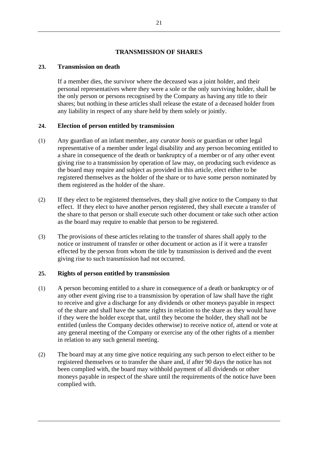#### **TRANSMISSION OF SHARES**

#### **23. Transmission on death**

If a member dies, the survivor where the deceased was a joint holder, and their personal representatives where they were a sole or the only surviving holder, shall be the only person or persons recognised by the Company as having any title to their shares; but nothing in these articles shall release the estate of a deceased holder from any liability in respect of any share held by them solely or jointly.

#### **24. Election of person entitled by transmission**

- (1) Any guardian of an infant member, any *curator bonis* or guardian or other legal representative of a member under legal disability and any person becoming entitled to a share in consequence of the death or bankruptcy of a member or of any other event giving rise to a transmission by operation of law may, on producing such evidence as the board may require and subject as provided in this article, elect either to be registered themselves as the holder of the share or to have some person nominated by them registered as the holder of the share.
- (2) If they elect to be registered themselves, they shall give notice to the Company to that effect. If they elect to have another person registered, they shall execute a transfer of the share to that person or shall execute such other document or take such other action as the board may require to enable that person to be registered.
- (3) The provisions of these articles relating to the transfer of shares shall apply to the notice or instrument of transfer or other document or action as if it were a transfer effected by the person from whom the title by transmission is derived and the event giving rise to such transmission had not occurred.

#### **25. Rights of person entitled by transmission**

- (1) A person becoming entitled to a share in consequence of a death or bankruptcy or of any other event giving rise to a transmission by operation of law shall have the right to receive and give a discharge for any dividends or other moneys payable in respect of the share and shall have the same rights in relation to the share as they would have if they were the holder except that, until they become the holder, they shall not be entitled (unless the Company decides otherwise) to receive notice of, attend or vote at any general meeting of the Company or exercise any of the other rights of a member in relation to any such general meeting.
- (2) The board may at any time give notice requiring any such person to elect either to be registered themselves or to transfer the share and, if after 90 days the notice has not been complied with, the board may withhold payment of all dividends or other moneys payable in respect of the share until the requirements of the notice have been complied with.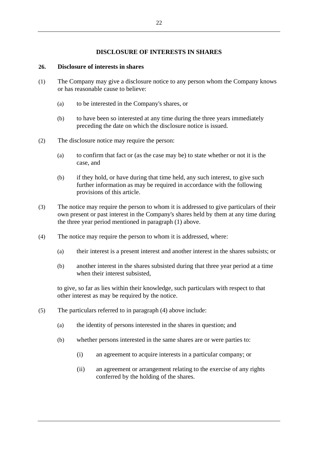#### **DISCLOSURE OF INTERESTS IN SHARES**

#### **26. Disclosure of interests in shares**

- (1) The Company may give a disclosure notice to any person whom the Company knows or has reasonable cause to believe:
	- (a) to be interested in the Company's shares, or
	- (b) to have been so interested at any time during the three years immediately preceding the date on which the disclosure notice is issued.
- (2) The disclosure notice may require the person:
	- (a) to confirm that fact or (as the case may be) to state whether or not it is the case, and
	- (b) if they hold, or have during that time held, any such interest, to give such further information as may be required in accordance with the following provisions of this article.
- (3) The notice may require the person to whom it is addressed to give particulars of their own present or past interest in the Company's shares held by them at any time during the three year period mentioned in paragraph (1) above.
- (4) The notice may require the person to whom it is addressed, where:
	- (a) their interest is a present interest and another interest in the shares subsists; or
	- (b) another interest in the shares subsisted during that three year period at a time when their interest subsisted.

to give, so far as lies within their knowledge, such particulars with respect to that other interest as may be required by the notice.

- (5) The particulars referred to in paragraph (4) above include:
	- (a) the identity of persons interested in the shares in question; and
	- (b) whether persons interested in the same shares are or were parties to:
		- (i) an agreement to acquire interests in a particular company; or
		- (ii) an agreement or arrangement relating to the exercise of any rights conferred by the holding of the shares.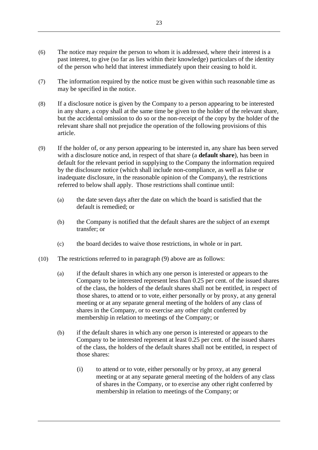- (6) The notice may require the person to whom it is addressed, where their interest is a past interest, to give (so far as lies within their knowledge) particulars of the identity of the person who held that interest immediately upon their ceasing to hold it.
- (7) The information required by the notice must be given within such reasonable time as may be specified in the notice.
- (8) If a disclosure notice is given by the Company to a person appearing to be interested in any share, a copy shall at the same time be given to the holder of the relevant share, but the accidental omission to do so or the non-receipt of the copy by the holder of the relevant share shall not prejudice the operation of the following provisions of this article.
- <span id="page-28-0"></span>(9) If the holder of, or any person appearing to be interested in, any share has been served with a disclosure notice and, in respect of that share (a **default share**), has been in default for the relevant period in supplying to the Company the information required by the disclosure notice (which shall include non-compliance, as well as false or inadequate disclosure, in the reasonable opinion of the Company), the restrictions referred to below shall apply. Those restrictions shall continue until:
	- (a) the date seven days after the date on which the board is satisfied that the default is remedied; or
	- (b) the Company is notified that the default shares are the subject of an exempt transfer; or
	- (c) the board decides to waive those restrictions, in whole or in part.
- (10) The restrictions referred to in paragraph (9) above are as follows:
	- (a) if the default shares in which any one person is interested or appears to the Company to be interested represent less than 0.25 per cent. of the issued shares of the class, the holders of the default shares shall not be entitled, in respect of those shares, to attend or to vote, either personally or by proxy, at any general meeting or at any separate general meeting of the holders of any class of shares in the Company, or to exercise any other right conferred by membership in relation to meetings of the Company; or
	- (b) if the default shares in which any one person is interested or appears to the Company to be interested represent at least 0.25 per cent. of the issued shares of the class, the holders of the default shares shall not be entitled, in respect of those shares:
		- (i) to attend or to vote, either personally or by proxy, at any general meeting or at any separate general meeting of the holders of any class of shares in the Company, or to exercise any other right conferred by membership in relation to meetings of the Company; or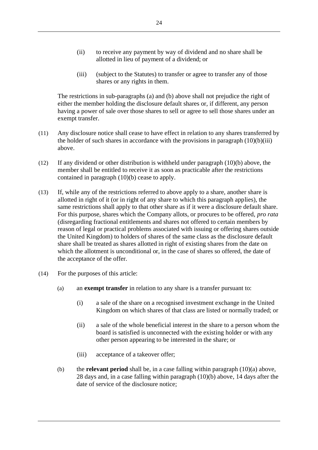- (ii) to receive any payment by way of dividend and no share shall be allotted in lieu of payment of a dividend; or
- (iii) (subject to the Statutes) to transfer or agree to transfer any of those shares or any rights in them.

The restrictions in sub-paragraphs (a) and (b) above shall not prejudice the right of either the member holding the disclosure default shares or, if different, any person having a power of sale over those shares to sell or agree to sell those shares under an exempt transfer.

- (11) Any disclosure notice shall cease to have effect in relation to any shares transferred by the holder of such shares in accordance with the provisions in paragraph  $(10)(b)(iii)$ above.
- (12) If any dividend or other distribution is withheld under paragraph (10)(b) above, the member shall be entitled to receive it as soon as practicable after the restrictions contained in paragraph (10)(b) cease to apply.
- (13) If, while any of the restrictions referred to above apply to a share, another share is allotted in right of it (or in right of any share to which this paragraph applies), the same restrictions shall apply to that other share as if it were a disclosure default share. For this purpose, shares which the Company allots, or procures to be offered, *pro rata* (disregarding fractional entitlements and shares not offered to certain members by reason of legal or practical problems associated with issuing or offering shares outside the United Kingdom) to holders of shares of the same class as the disclosure default share shall be treated as shares allotted in right of existing shares from the date on which the allotment is unconditional or, in the case of shares so offered, the date of the acceptance of the offer.
- (14) For the purposes of this article:
	- (a) an **exempt transfer** in relation to any share is a transfer pursuant to:
		- (i) a sale of the share on a recognised investment exchange in the United Kingdom on which shares of that class are listed or normally traded; or
		- (ii) a sale of the whole beneficial interest in the share to a person whom the board is satisfied is unconnected with the existing holder or with any other person appearing to be interested in the share; or
		- (iii) acceptance of a takeover offer;
	- (b) the **relevant period** shall be, in a case falling within paragraph (10)(a) above, 28 days and, in a case falling within paragraph (10)(b) above, 14 days after the date of service of the disclosure notice;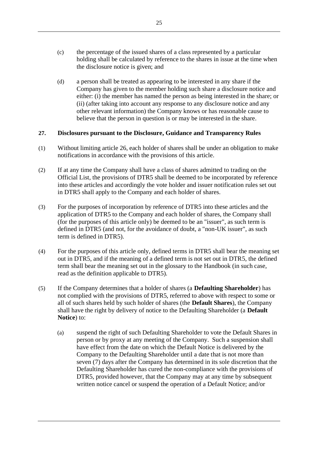- (c) the percentage of the issued shares of a class represented by a particular holding shall be calculated by reference to the shares in issue at the time when the disclosure notice is given; and
- (d) a person shall be treated as appearing to be interested in any share if the Company has given to the member holding such share a disclosure notice and either: (i) the member has named the person as being interested in the share; or (ii) (after taking into account any response to any disclosure notice and any other relevant information) the Company knows or has reasonable cause to believe that the person in question is or may be interested in the share.

#### **27. Disclosures pursuant to the Disclosure, Guidance and Transparency Rules**

- (1) Without limiting article 26, each holder of shares shall be under an obligation to make notifications in accordance with the provisions of this article.
- (2) If at any time the Company shall have a class of shares admitted to trading on the Official List, the provisions of DTR5 shall be deemed to be incorporated by reference into these articles and accordingly the vote holder and issuer notification rules set out in DTR5 shall apply to the Company and each holder of shares.
- (3) For the purposes of incorporation by reference of DTR5 into these articles and the application of DTR5 to the Company and each holder of shares, the Company shall (for the purposes of this article only) be deemed to be an "issuer", as such term is defined in DTR5 (and not, for the avoidance of doubt, a "non-UK issuer", as such term is defined in DTR5).
- (4) For the purposes of this article only, defined terms in DTR5 shall bear the meaning set out in DTR5, and if the meaning of a defined term is not set out in DTR5, the defined term shall bear the meaning set out in the glossary to the Handbook (in such case, read as the definition applicable to DTR5).
- <span id="page-30-0"></span>(5) If the Company determines that a holder of shares (a **Defaulting Shareholder**) has not complied with the provisions of DTR5, referred to above with respect to some or all of such shares held by such holder of shares (the **Default Shares**), the Company shall have the right by delivery of notice to the Defaulting Shareholder (a **Default Notice**) to:
	- (a) suspend the right of such Defaulting Shareholder to vote the Default Shares in person or by proxy at any meeting of the Company. Such a suspension shall have effect from the date on which the Default Notice is delivered by the Company to the Defaulting Shareholder until a date that is not more than seven (7) days after the Company has determined in its sole discretion that the Defaulting Shareholder has cured the non-compliance with the provisions of DTR5, provided however, that the Company may at any time by subsequent written notice cancel or suspend the operation of a Default Notice; and/or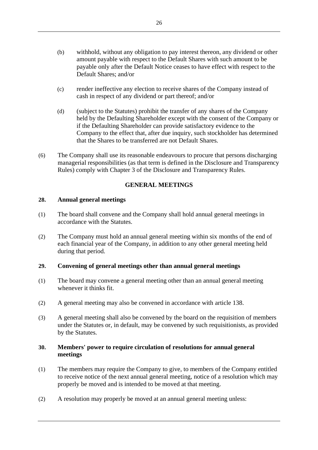- (b) withhold, without any obligation to pay interest thereon, any dividend or other amount payable with respect to the Default Shares with such amount to be payable only after the Default Notice ceases to have effect with respect to the Default Shares; and/or
- (c) render ineffective any election to receive shares of the Company instead of cash in respect of any dividend or part thereof; and/or
- (d) (subject to the Statutes) prohibit the transfer of any shares of the Company held by the Defaulting Shareholder except with the consent of the Company or if the Defaulting Shareholder can provide satisfactory evidence to the Company to the effect that, after due inquiry, such stockholder has determined that the Shares to be transferred are not Default Shares.
- (6) The Company shall use its reasonable endeavours to procure that persons discharging managerial responsibilities (as that term is defined in the Disclosure and Transparency Rules) comply with Chapter 3 of the Disclosure and Transparency Rules.

#### **GENERAL MEETINGS**

#### **28. Annual general meetings**

- (1) The board shall convene and the Company shall hold annual general meetings in accordance with the Statutes.
- (2) The Company must hold an annual general meeting within six months of the end of each financial year of the Company, in addition to any other general meeting held during that period.

#### **29. Convening of general meetings other than annual general meetings**

- (1) The board may convene a general meeting other than an annual general meeting whenever it thinks fit.
- (2) A general meeting may also be convened in accordance with article 138.
- (3) A general meeting shall also be convened by the board on the requisition of members under the Statutes or, in default, may be convened by such requisitionists, as provided by the Statutes.

#### **30. Members' power to require circulation of resolutions for annual general meetings**

- (1) The members may require the Company to give, to members of the Company entitled to receive notice of the next annual general meeting, notice of a resolution which may properly be moved and is intended to be moved at that meeting.
- (2) A resolution may properly be moved at an annual general meeting unless: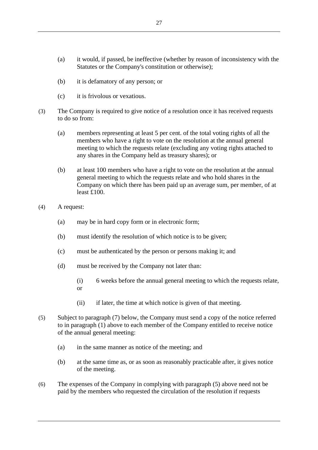- (a) it would, if passed, be ineffective (whether by reason of inconsistency with the Statutes or the Company's constitution or otherwise);
- (b) it is defamatory of any person; or
- (c) it is frivolous or vexatious.
- (3) The Company is required to give notice of a resolution once it has received requests to do so from:
	- (a) members representing at least 5 per cent. of the total voting rights of all the members who have a right to vote on the resolution at the annual general meeting to which the requests relate (excluding any voting rights attached to any shares in the Company held as treasury shares); or
	- (b) at least 100 members who have a right to vote on the resolution at the annual general meeting to which the requests relate and who hold shares in the Company on which there has been paid up an average sum, per member, of at least £100.
- (4) A request:
	- (a) may be in hard copy form or in electronic form;
	- (b) must identify the resolution of which notice is to be given;
	- (c) must be authenticated by the person or persons making it; and
	- (d) must be received by the Company not later than:
		- (i) 6 weeks before the annual general meeting to which the requests relate, or
		- (ii) if later, the time at which notice is given of that meeting.
- (5) Subject to paragraph (7) below, the Company must send a copy of the notice referred to in paragraph (1) above to each member of the Company entitled to receive notice of the annual general meeting:
	- (a) in the same manner as notice of the meeting; and
	- (b) at the same time as, or as soon as reasonably practicable after, it gives notice of the meeting.
- (6) The expenses of the Company in complying with paragraph (5) above need not be paid by the members who requested the circulation of the resolution if requests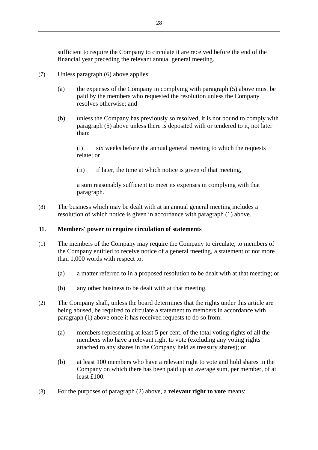sufficient to require the Company to circulate it are received before the end of the financial year preceding the relevant annual general meeting.

- (7) Unless paragraph (6) above applies:
	- (a) the expenses of the Company in complying with paragraph (5) above must be paid by the members who requested the resolution unless the Company resolves otherwise; and
	- (b) unless the Company has previously so resolved, it is not bound to comply with paragraph (5) above unless there is deposited with or tendered to it, not later than:

(i) six weeks before the annual general meeting to which the requests relate; or

(ii) if later, the time at which notice is given of that meeting,

a sum reasonably sufficient to meet its expenses in complying with that paragraph.

(8) The business which may be dealt with at an annual general meeting includes a resolution of which notice is given in accordance with paragraph (1) above.

#### **31. Members' power to require circulation of statements**

- (1) The members of the Company may require the Company to circulate, to members of the Company entitled to receive notice of a general meeting, a statement of not more than 1,000 words with respect to:
	- (a) a matter referred to in a proposed resolution to be dealt with at that meeting; or
	- (b) any other business to be dealt with at that meeting.
- (2) The Company shall, unless the board determines that the rights under this article are being abused, be required to circulate a statement to members in accordance with paragraph (1) above once it has received requests to do so from:
	- (a) members representing at least 5 per cent. of the total voting rights of all the members who have a relevant right to vote (excluding any voting rights attached to any shares in the Company held as treasury shares); or
	- (b) at least 100 members who have a relevant right to vote and hold shares in the Company on which there has been paid up an average sum, per member, of at least £100.
- (3) For the purposes of paragraph (2) above, a **relevant right to vote** means: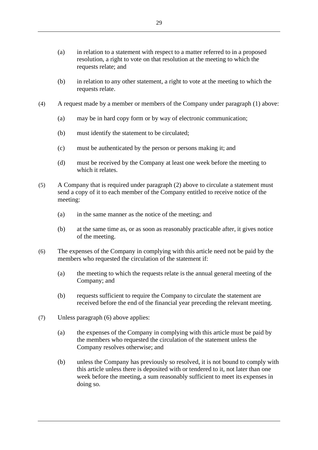- (a) in relation to a statement with respect to a matter referred to in a proposed resolution, a right to vote on that resolution at the meeting to which the requests relate; and
- (b) in relation to any other statement, a right to vote at the meeting to which the requests relate.
- (4) A request made by a member or members of the Company under paragraph (1) above:
	- (a) may be in hard copy form or by way of electronic communication;
	- (b) must identify the statement to be circulated;
	- (c) must be authenticated by the person or persons making it; and
	- (d) must be received by the Company at least one week before the meeting to which it relates.
- (5) A Company that is required under paragraph (2) above to circulate a statement must send a copy of it to each member of the Company entitled to receive notice of the meeting:
	- (a) in the same manner as the notice of the meeting; and
	- (b) at the same time as, or as soon as reasonably practicable after, it gives notice of the meeting.
- (6) The expenses of the Company in complying with this article need not be paid by the members who requested the circulation of the statement if:
	- (a) the meeting to which the requests relate is the annual general meeting of the Company; and
	- (b) requests sufficient to require the Company to circulate the statement are received before the end of the financial year preceding the relevant meeting.
- (7) Unless paragraph (6) above applies:
	- (a) the expenses of the Company in complying with this article must be paid by the members who requested the circulation of the statement unless the Company resolves otherwise; and
	- (b) unless the Company has previously so resolved, it is not bound to comply with this article unless there is deposited with or tendered to it, not later than one week before the meeting, a sum reasonably sufficient to meet its expenses in doing so.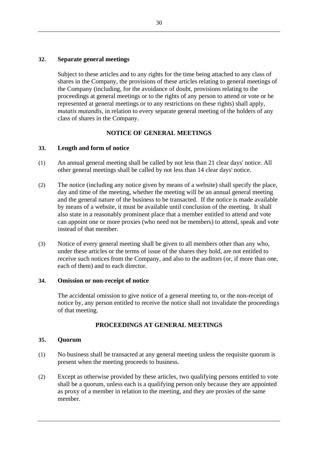#### **32. Separate general meetings**

Subject to these articles and to any rights for the time being attached to any class of shares in the Company, the provisions of these articles relating to general meetings of the Company (including, for the avoidance of doubt, provisions relating to the proceedings at general meetings or to the rights of any person to attend or vote or be represented at general meetings or to any restrictions on these rights) shall apply, *mutatis mutandis*, in relation to every separate general meeting of the holders of any class of shares in the Company.

#### **NOTICE OF GENERAL MEETINGS**

#### **33. Length and form of notice**

- (1) An annual general meeting shall be called by not less than 21 clear days' notice. All other general meetings shall be called by not less than 14 clear days' notice.
- (2) The notice (including any notice given by means of a website) shall specify the place, day and time of the meeting, whether the meeting will be an annual general meeting and the general nature of the business to be transacted. If the notice is made available by means of a website, it must be available until conclusion of the meeting. It shall also state in a reasonably prominent place that a member entitled to attend and vote can appoint one or more proxies (who need not be members) to attend, speak and vote instead of that member.
- (3) Notice of every general meeting shall be given to all members other than any who, under these articles or the terms of issue of the shares they hold, are not entitled to receive such notices from the Company, and also to the auditors (or, if more than one, each of them) and to each director.

#### **34. Omission or non-receipt of notice**

The accidental omission to give notice of a general meeting to, or the non-receipt of notice by, any person entitled to receive the notice shall not invalidate the proceedings of that meeting.

### **PROCEEDINGS AT GENERAL MEETINGS**

#### **35. Quorum**

- (1) No business shall be transacted at any general meeting unless the requisite quorum is present when the meeting proceeds to business.
- (2) Except as otherwise provided by these articles, two qualifying persons entitled to vote shall be a quorum, unless each is a qualifying person only because they are appointed as proxy of a member in relation to the meeting, and they are proxies of the same member.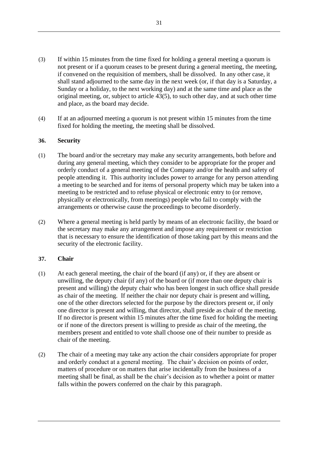- (3) If within 15 minutes from the time fixed for holding a general meeting a quorum is not present or if a quorum ceases to be present during a general meeting, the meeting, if convened on the requisition of members, shall be dissolved. In any other case, it shall stand adjourned to the same day in the next week (or, if that day is a Saturday, a Sunday or a holiday, to the next working day) and at the same time and place as the original meeting, or, subject to article [43\(5\),](#page-40-0) to such other day, and at such other time and place, as the board may decide.
- (4) If at an adjourned meeting a quorum is not present within 15 minutes from the time fixed for holding the meeting, the meeting shall be dissolved.

## **36. Security**

- (1) The board and/or the secretary may make any security arrangements, both before and during any general meeting, which they consider to be appropriate for the proper and orderly conduct of a general meeting of the Company and/or the health and safety of people attending it. This authority includes power to arrange for any person attending a meeting to be searched and for items of personal property which may be taken into a meeting to be restricted and to refuse physical or electronic entry to (or remove, physically or electronically, from meetings) people who fail to comply with the arrangements or otherwise cause the proceedings to become disorderly.
- (2) Where a general meeting is held partly by means of an electronic facility, the board or the secretary may make any arrangement and impose any requirement or restriction that is necessary to ensure the identification of those taking part by this means and the security of the electronic facility.

# **37. Chair**

- (1) At each general meeting, the chair of the board (if any) or, if they are absent or unwilling, the deputy chair (if any) of the board or (if more than one deputy chair is present and willing) the deputy chair who has been longest in such office shall preside as chair of the meeting. If neither the chair nor deputy chair is present and willing, one of the other directors selected for the purpose by the directors present or, if only one director is present and willing, that director, shall preside as chair of the meeting. If no director is present within 15 minutes after the time fixed for holding the meeting or if none of the directors present is willing to preside as chair of the meeting, the members present and entitled to vote shall choose one of their number to preside as chair of the meeting.
- (2) The chair of a meeting may take any action the chair considers appropriate for proper and orderly conduct at a general meeting. The chair's decision on points of order, matters of procedure or on matters that arise incidentally from the business of a meeting shall be final, as shall be the chair's decision as to whether a point or matter falls within the powers conferred on the chair by this paragraph.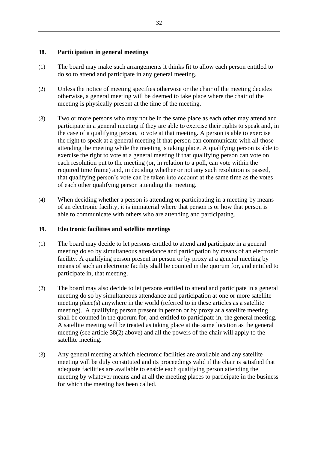# **38. Participation in general meetings**

- (1) The board may make such arrangements it thinks fit to allow each person entitled to do so to attend and participate in any general meeting.
- <span id="page-37-0"></span>(2) Unless the notice of meeting specifies otherwise or the chair of the meeting decides otherwise, a general meeting will be deemed to take place where the chair of the meeting is physically present at the time of the meeting.
- (3) Two or more persons who may not be in the same place as each other may attend and participate in a general meeting if they are able to exercise their rights to speak and, in the case of a qualifying person, to vote at that meeting. A person is able to exercise the right to speak at a general meeting if that person can communicate with all those attending the meeting while the meeting is taking place. A qualifying person is able to exercise the right to vote at a general meeting if that qualifying person can vote on each resolution put to the meeting (or, in relation to a poll, can vote within the required time frame) and, in deciding whether or not any such resolution is passed, that qualifying person's vote can be taken into account at the same time as the votes of each other qualifying person attending the meeting.
- (4) When deciding whether a person is attending or participating in a meeting by means of an electronic facility, it is immaterial where that person is or how that person is able to communicate with others who are attending and participating.

# **39. Electronic facilities and satellite meetings**

- (1) The board may decide to let persons entitled to attend and participate in a general meeting do so by simultaneous attendance and participation by means of an electronic facility. A qualifying person present in person or by proxy at a general meeting by means of such an electronic facility shall be counted in the quorum for, and entitled to participate in, that meeting.
- (2) The board may also decide to let persons entitled to attend and participate in a general meeting do so by simultaneous attendance and participation at one or more satellite meeting place(s) anywhere in the world (referred to in these articles as a satellite meeting). A qualifying person present in person or by proxy at a satellite meeting shall be counted in the quorum for, and entitled to participate in, the general meeting. A satellite meeting will be treated as taking place at the same location as the general meeting (see article [38\(2\)](#page-37-0) above) and all the powers of the chair will apply to the satellite meeting.
- (3) Any general meeting at which electronic facilities are available and any satellite meeting will be duly constituted and its proceedings valid if the chair is satisfied that adequate facilities are available to enable each qualifying person attending the meeting by whatever means and at all the meeting places to participate in the business for which the meeting has been called.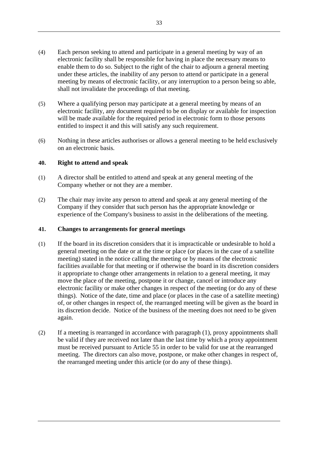- (4) Each person seeking to attend and participate in a general meeting by way of an electronic facility shall be responsible for having in place the necessary means to enable them to do so. Subject to the right of the chair to adjourn a general meeting under these articles, the inability of any person to attend or participate in a general meeting by means of electronic facility, or any interruption to a person being so able, shall not invalidate the proceedings of that meeting.
- (5) Where a qualifying person may participate at a general meeting by means of an electronic facility, any document required to be on display or available for inspection will be made available for the required period in electronic form to those persons entitled to inspect it and this will satisfy any such requirement.
- (6) Nothing in these articles authorises or allows a general meeting to be held exclusively on an electronic basis.

## **40. Right to attend and speak**

- (1) A director shall be entitled to attend and speak at any general meeting of the Company whether or not they are a member.
- (2) The chair may invite any person to attend and speak at any general meeting of the Company if they consider that such person has the appropriate knowledge or experience of the Company's business to assist in the deliberations of the meeting.

## **41. Changes to arrangements for general meetings**

- (1) If the board in its discretion considers that it is impracticable or undesirable to hold a general meeting on the date or at the time or place (or places in the case of a satellite meeting) stated in the notice calling the meeting or by means of the electronic facilities available for that meeting or if otherwise the board in its discretion considers it appropriate to change other arrangements in relation to a general meeting, it may move the place of the meeting, postpone it or change, cancel or introduce any electronic facility or make other changes in respect of the meeting (or do any of these things). Notice of the date, time and place (or places in the case of a satellite meeting) of, or other changes in respect of, the rearranged meeting will be given as the board in its discretion decide. Notice of the business of the meeting does not need to be given again.
- (2) If a meeting is rearranged in accordance with paragraph (1), proxy appointments shall be valid if they are received not later than the last time by which a proxy appointment must be received pursuant to Article 55 in order to be valid for use at the rearranged meeting. The directors can also move, postpone, or make other changes in respect of, the rearranged meeting under this article (or do any of these things).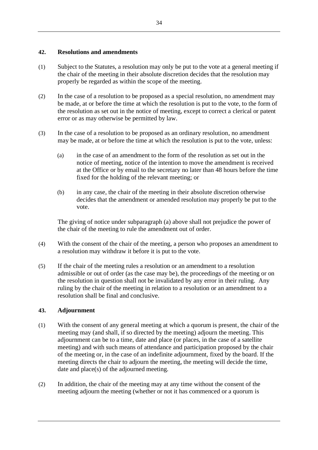# **42. Resolutions and amendments**

- (1) Subject to the Statutes, a resolution may only be put to the vote at a general meeting if the chair of the meeting in their absolute discretion decides that the resolution may properly be regarded as within the scope of the meeting.
- (2) In the case of a resolution to be proposed as a special resolution, no amendment may be made, at or before the time at which the resolution is put to the vote, to the form of the resolution as set out in the notice of meeting, except to correct a clerical or patent error or as may otherwise be permitted by law.
- (3) In the case of a resolution to be proposed as an ordinary resolution, no amendment may be made, at or before the time at which the resolution is put to the vote, unless:
	- (a) in the case of an amendment to the form of the resolution as set out in the notice of meeting, notice of the intention to move the amendment is received at the Office or by email to the secretary no later than 48 hours before the time fixed for the holding of the relevant meeting; or
	- (b) in any case, the chair of the meeting in their absolute discretion otherwise decides that the amendment or amended resolution may properly be put to the vote.

The giving of notice under subparagraph (a) above shall not prejudice the power of the chair of the meeting to rule the amendment out of order.

- (4) With the consent of the chair of the meeting, a person who proposes an amendment to a resolution may withdraw it before it is put to the vote.
- (5) If the chair of the meeting rules a resolution or an amendment to a resolution admissible or out of order (as the case may be), the proceedings of the meeting or on the resolution in question shall not be invalidated by any error in their ruling. Any ruling by the chair of the meeting in relation to a resolution or an amendment to a resolution shall be final and conclusive.

## **43. Adjournment**

- (1) With the consent of any general meeting at which a quorum is present, the chair of the meeting may (and shall, if so directed by the meeting) adjourn the meeting. This adjournment can be to a time, date and place (or places, in the case of a satellite meeting) and with such means of attendance and participation proposed by the chair of the meeting or, in the case of an indefinite adjournment, fixed by the board. If the meeting directs the chair to adjourn the meeting, the meeting will decide the time, date and place(s) of the adjourned meeting.
- (2) In addition, the chair of the meeting may at any time without the consent of the meeting adjourn the meeting (whether or not it has commenced or a quorum is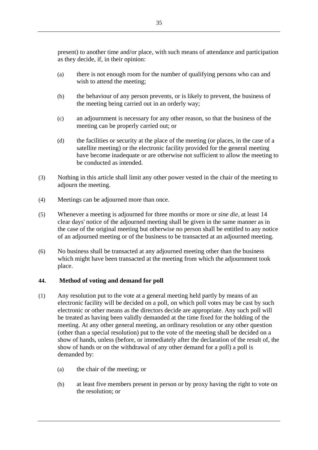present) to another time and/or place, with such means of attendance and participation as they decide, if, in their opinion:

- (a) there is not enough room for the number of qualifying persons who can and wish to attend the meeting;
- (b) the behaviour of any person prevents, or is likely to prevent, the business of the meeting being carried out in an orderly way;
- (c) an adjournment is necessary for any other reason, so that the business of the meeting can be properly carried out; or
- (d) the facilities or security at the place of the meeting (or places, in the case of a satellite meeting) or the electronic facility provided for the general meeting have become inadequate or are otherwise not sufficient to allow the meeting to be conducted as intended.
- (3) Nothing in this article shall limit any other power vested in the chair of the meeting to adjourn the meeting.
- (4) Meetings can be adjourned more than once.
- <span id="page-40-0"></span>(5) Whenever a meeting is adjourned for three months or more or *sine die*, at least 14 clear days' notice of the adjourned meeting shall be given in the same manner as in the case of the original meeting but otherwise no person shall be entitled to any notice of an adjourned meeting or of the business to be transacted at an adjourned meeting.
- (6) No business shall be transacted at any adjourned meeting other than the business which might have been transacted at the meeting from which the adjournment took place.

#### **44. Method of voting and demand for poll**

- (1) Any resolution put to the vote at a general meeting held partly by means of an electronic facility will be decided on a poll, on which poll votes may be cast by such electronic or other means as the directors decide are appropriate. Any such poll will be treated as having been validly demanded at the time fixed for the holding of the meeting. At any other general meeting, an ordinary resolution or any other question (other than a special resolution) put to the vote of the meeting shall be decided on a show of hands, unless (before, or immediately after the declaration of the result of, the show of hands or on the withdrawal of any other demand for a poll) a poll is demanded by:
	- (a) the chair of the meeting; or
	- (b) at least five members present in person or by proxy having the right to vote on the resolution; or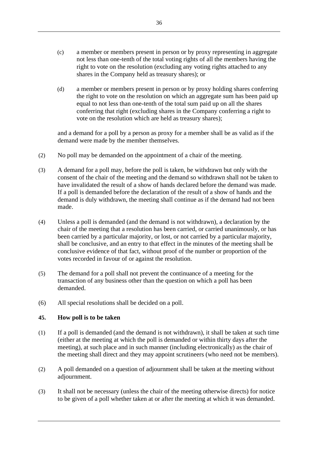- (c) a member or members present in person or by proxy representing in aggregate not less than one-tenth of the total voting rights of all the members having the right to vote on the resolution (excluding any voting rights attached to any shares in the Company held as treasury shares); or
- (d) a member or members present in person or by proxy holding shares conferring the right to vote on the resolution on which an aggregate sum has been paid up equal to not less than one-tenth of the total sum paid up on all the shares conferring that right (excluding shares in the Company conferring a right to vote on the resolution which are held as treasury shares);

and a demand for a poll by a person as proxy for a member shall be as valid as if the demand were made by the member themselves.

- (2) No poll may be demanded on the appointment of a chair of the meeting.
- (3) A demand for a poll may, before the poll is taken, be withdrawn but only with the consent of the chair of the meeting and the demand so withdrawn shall not be taken to have invalidated the result of a show of hands declared before the demand was made. If a poll is demanded before the declaration of the result of a show of hands and the demand is duly withdrawn, the meeting shall continue as if the demand had not been made.
- (4) Unless a poll is demanded (and the demand is not withdrawn), a declaration by the chair of the meeting that a resolution has been carried, or carried unanimously, or has been carried by a particular majority, or lost, or not carried by a particular majority, shall be conclusive, and an entry to that effect in the minutes of the meeting shall be conclusive evidence of that fact, without proof of the number or proportion of the votes recorded in favour of or against the resolution.
- (5) The demand for a poll shall not prevent the continuance of a meeting for the transaction of any business other than the question on which a poll has been demanded.
- (6) All special resolutions shall be decided on a poll.

# **45. How poll is to be taken**

- (1) If a poll is demanded (and the demand is not withdrawn), it shall be taken at such time (either at the meeting at which the poll is demanded or within thirty days after the meeting), at such place and in such manner (including electronically) as the chair of the meeting shall direct and they may appoint scrutineers (who need not be members).
- (2) A poll demanded on a question of adjournment shall be taken at the meeting without adjournment.
- (3) It shall not be necessary (unless the chair of the meeting otherwise directs) for notice to be given of a poll whether taken at or after the meeting at which it was demanded.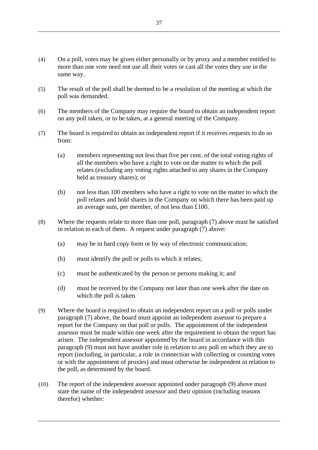- (4) On a poll, votes may be given either personally or by proxy and a member entitled to more than one vote need not use all their votes or cast all the votes they use in the same way.
- (5) The result of the poll shall be deemed to be a resolution of the meeting at which the poll was demanded.
- (6) The members of the Company may require the board to obtain an independent report on any poll taken, or to be taken, at a general meeting of the Company.
- (7) The board is required to obtain an independent report if it receives requests to do so from:
	- (a) members representing not less than five per cent. of the total voting rights of all the members who have a right to vote on the matter to which the poll relates (excluding any voting rights attached to any shares in the Company held as treasury shares); or
	- (b) not less than 100 members who have a right to vote on the matter to which the poll relates and hold shares in the Company on which there has been paid up an average sum, per member, of not less than £100.
- (8) Where the requests relate to more than one poll, paragraph (7) above must be satisfied in relation to each of them. A request under paragraph (7) above:
	- (a) may be in hard copy form or by way of electronic communication;
	- (b) must identify the poll or polls to which it relates;
	- (c) must be authenticated by the person or persons making it; and
	- (d) must be received by the Company not later than one week after the date on which the poll is taken.
- (9) Where the board is required to obtain an independent report on a poll or polls under paragraph (7) above, the board must appoint an independent assessor to prepare a report for the Company on that poll or polls. The appointment of the independent assessor must be made within one week after the requirement to obtain the report has arisen. The independent assessor appointed by the board in accordance with this paragraph (9) must not have another role in relation to any poll on which they are to report (including, in particular, a role in connection with collecting or counting votes or with the appointment of proxies) and must otherwise be independent in relation to the poll, as determined by the board.
- (10) The report of the independent assessor appointed under paragraph (9) above must state the name of the independent assessor and their opinion (including reasons therefor) whether: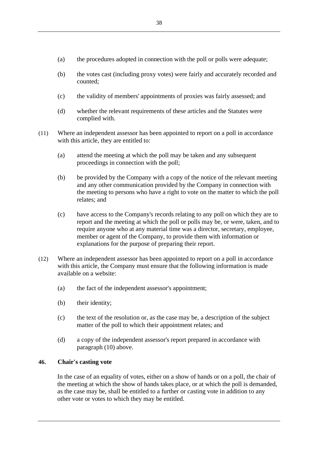- (a) the procedures adopted in connection with the poll or polls were adequate;
- (b) the votes cast (including proxy votes) were fairly and accurately recorded and counted;
- (c) the validity of members' appointments of proxies was fairly assessed; and
- (d) whether the relevant requirements of these articles and the Statutes were complied with.
- (11) Where an independent assessor has been appointed to report on a poll in accordance with this article, they are entitled to:
	- (a) attend the meeting at which the poll may be taken and any subsequent proceedings in connection with the poll;
	- (b) be provided by the Company with a copy of the notice of the relevant meeting and any other communication provided by the Company in connection with the meeting to persons who have a right to vote on the matter to which the poll relates; and
	- (c) have access to the Company's records relating to any poll on which they are to report and the meeting at which the poll or polls may be, or were, taken, and to require anyone who at any material time was a director, secretary, employee, member or agent of the Company, to provide them with information or explanations for the purpose of preparing their report.
- (12) Where an independent assessor has been appointed to report on a poll in accordance with this article, the Company must ensure that the following information is made available on a website:
	- (a) the fact of the independent assessor's appointment;
	- (b) their identity;
	- (c) the text of the resolution or, as the case may be, a description of the subject matter of the poll to which their appointment relates; and
	- (d) a copy of the independent assessor's report prepared in accordance with paragraph (10) above.

## **46. Chair's casting vote**

In the case of an equality of votes, either on a show of hands or on a poll, the chair of the meeting at which the show of hands takes place, or at which the poll is demanded, as the case may be, shall be entitled to a further or casting vote in addition to any other vote or votes to which they may be entitled.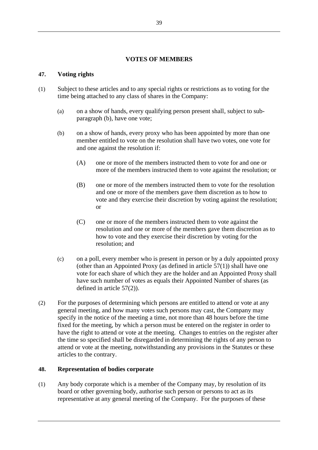# **VOTES OF MEMBERS**

# **47. Voting rights**

- <span id="page-44-0"></span>(1) Subject to these articles and to any special rights or restrictions as to voting for the time being attached to any class of shares in the Company:
	- (a) on a show of hands, every qualifying person present shall, subject to subparagraph [\(b\),](#page-44-0) have one vote;
	- (b) on a show of hands, every proxy who has been appointed by more than one member entitled to vote on the resolution shall have two votes, one vote for and one against the resolution if:
		- (A) one or more of the members instructed them to vote for and one or more of the members instructed them to vote against the resolution; or
		- (B) one or more of the members instructed them to vote for the resolution and one or more of the members gave them discretion as to how to vote and they exercise their discretion by voting against the resolution; or
		- (C) one or more of the members instructed them to vote against the resolution and one or more of the members gave them discretion as to how to vote and they exercise their discretion by voting for the resolution; and
	- (c) on a poll, every member who is present in person or by a duly appointed proxy (other than an Appointed Proxy (as defined in article [57\(1\)\)](#page-49-0) shall have one vote for each share of which they are the holder and an Appointed Proxy shall have such number of votes as equals their Appointed Number of shares (as defined in article [57\(2\)\)](#page-49-1).
- (2) For the purposes of determining which persons are entitled to attend or vote at any general meeting, and how many votes such persons may cast, the Company may specify in the notice of the meeting a time, not more than 48 hours before the time fixed for the meeting, by which a person must be entered on the register in order to have the right to attend or vote at the meeting. Changes to entries on the register after the time so specified shall be disregarded in determining the rights of any person to attend or vote at the meeting, notwithstanding any provisions in the Statutes or these articles to the contrary.

## **48. Representation of bodies corporate**

(1) Any body corporate which is a member of the Company may, by resolution of its board or other governing body, authorise such person or persons to act as its representative at any general meeting of the Company. For the purposes of these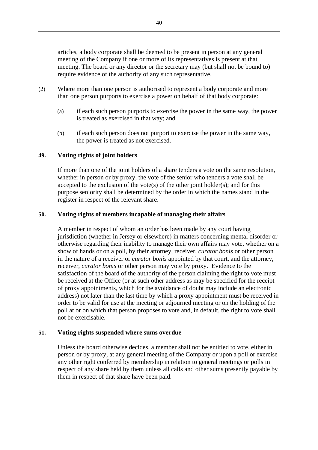articles, a body corporate shall be deemed to be present in person at any general meeting of the Company if one or more of its representatives is present at that meeting. The board or any director or the secretary may (but shall not be bound to) require evidence of the authority of any such representative.

- (2) Where more than one person is authorised to represent a body corporate and more than one person purports to exercise a power on behalf of that body corporate:
	- (a) if each such person purports to exercise the power in the same way, the power is treated as exercised in that way; and
	- (b) if each such person does not purport to exercise the power in the same way, the power is treated as not exercised.

# **49. Voting rights of joint holders**

If more than one of the joint holders of a share tenders a vote on the same resolution, whether in person or by proxy, the vote of the senior who tenders a vote shall be accepted to the exclusion of the vote(s) of the other joint holder(s); and for this purpose seniority shall be determined by the order in which the names stand in the register in respect of the relevant share.

## **50. Voting rights of members incapable of managing their affairs**

A member in respect of whom an order has been made by any court having jurisdiction (whether in Jersey or elsewhere) in matters concerning mental disorder or otherwise regarding their inability to manage their own affairs may vote, whether on a show of hands or on a poll, by their attorney, receiver, *curator bonis* or other person in the nature of a receiver or *curator bonis* appointed by that court, and the attorney, receiver, *curator bonis* or other person may vote by proxy. Evidence to the satisfaction of the board of the authority of the person claiming the right to vote must be received at the Office (or at such other address as may be specified for the receipt of proxy appointments, which for the avoidance of doubt may include an electronic address) not later than the last time by which a proxy appointment must be received in order to be valid for use at the meeting or adjourned meeting or on the holding of the poll at or on which that person proposes to vote and, in default, the right to vote shall not be exercisable.

## **51. Voting rights suspended where sums overdue**

Unless the board otherwise decides, a member shall not be entitled to vote, either in person or by proxy, at any general meeting of the Company or upon a poll or exercise any other right conferred by membership in relation to general meetings or polls in respect of any share held by them unless all calls and other sums presently payable by them in respect of that share have been paid.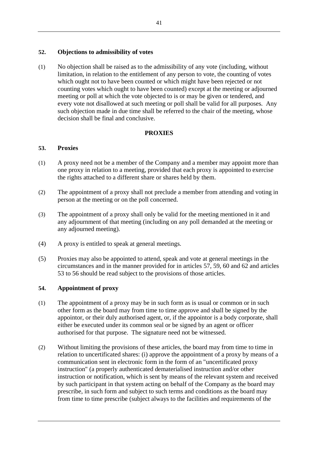# **52. Objections to admissibility of votes**

(1) No objection shall be raised as to the admissibility of any vote (including, without limitation, in relation to the entitlement of any person to vote, the counting of votes which ought not to have been counted or which might have been rejected or not counting votes which ought to have been counted) except at the meeting or adjourned meeting or poll at which the vote objected to is or may be given or tendered, and every vote not disallowed at such meeting or poll shall be valid for all purposes. Any such objection made in due time shall be referred to the chair of the meeting, whose decision shall be final and conclusive.

# **PROXIES**

# <span id="page-46-0"></span>**53. Proxies**

- (1) A proxy need not be a member of the Company and a member may appoint more than one proxy in relation to a meeting, provided that each proxy is appointed to exercise the rights attached to a different share or shares held by them.
- (2) The appointment of a proxy shall not preclude a member from attending and voting in person at the meeting or on the poll concerned.
- (3) The appointment of a proxy shall only be valid for the meeting mentioned in it and any adjournment of that meeting (including on any poll demanded at the meeting or any adjourned meeting).
- (4) A proxy is entitled to speak at general meetings.
- (5) Proxies may also be appointed to attend, speak and vote at general meetings in the circumstances and in the manner provided for in articles [57,](#page-49-2) [59,](#page-49-3) [60](#page-49-4) and [62](#page-50-0) and articles [53](#page-46-0) to [56](#page-48-0) should be read subject to the provisions of those articles.

# **54. Appointment of proxy**

- (1) The appointment of a proxy may be in such form as is usual or common or in such other form as the board may from time to time approve and shall be signed by the appointor, or their duly authorised agent, or, if the appointor is a body corporate, shall either be executed under its common seal or be signed by an agent or officer authorised for that purpose. The signature need not be witnessed.
- (2) Without limiting the provisions of these articles, the board may from time to time in relation to uncertificated shares: (i) approve the appointment of a proxy by means of a communication sent in electronic form in the form of an "uncertificated proxy instruction" (a properly authenticated dematerialised instruction and/or other instruction or notification, which is sent by means of the relevant system and received by such participant in that system acting on behalf of the Company as the board may prescribe, in such form and subject to such terms and conditions as the board may from time to time prescribe (subject always to the facilities and requirements of the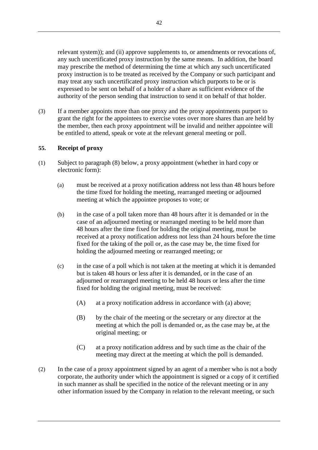relevant system)); and (ii) approve supplements to, or amendments or revocations of, any such uncertificated proxy instruction by the same means. In addition, the board may prescribe the method of determining the time at which any such uncertificated proxy instruction is to be treated as received by the Company or such participant and may treat any such uncertificated proxy instruction which purports to be or is expressed to be sent on behalf of a holder of a share as sufficient evidence of the authority of the person sending that instruction to send it on behalf of that holder.

(3) If a member appoints more than one proxy and the proxy appointments purport to grant the right for the appointees to exercise votes over more shares than are held by the member, then each proxy appointment will be invalid and neither appointee will be entitled to attend, speak or vote at the relevant general meeting or poll.

# **55. Receipt of proxy**

- (1) Subject to paragraph (8) below, a proxy appointment (whether in hard copy or electronic form):
	- (a) must be received at a proxy notification address not less than 48 hours before the time fixed for holding the meeting, rearranged meeting or adjourned meeting at which the appointee proposes to vote; or
	- (b) in the case of a poll taken more than 48 hours after it is demanded or in the case of an adjourned meeting or rearranged meeting to be held more than 48 hours after the time fixed for holding the original meeting, must be received at a proxy notification address not less than 24 hours before the time fixed for the taking of the poll or, as the case may be, the time fixed for holding the adjourned meeting or rearranged meeting; or
	- (c) in the case of a poll which is not taken at the meeting at which it is demanded but is taken 48 hours or less after it is demanded, or in the case of an adjourned or rearranged meeting to be held 48 hours or less after the time fixed for holding the original meeting, must be received:
		- (A) at a proxy notification address in accordance with (a) above;
		- (B) by the chair of the meeting or the secretary or any director at the meeting at which the poll is demanded or, as the case may be, at the original meeting; or
		- (C) at a proxy notification address and by such time as the chair of the meeting may direct at the meeting at which the poll is demanded.
- (2) In the case of a proxy appointment signed by an agent of a member who is not a body corporate, the authority under which the appointment is signed or a copy of it certified in such manner as shall be specified in the notice of the relevant meeting or in any other information issued by the Company in relation to the relevant meeting, or such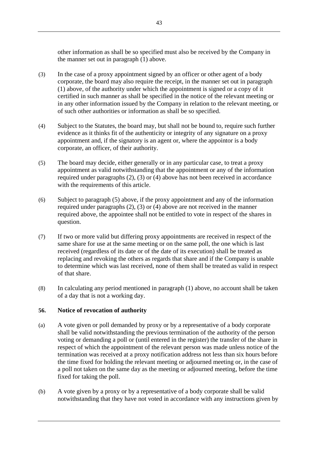other information as shall be so specified must also be received by the Company in the manner set out in paragraph (1) above.

- (3) In the case of a proxy appointment signed by an officer or other agent of a body corporate, the board may also require the receipt, in the manner set out in paragraph (1) above, of the authority under which the appointment is signed or a copy of it certified in such manner as shall be specified in the notice of the relevant meeting or in any other information issued by the Company in relation to the relevant meeting, or of such other authorities or information as shall be so specified.
- (4) Subject to the Statutes, the board may, but shall not be bound to, require such further evidence as it thinks fit of the authenticity or integrity of any signature on a proxy appointment and, if the signatory is an agent or, where the appointor is a body corporate, an officer, of their authority.
- (5) The board may decide, either generally or in any particular case, to treat a proxy appointment as valid notwithstanding that the appointment or any of the information required under paragraphs (2), (3) or (4) above has not been received in accordance with the requirements of this article.
- (6) Subject to paragraph (5) above, if the proxy appointment and any of the information required under paragraphs (2), (3) or (4) above are not received in the manner required above, the appointee shall not be entitled to vote in respect of the shares in question.
- (7) If two or more valid but differing proxy appointments are received in respect of the same share for use at the same meeting or on the same poll, the one which is last received (regardless of its date or of the date of its execution) shall be treated as replacing and revoking the others as regards that share and if the Company is unable to determine which was last received, none of them shall be treated as valid in respect of that share.
- (8) In calculating any period mentioned in paragraph (1) above, no account shall be taken of a day that is not a working day.

# <span id="page-48-0"></span>**56. Notice of revocation of authority**

- (a) A vote given or poll demanded by proxy or by a representative of a body corporate shall be valid notwithstanding the previous termination of the authority of the person voting or demanding a poll or (until entered in the register) the transfer of the share in respect of which the appointment of the relevant person was made unless notice of the termination was received at a proxy notification address not less than six hours before the time fixed for holding the relevant meeting or adjourned meeting or, in the case of a poll not taken on the same day as the meeting or adjourned meeting, before the time fixed for taking the poll.
- (b) A vote given by a proxy or by a representative of a body corporate shall be valid notwithstanding that they have not voted in accordance with any instructions given by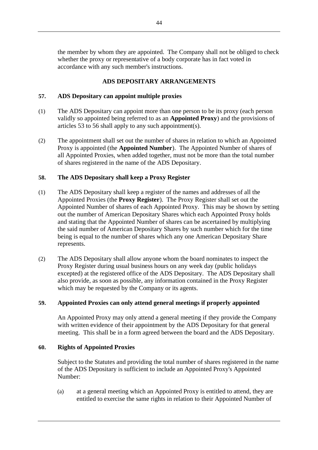the member by whom they are appointed. The Company shall not be obliged to check whether the proxy or representative of a body corporate has in fact voted in accordance with any such member's instructions.

# **ADS DEPOSITARY ARRANGEMENTS**

# <span id="page-49-2"></span>**57. ADS Depositary can appoint multiple proxies**

- <span id="page-49-0"></span>(1) The ADS Depositary can appoint more than one person to be its proxy (each person validly so appointed being referred to as an **Appointed Proxy**) and the provisions of articles [53](#page-46-0) to [56](#page-48-0) shall apply to any such appointment(s).
- <span id="page-49-1"></span>(2) The appointment shall set out the number of shares in relation to which an Appointed Proxy is appointed (the **Appointed Number**). The Appointed Number of shares of all Appointed Proxies, when added together, must not be more than the total number of shares registered in the name of the ADS Depositary.

# **58. The ADS Depositary shall keep a Proxy Register**

- (1) The ADS Depositary shall keep a register of the names and addresses of all the Appointed Proxies (the **Proxy Register**). The Proxy Register shall set out the Appointed Number of shares of each Appointed Proxy. This may be shown by setting out the number of American Depositary Shares which each Appointed Proxy holds and stating that the Appointed Number of shares can be ascertained by multiplying the said number of American Depositary Shares by such number which for the time being is equal to the number of shares which any one American Depositary Share represents.
- (2) The ADS Depositary shall allow anyone whom the board nominates to inspect the Proxy Register during usual business hours on any week day (public holidays excepted) at the registered office of the ADS Depositary. The ADS Depositary shall also provide, as soon as possible, any information contained in the Proxy Register which may be requested by the Company or its agents.

## <span id="page-49-3"></span>**59. Appointed Proxies can only attend general meetings if properly appointed**

An Appointed Proxy may only attend a general meeting if they provide the Company with written evidence of their appointment by the ADS Depositary for that general meeting. This shall be in a form agreed between the board and the ADS Depositary.

## <span id="page-49-4"></span>**60. Rights of Appointed Proxies**

Subject to the Statutes and providing the total number of shares registered in the name of the ADS Depositary is sufficient to include an Appointed Proxy's Appointed Number:

(a) at a general meeting which an Appointed Proxy is entitled to attend, they are entitled to exercise the same rights in relation to their Appointed Number of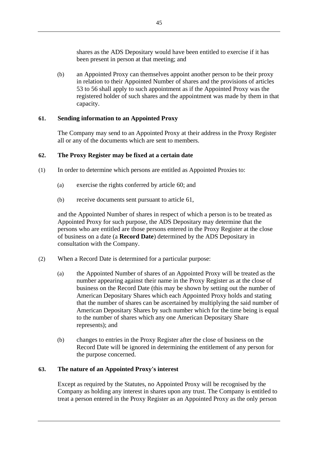shares as the ADS Depositary would have been entitled to exercise if it has been present in person at that meeting; and

(b) an Appointed Proxy can themselves appoint another person to be their proxy in relation to their Appointed Number of shares and the provisions of articles [53](#page-46-0) to [56](#page-48-0) shall apply to such appointment as if the Appointed Proxy was the registered holder of such shares and the appointment was made by them in that capacity.

# <span id="page-50-1"></span>**61. Sending information to an Appointed Proxy**

The Company may send to an Appointed Proxy at their address in the Proxy Register all or any of the documents which are sent to members.

# <span id="page-50-0"></span>**62. The Proxy Register may be fixed at a certain date**

- (1) In order to determine which persons are entitled as Appointed Proxies to:
	- (a) exercise the rights conferred by article [60;](#page-49-4) and
	- (b) receive documents sent pursuant to article [61,](#page-50-1)

and the Appointed Number of shares in respect of which a person is to be treated as Appointed Proxy for such purpose, the ADS Depositary may determine that the persons who are entitled are those persons entered in the Proxy Register at the close of business on a date (a **Record Date**) determined by the ADS Depositary in consultation with the Company.

- (2) When a Record Date is determined for a particular purpose:
	- (a) the Appointed Number of shares of an Appointed Proxy will be treated as the number appearing against their name in the Proxy Register as at the close of business on the Record Date (this may be shown by setting out the number of American Depositary Shares which each Appointed Proxy holds and stating that the number of shares can be ascertained by multiplying the said number of American Depositary Shares by such number which for the time being is equal to the number of shares which any one American Depositary Share represents); and
	- (b) changes to entries in the Proxy Register after the close of business on the Record Date will be ignored in determining the entitlement of any person for the purpose concerned.

## **63. The nature of an Appointed Proxy's interest**

Except as required by the Statutes, no Appointed Proxy will be recognised by the Company as holding any interest in shares upon any trust. The Company is entitled to treat a person entered in the Proxy Register as an Appointed Proxy as the only person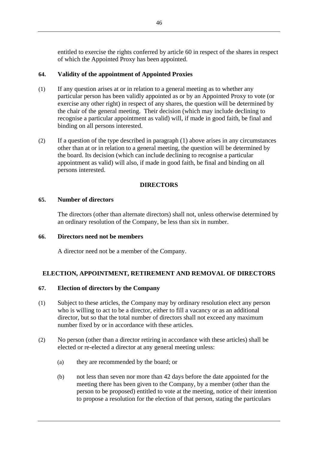entitled to exercise the rights conferred by article [60](#page-49-4) in respect of the shares in respect of which the Appointed Proxy has been appointed.

# **64. Validity of the appointment of Appointed Proxies**

- (1) If any question arises at or in relation to a general meeting as to whether any particular person has been validly appointed as or by an Appointed Proxy to vote (or exercise any other right) in respect of any shares, the question will be determined by the chair of the general meeting. Their decision (which may include declining to recognise a particular appointment as valid) will, if made in good faith, be final and binding on all persons interested.
- (2) If a question of the type described in paragraph (1) above arises in any circumstances other than at or in relation to a general meeting, the question will be determined by the board. Its decision (which can include declining to recognise a particular appointment as valid) will also, if made in good faith, be final and binding on all persons interested.

# **DIRECTORS**

## **65. Number of directors**

The directors (other than alternate directors) shall not, unless otherwise determined by an ordinary resolution of the Company, be less than six in number.

## **66. Directors need not be members**

A director need not be a member of the Company.

# **ELECTION, APPOINTMENT, RETIREMENT AND REMOVAL OF DIRECTORS**

## **67. Election of directors by the Company**

- (1) Subject to these articles, the Company may by ordinary resolution elect any person who is willing to act to be a director, either to fill a vacancy or as an additional director, but so that the total number of directors shall not exceed any maximum number fixed by or in accordance with these articles.
- (2) No person (other than a director retiring in accordance with these articles) shall be elected or re-elected a director at any general meeting unless:
	- (a) they are recommended by the board; or
	- (b) not less than seven nor more than 42 days before the date appointed for the meeting there has been given to the Company, by a member (other than the person to be proposed) entitled to vote at the meeting, notice of their intention to propose a resolution for the election of that person, stating the particulars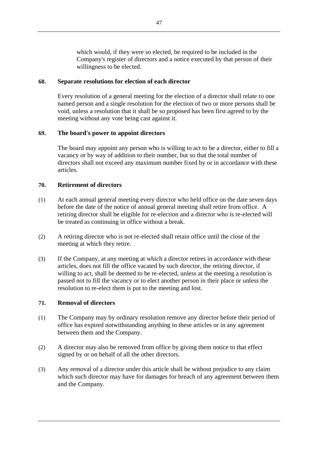which would, if they were so elected, be required to be included in the Company's register of directors and a notice executed by that person of their willingness to be elected.

## **68. Separate resolutions for election of each director**

Every resolution of a general meeting for the election of a director shall relate to one named person and a single resolution for the election of two or more persons shall be void, unless a resolution that it shall be so proposed has been first agreed to by the meeting without any vote being cast against it.

# **69. The board's power to appoint directors**

The board may appoint any person who is willing to act to be a director, either to fill a vacancy or by way of addition to their number, but so that the total number of directors shall not exceed any maximum number fixed by or in accordance with these articles.

## **70. Retirement of directors**

- (1) At each annual general meeting every director who held office on the date seven days before the date of the notice of annual general meeting shall retire from office. A retiring director shall be eligible for re-election and a director who is re-elected will be treated as continuing in office without a break.
- (2) A retiring director who is not re-elected shall retain office until the close of the meeting at which they retire.
- (3) If the Company, at any meeting at which a director retires in accordance with these articles, does not fill the office vacated by such director, the retiring director, if willing to act, shall be deemed to be re-elected, unless at the meeting a resolution is passed not to fill the vacancy or to elect another person in their place or unless the resolution to re-elect them is put to the meeting and lost.

## **71. Removal of directors**

- (1) The Company may by ordinary resolution remove any director before their period of office has expired notwithstanding anything in these articles or in any agreement between them and the Company.
- (2) A director may also be removed from office by giving them notice to that effect signed by or on behalf of all the other directors.
- (3) Any removal of a director under this article shall be without prejudice to any claim which such director may have for damages for breach of any agreement between them and the Company.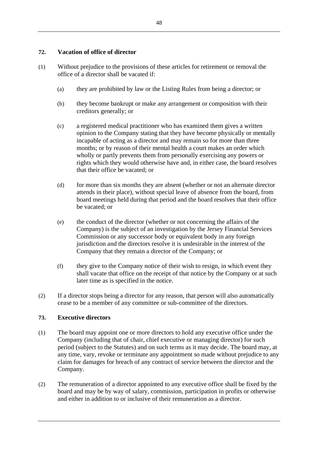# **72. Vacation of office of director**

- (1) Without prejudice to the provisions of these articles for retirement or removal the office of a director shall be vacated if:
	- (a) they are prohibited by law or the Listing Rules from being a director; or
	- (b) they become bankrupt or make any arrangement or composition with their creditors generally; or
	- (c) a registered medical practitioner who has examined them gives a written opinion to the Company stating that they have become physically or mentally incapable of acting as a director and may remain so for more than three months; or by reason of their mental health a court makes an order which wholly or partly prevents them from personally exercising any powers or rights which they would otherwise have and, in either case, the board resolves that their office be vacated; or
	- (d) for more than six months they are absent (whether or not an alternate director attends in their place), without special leave of absence from the board, from board meetings held during that period and the board resolves that their office be vacated; or
	- (e) the conduct of the director (whether or not concerning the affairs of the Company) is the subject of an investigation by the Jersey Financial Services Commission or any successor body or equivalent body in any foreign jurisdiction and the directors resolve it is undesirable in the interest of the Company that they remain a director of the Company; or
	- (f) they give to the Company notice of their wish to resign, in which event they shall vacate that office on the receipt of that notice by the Company or at such later time as is specified in the notice.
- (2) If a director stops being a director for any reason, that person will also automatically cease to be a member of any committee or sub-committee of the directors.

# **73. Executive directors**

- (1) The board may appoint one or more directors to hold any executive office under the Company (including that of chair, chief executive or managing director) for such period (subject to the Statutes) and on such terms as it may decide. The board may, at any time, vary, revoke or terminate any appointment so made without prejudice to any claim for damages for breach of any contract of service between the director and the Company.
- (2) The remuneration of a director appointed to any executive office shall be fixed by the board and may be by way of salary, commission, participation in profits or otherwise and either in addition to or inclusive of their remuneration as a director.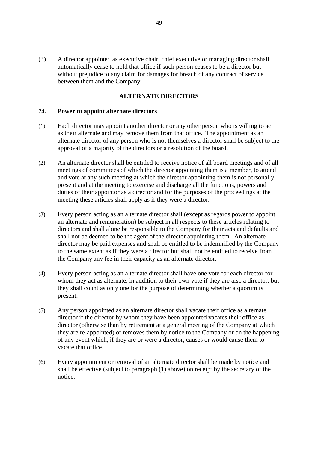(3) A director appointed as executive chair, chief executive or managing director shall automatically cease to hold that office if such person ceases to be a director but without prejudice to any claim for damages for breach of any contract of service between them and the Company.

### **ALTERNATE DIRECTORS**

#### **74. Power to appoint alternate directors**

- (1) Each director may appoint another director or any other person who is willing to act as their alternate and may remove them from that office. The appointment as an alternate director of any person who is not themselves a director shall be subject to the approval of a majority of the directors or a resolution of the board.
- (2) An alternate director shall be entitled to receive notice of all board meetings and of all meetings of committees of which the director appointing them is a member, to attend and vote at any such meeting at which the director appointing them is not personally present and at the meeting to exercise and discharge all the functions, powers and duties of their appointor as a director and for the purposes of the proceedings at the meeting these articles shall apply as if they were a director.
- (3) Every person acting as an alternate director shall (except as regards power to appoint an alternate and remuneration) be subject in all respects to these articles relating to directors and shall alone be responsible to the Company for their acts and defaults and shall not be deemed to be the agent of the director appointing them. An alternate director may be paid expenses and shall be entitled to be indemnified by the Company to the same extent as if they were a director but shall not be entitled to receive from the Company any fee in their capacity as an alternate director.
- (4) Every person acting as an alternate director shall have one vote for each director for whom they act as alternate, in addition to their own vote if they are also a director, but they shall count as only one for the purpose of determining whether a quorum is present.
- (5) Any person appointed as an alternate director shall vacate their office as alternate director if the director by whom they have been appointed vacates their office as director (otherwise than by retirement at a general meeting of the Company at which they are re-appointed) or removes them by notice to the Company or on the happening of any event which, if they are or were a director, causes or would cause them to vacate that office.
- (6) Every appointment or removal of an alternate director shall be made by notice and shall be effective (subject to paragraph (1) above) on receipt by the secretary of the notice.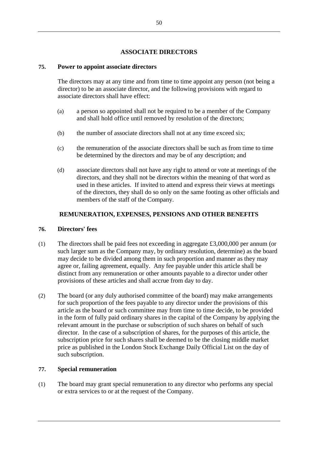# **ASSOCIATE DIRECTORS**

# **75. Power to appoint associate directors**

The directors may at any time and from time to time appoint any person (not being a director) to be an associate director, and the following provisions with regard to associate directors shall have effect:

- (a) a person so appointed shall not be required to be a member of the Company and shall hold office until removed by resolution of the directors;
- (b) the number of associate directors shall not at any time exceed six;
- (c) the remuneration of the associate directors shall be such as from time to time be determined by the directors and may be of any description; and
- (d) associate directors shall not have any right to attend or vote at meetings of the directors, and they shall not be directors within the meaning of that word as used in these articles. If invited to attend and express their views at meetings of the directors, they shall do so only on the same footing as other officials and members of the staff of the Company.

# **REMUNERATION, EXPENSES, PENSIONS AND OTHER BENEFITS**

## **76. Directors' fees**

- (1) The directors shall be paid fees not exceeding in aggregate £3,000,000 per annum (or such larger sum as the Company may, by ordinary resolution, determine) as the board may decide to be divided among them in such proportion and manner as they may agree or, failing agreement, equally. Any fee payable under this article shall be distinct from any remuneration or other amounts payable to a director under other provisions of these articles and shall accrue from day to day.
- (2) The board (or any duly authorised committee of the board) may make arrangements for such proportion of the fees payable to any director under the provisions of this article as the board or such committee may from time to time decide, to be provided in the form of fully paid ordinary shares in the capital of the Company by applying the relevant amount in the purchase or subscription of such shares on behalf of such director. In the case of a subscription of shares, for the purposes of this article, the subscription price for such shares shall be deemed to be the closing middle market price as published in the London Stock Exchange Daily Official List on the day of such subscription.

## **77. Special remuneration**

(1) The board may grant special remuneration to any director who performs any special or extra services to or at the request of the Company.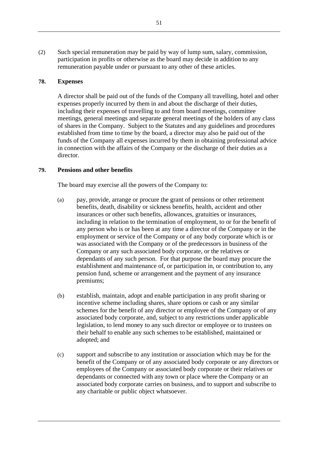(2) Such special remuneration may be paid by way of lump sum, salary, commission, participation in profits or otherwise as the board may decide in addition to any remuneration payable under or pursuant to any other of these articles.

## **78. Expenses**

A director shall be paid out of the funds of the Company all travelling, hotel and other expenses properly incurred by them in and about the discharge of their duties, including their expenses of travelling to and from board meetings, committee meetings, general meetings and separate general meetings of the holders of any class of shares in the Company. Subject to the Statutes and any guidelines and procedures established from time to time by the board, a director may also be paid out of the funds of the Company all expenses incurred by them in obtaining professional advice in connection with the affairs of the Company or the discharge of their duties as a director.

#### **79. Pensions and other benefits**

The board may exercise all the powers of the Company to:

- (a) pay, provide, arrange or procure the grant of pensions or other retirement benefits, death, disability or sickness benefits, health, accident and other insurances or other such benefits, allowances, gratuities or insurances, including in relation to the termination of employment, to or for the benefit of any person who is or has been at any time a director of the Company or in the employment or service of the Company or of any body corporate which is or was associated with the Company or of the predecessors in business of the Company or any such associated body corporate, or the relatives or dependants of any such person. For that purpose the board may procure the establishment and maintenance of, or participation in, or contribution to, any pension fund, scheme or arrangement and the payment of any insurance premiums;
- (b) establish, maintain, adopt and enable participation in any profit sharing or incentive scheme including shares, share options or cash or any similar schemes for the benefit of any director or employee of the Company or of any associated body corporate, and, subject to any restrictions under applicable legislation, to lend money to any such director or employee or to trustees on their behalf to enable any such schemes to be established, maintained or adopted; and
- (c) support and subscribe to any institution or association which may be for the benefit of the Company or of any associated body corporate or any directors or employees of the Company or associated body corporate or their relatives or dependants or connected with any town or place where the Company or an associated body corporate carries on business, and to support and subscribe to any charitable or public object whatsoever.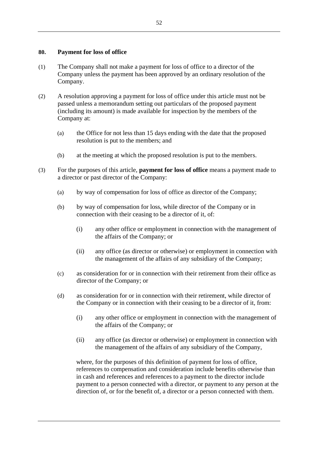### **80. Payment for loss of office**

- (1) The Company shall not make a payment for loss of office to a director of the Company unless the payment has been approved by an ordinary resolution of the Company.
- (2) A resolution approving a payment for loss of office under this article must not be passed unless a memorandum setting out particulars of the proposed payment (including its amount) is made available for inspection by the members of the Company at:
	- (a) the Office for not less than 15 days ending with the date that the proposed resolution is put to the members; and
	- (b) at the meeting at which the proposed resolution is put to the members.
- (3) For the purposes of this article, **payment for loss of office** means a payment made to a director or past director of the Company:
	- (a) by way of compensation for loss of office as director of the Company;
	- (b) by way of compensation for loss, while director of the Company or in connection with their ceasing to be a director of it, of:
		- (i) any other office or employment in connection with the management of the affairs of the Company; or
		- (ii) any office (as director or otherwise) or employment in connection with the management of the affairs of any subsidiary of the Company;
	- (c) as consideration for or in connection with their retirement from their office as director of the Company; or
	- (d) as consideration for or in connection with their retirement, while director of the Company or in connection with their ceasing to be a director of it, from:
		- (i) any other office or employment in connection with the management of the affairs of the Company; or
		- (ii) any office (as director or otherwise) or employment in connection with the management of the affairs of any subsidiary of the Company,

where, for the purposes of this definition of payment for loss of office, references to compensation and consideration include benefits otherwise than in cash and references and references to a payment to the director include payment to a person connected with a director, or payment to any person at the direction of, or for the benefit of, a director or a person connected with them.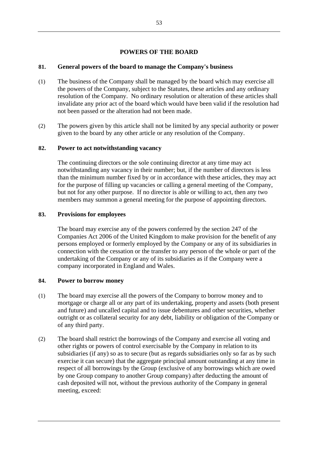# **POWERS OF THE BOARD**

## **81. General powers of the board to manage the Company's business**

- (1) The business of the Company shall be managed by the board which may exercise all the powers of the Company, subject to the Statutes, these articles and any ordinary resolution of the Company. No ordinary resolution or alteration of these articles shall invalidate any prior act of the board which would have been valid if the resolution had not been passed or the alteration had not been made.
- (2) The powers given by this article shall not be limited by any special authority or power given to the board by any other article or any resolution of the Company.

## <span id="page-58-0"></span>**82. Power to act notwithstanding vacancy**

The continuing directors or the sole continuing director at any time may act notwithstanding any vacancy in their number; but, if the number of directors is less than the minimum number fixed by or in accordance with these articles, they may act for the purpose of filling up vacancies or calling a general meeting of the Company, but not for any other purpose. If no director is able or willing to act, then any two members may summon a general meeting for the purpose of appointing directors.

#### **83. Provisions for employees**

The board may exercise any of the powers conferred by the section 247 of the Companies Act 2006 of the United Kingdom to make provision for the benefit of any persons employed or formerly employed by the Company or any of its subsidiaries in connection with the cessation or the transfer to any person of the whole or part of the undertaking of the Company or any of its subsidiaries as if the Company were a company incorporated in England and Wales.

## **84. Power to borrow money**

- (1) The board may exercise all the powers of the Company to borrow money and to mortgage or charge all or any part of its undertaking, property and assets (both present and future) and uncalled capital and to issue debentures and other securities, whether outright or as collateral security for any debt, liability or obligation of the Company or of any third party.
- (2) The board shall restrict the borrowings of the Company and exercise all voting and other rights or powers of control exercisable by the Company in relation to its subsidiaries (if any) so as to secure (but as regards subsidiaries only so far as by such exercise it can secure) that the aggregate principal amount outstanding at any time in respect of all borrowings by the Group (exclusive of any borrowings which are owed by one Group company to another Group company) after deducting the amount of cash deposited will not, without the previous authority of the Company in general meeting, exceed: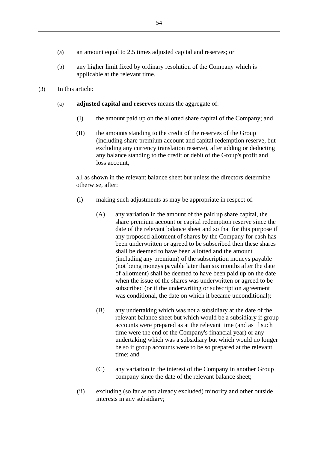- (a) an amount equal to 2.5 times adjusted capital and reserves; or
- (b) any higher limit fixed by ordinary resolution of the Company which is applicable at the relevant time.
- (3) In this article:
	- (a) **adjusted capital and reserves** means the aggregate of:
		- (I) the amount paid up on the allotted share capital of the Company; and
		- (II) the amounts standing to the credit of the reserves of the Group (including share premium account and capital redemption reserve, but excluding any currency translation reserve), after adding or deducting any balance standing to the credit or debit of the Group's profit and loss account,

all as shown in the relevant balance sheet but unless the directors determine otherwise, after:

- (i) making such adjustments as may be appropriate in respect of:
	- (A) any variation in the amount of the paid up share capital, the share premium account or capital redemption reserve since the date of the relevant balance sheet and so that for this purpose if any proposed allotment of shares by the Company for cash has been underwritten or agreed to be subscribed then these shares shall be deemed to have been allotted and the amount (including any premium) of the subscription moneys payable (not being moneys payable later than six months after the date of allotment) shall be deemed to have been paid up on the date when the issue of the shares was underwritten or agreed to be subscribed (or if the underwriting or subscription agreement was conditional, the date on which it became unconditional);
	- (B) any undertaking which was not a subsidiary at the date of the relevant balance sheet but which would be a subsidiary if group accounts were prepared as at the relevant time (and as if such time were the end of the Company's financial year) or any undertaking which was a subsidiary but which would no longer be so if group accounts were to be so prepared at the relevant time; and
	- (C) any variation in the interest of the Company in another Group company since the date of the relevant balance sheet;
- (ii) excluding (so far as not already excluded) minority and other outside interests in any subsidiary;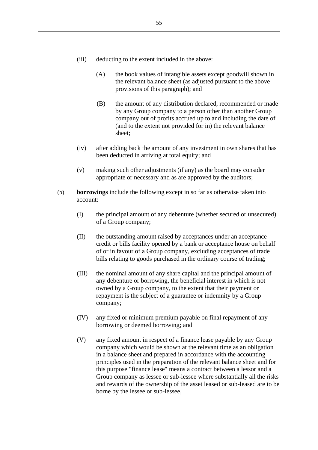- (iii) deducting to the extent included in the above:
	- (A) the book values of intangible assets except goodwill shown in the relevant balance sheet (as adjusted pursuant to the above provisions of this paragraph); and
	- (B) the amount of any distribution declared, recommended or made by any Group company to a person other than another Group company out of profits accrued up to and including the date of (and to the extent not provided for in) the relevant balance sheet;
- (iv) after adding back the amount of any investment in own shares that has been deducted in arriving at total equity; and
- (v) making such other adjustments (if any) as the board may consider appropriate or necessary and as are approved by the auditors;
- (b) **borrowings** include the following except in so far as otherwise taken into account:
	- (I) the principal amount of any debenture (whether secured or unsecured) of a Group company;
	- (II) the outstanding amount raised by acceptances under an acceptance credit or bills facility opened by a bank or acceptance house on behalf of or in favour of a Group company, excluding acceptances of trade bills relating to goods purchased in the ordinary course of trading;
	- (III) the nominal amount of any share capital and the principal amount of any debenture or borrowing, the beneficial interest in which is not owned by a Group company, to the extent that their payment or repayment is the subject of a guarantee or indemnity by a Group company;
	- (IV) any fixed or minimum premium payable on final repayment of any borrowing or deemed borrowing; and
	- (V) any fixed amount in respect of a finance lease payable by any Group company which would be shown at the relevant time as an obligation in a balance sheet and prepared in accordance with the accounting principles used in the preparation of the relevant balance sheet and for this purpose "finance lease" means a contract between a lessor and a Group company as lessee or sub-lessee where substantially all the risks and rewards of the ownership of the asset leased or sub-leased are to be borne by the lessee or sub-lessee,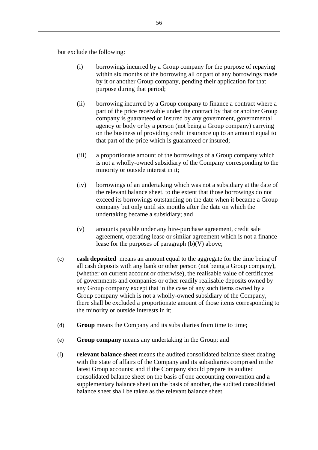but exclude the following:

- (i) borrowings incurred by a Group company for the purpose of repaying within six months of the borrowing all or part of any borrowings made by it or another Group company, pending their application for that purpose during that period;
- (ii) borrowing incurred by a Group company to finance a contract where a part of the price receivable under the contract by that or another Group company is guaranteed or insured by any government, governmental agency or body or by a person (not being a Group company) carrying on the business of providing credit insurance up to an amount equal to that part of the price which is guaranteed or insured;
- (iii) a proportionate amount of the borrowings of a Group company which is not a wholly-owned subsidiary of the Company corresponding to the minority or outside interest in it;
- (iv) borrowings of an undertaking which was not a subsidiary at the date of the relevant balance sheet, to the extent that those borrowings do not exceed its borrowings outstanding on the date when it became a Group company but only until six months after the date on which the undertaking became a subsidiary; and
- (v) amounts payable under any hire-purchase agreement, credit sale agreement, operating lease or similar agreement which is not a finance lease for the purposes of paragraph (b)(V) above;
- (c) **cash deposited** means an amount equal to the aggregate for the time being of all cash deposits with any bank or other person (not being a Group company), (whether on current account or otherwise), the realisable value of certificates of governments and companies or other readily realisable deposits owned by any Group company except that in the case of any such items owned by a Group company which is not a wholly-owned subsidiary of the Company, there shall be excluded a proportionate amount of those items corresponding to the minority or outside interests in it;
- (d) **Group** means the Company and its subsidiaries from time to time;
- (e) **Group company** means any undertaking in the Group; and
- (f) **relevant balance sheet** means the audited consolidated balance sheet dealing with the state of affairs of the Company and its subsidiaries comprised in the latest Group accounts; and if the Company should prepare its audited consolidated balance sheet on the basis of one accounting convention and a supplementary balance sheet on the basis of another, the audited consolidated balance sheet shall be taken as the relevant balance sheet.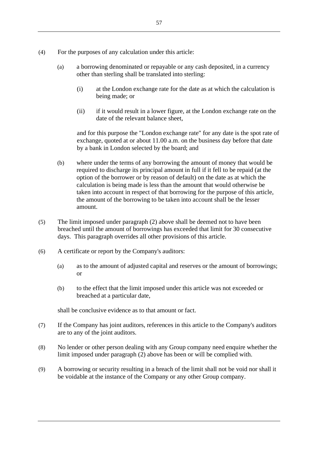- (4) For the purposes of any calculation under this article:
	- (a) a borrowing denominated or repayable or any cash deposited, in a currency other than sterling shall be translated into sterling:
		- (i) at the London exchange rate for the date as at which the calculation is being made; or
		- (ii) if it would result in a lower figure, at the London exchange rate on the date of the relevant balance sheet,

and for this purpose the "London exchange rate" for any date is the spot rate of exchange, quoted at or about 11.00 a.m. on the business day before that date by a bank in London selected by the board; and

- (b) where under the terms of any borrowing the amount of money that would be required to discharge its principal amount in full if it fell to be repaid (at the option of the borrower or by reason of default) on the date as at which the calculation is being made is less than the amount that would otherwise be taken into account in respect of that borrowing for the purpose of this article, the amount of the borrowing to be taken into account shall be the lesser amount.
- (5) The limit imposed under paragraph (2) above shall be deemed not to have been breached until the amount of borrowings has exceeded that limit for 30 consecutive days. This paragraph overrides all other provisions of this article.
- (6) A certificate or report by the Company's auditors:
	- (a) as to the amount of adjusted capital and reserves or the amount of borrowings; or
	- (b) to the effect that the limit imposed under this article was not exceeded or breached at a particular date,

shall be conclusive evidence as to that amount or fact.

- (7) If the Company has joint auditors, references in this article to the Company's auditors are to any of the joint auditors.
- (8) No lender or other person dealing with any Group company need enquire whether the limit imposed under paragraph (2) above has been or will be complied with.
- (9) A borrowing or security resulting in a breach of the limit shall not be void nor shall it be voidable at the instance of the Company or any other Group company.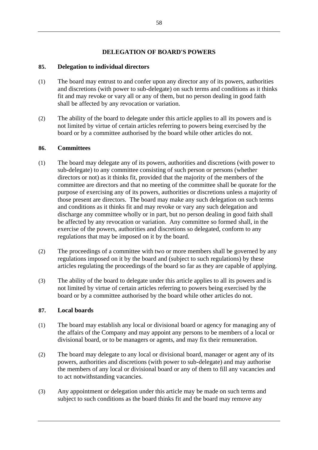# **DELEGATION OF BOARD'S POWERS**

# **85. Delegation to individual directors**

- (1) The board may entrust to and confer upon any director any of its powers, authorities and discretions (with power to sub-delegate) on such terms and conditions as it thinks fit and may revoke or vary all or any of them, but no person dealing in good faith shall be affected by any revocation or variation.
- (2) The ability of the board to delegate under this article applies to all its powers and is not limited by virtue of certain articles referring to powers being exercised by the board or by a committee authorised by the board while other articles do not.

## **86. Committees**

- (1) The board may delegate any of its powers, authorities and discretions (with power to sub-delegate) to any committee consisting of such person or persons (whether directors or not) as it thinks fit, provided that the majority of the members of the committee are directors and that no meeting of the committee shall be quorate for the purpose of exercising any of its powers, authorities or discretions unless a majority of those present are directors. The board may make any such delegation on such terms and conditions as it thinks fit and may revoke or vary any such delegation and discharge any committee wholly or in part, but no person dealing in good faith shall be affected by any revocation or variation. Any committee so formed shall, in the exercise of the powers, authorities and discretions so delegated, conform to any regulations that may be imposed on it by the board.
- (2) The proceedings of a committee with two or more members shall be governed by any regulations imposed on it by the board and (subject to such regulations) by these articles regulating the proceedings of the board so far as they are capable of applying.
- (3) The ability of the board to delegate under this article applies to all its powers and is not limited by virtue of certain articles referring to powers being exercised by the board or by a committee authorised by the board while other articles do not.

## **87. Local boards**

- (1) The board may establish any local or divisional board or agency for managing any of the affairs of the Company and may appoint any persons to be members of a local or divisional board, or to be managers or agents, and may fix their remuneration.
- (2) The board may delegate to any local or divisional board, manager or agent any of its powers, authorities and discretions (with power to sub-delegate) and may authorise the members of any local or divisional board or any of them to fill any vacancies and to act notwithstanding vacancies.
- (3) Any appointment or delegation under this article may be made on such terms and subject to such conditions as the board thinks fit and the board may remove any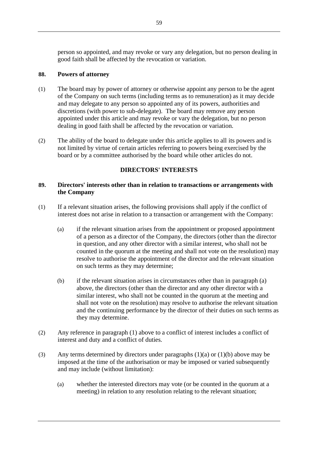person so appointed, and may revoke or vary any delegation, but no person dealing in good faith shall be affected by the revocation or variation.

# **88. Powers of attorney**

- (1) The board may by power of attorney or otherwise appoint any person to be the agent of the Company on such terms (including terms as to remuneration) as it may decide and may delegate to any person so appointed any of its powers, authorities and discretions (with power to sub-delegate). The board may remove any person appointed under this article and may revoke or vary the delegation, but no person dealing in good faith shall be affected by the revocation or variation.
- (2) The ability of the board to delegate under this article applies to all its powers and is not limited by virtue of certain articles referring to powers being exercised by the board or by a committee authorised by the board while other articles do not.

# **DIRECTORS' INTERESTS**

# **89. Directors' interests other than in relation to transactions or arrangements with the Company**

- <span id="page-64-0"></span>(1) If a relevant situation arises, the following provisions shall apply if the conflict of interest does not arise in relation to a transaction or arrangement with the Company:
	- (a) if the relevant situation arises from the appointment or proposed appointment of a person as a director of the Company, the directors (other than the director in question, and any other director with a similar interest, who shall not be counted in the quorum at the meeting and shall not vote on the resolution) may resolve to authorise the appointment of the director and the relevant situation on such terms as they may determine;
	- (b) if the relevant situation arises in circumstances other than in paragraph (a) above, the directors (other than the director and any other director with a similar interest, who shall not be counted in the quorum at the meeting and shall not vote on the resolution) may resolve to authorise the relevant situation and the continuing performance by the director of their duties on such terms as they may determine.
- (2) Any reference in paragraph (1) above to a conflict of interest includes a conflict of interest and duty and a conflict of duties.
- (3) Any terms determined by directors under paragraphs (1)(a) or (1)(b) above may be imposed at the time of the authorisation or may be imposed or varied subsequently and may include (without limitation):
	- (a) whether the interested directors may vote (or be counted in the quorum at a meeting) in relation to any resolution relating to the relevant situation;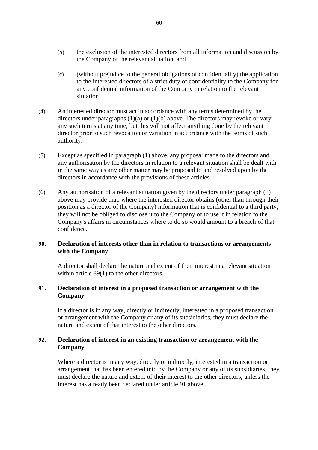- (b) the exclusion of the interested directors from all information and discussion by the Company of the relevant situation; and
- (c) (without prejudice to the general obligations of confidentiality) the application to the interested directors of a strict duty of confidentiality to the Company for any confidential information of the Company in relation to the relevant situation.
- (4) An interested director must act in accordance with any terms determined by the directors under paragraphs  $(1)(a)$  or  $(1)(b)$  above. The directors may revoke or vary any such terms at any time, but this will not affect anything done by the relevant director prior to such revocation or variation in accordance with the terms of such authority.
- (5) Except as specified in paragraph (1) above, any proposal made to the directors and any authorisation by the directors in relation to a relevant situation shall be dealt with in the same way as any other matter may be proposed to and resolved upon by the directors in accordance with the provisions of these articles.
- (6) Any authorisation of a relevant situation given by the directors under paragraph (1) above may provide that, where the interested director obtains (other than through their position as a director of the Company) information that is confidential to a third party, they will not be obliged to disclose it to the Company or to use it in relation to the Company's affairs in circumstances where to do so would amount to a breach of that confidence.

# <span id="page-65-1"></span>**90. Declaration of interests other than in relation to transactions or arrangements with the Company**

A director shall declare the nature and extent of their interest in a relevant situation within article [89\(1\)](#page-64-0) to the other directors.

# <span id="page-65-0"></span>**91. Declaration of interest in a proposed transaction or arrangement with the Company**

If a director is in any way, directly or indirectly, interested in a proposed transaction or arrangement with the Company or any of its subsidiaries, they must declare the nature and extent of that interest to the other directors.

# <span id="page-65-2"></span>**92. Declaration of interest in an existing transaction or arrangement with the Company**

Where a director is in any way, directly or indirectly, interested in a transaction or arrangement that has been entered into by the Company or any of its subsidiaries, they must declare the nature and extent of their interest to the other directors, unless the interest has already been declared under article [91](#page-65-0) above.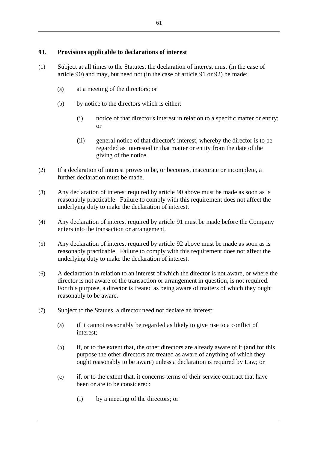# **93. Provisions applicable to declarations of interest**

- (1) Subject at all times to the Statutes, the declaration of interest must (in the case of article [90\)](#page-65-1) and may, but need not (in the case of article [91](#page-65-0) or [92\)](#page-65-2) be made:
	- (a) at a meeting of the directors; or
	- (b) by notice to the directors which is either:
		- (i) notice of that director's interest in relation to a specific matter or entity; or
		- (ii) general notice of that director's interest, whereby the director is to be regarded as interested in that matter or entity from the date of the giving of the notice.
- (2) If a declaration of interest proves to be, or becomes, inaccurate or incomplete, a further declaration must be made.
- (3) Any declaration of interest required by article [90](#page-65-1) above must be made as soon as is reasonably practicable. Failure to comply with this requirement does not affect the underlying duty to make the declaration of interest.
- (4) Any declaration of interest required by article [91](#page-65-0) must be made before the Company enters into the transaction or arrangement.
- (5) Any declaration of interest required by article [92](#page-65-2) above must be made as soon as is reasonably practicable. Failure to comply with this requirement does not affect the underlying duty to make the declaration of interest.
- (6) A declaration in relation to an interest of which the director is not aware, or where the director is not aware of the transaction or arrangement in question, is not required. For this purpose, a director is treated as being aware of matters of which they ought reasonably to be aware.
- (7) Subject to the Statues, a director need not declare an interest:
	- (a) if it cannot reasonably be regarded as likely to give rise to a conflict of interest;
	- (b) if, or to the extent that, the other directors are already aware of it (and for this purpose the other directors are treated as aware of anything of which they ought reasonably to be aware) unless a declaration is required by Law; or
	- (c) if, or to the extent that, it concerns terms of their service contract that have been or are to be considered:
		- (i) by a meeting of the directors; or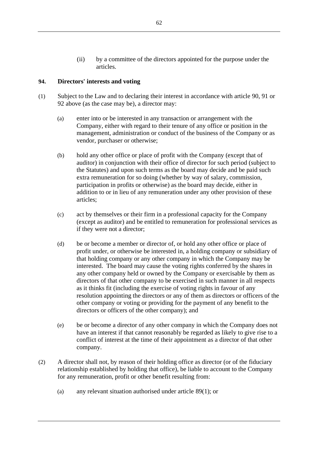(ii) by a committee of the directors appointed for the purpose under the articles.

# **94. Directors' interests and voting**

- <span id="page-67-1"></span><span id="page-67-0"></span>(1) Subject to the Law and to declaring their interest in accordance with article [90,](#page-65-1) [91](#page-65-0) or [92](#page-65-2) above (as the case may be), a director may:
	- (a) enter into or be interested in any transaction or arrangement with the Company, either with regard to their tenure of any office or position in the management, administration or conduct of the business of the Company or as vendor, purchaser or otherwise;
	- (b) hold any other office or place of profit with the Company (except that of auditor) in conjunction with their office of director for such period (subject to the Statutes) and upon such terms as the board may decide and be paid such extra remuneration for so doing (whether by way of salary, commission, participation in profits or otherwise) as the board may decide, either in addition to or in lieu of any remuneration under any other provision of these articles;
	- (c) act by themselves or their firm in a professional capacity for the Company (except as auditor) and be entitled to remuneration for professional services as if they were not a director;
	- (d) be or become a member or director of, or hold any other office or place of profit under, or otherwise be interested in, a holding company or subsidiary of that holding company or any other company in which the Company may be interested. The board may cause the voting rights conferred by the shares in any other company held or owned by the Company or exercisable by them as directors of that other company to be exercised in such manner in all respects as it thinks fit (including the exercise of voting rights in favour of any resolution appointing the directors or any of them as directors or officers of the other company or voting or providing for the payment of any benefit to the directors or officers of the other company); and
	- (e) be or become a director of any other company in which the Company does not have an interest if that cannot reasonably be regarded as likely to give rise to a conflict of interest at the time of their appointment as a director of that other company.
- (2) A director shall not, by reason of their holding office as director (or of the fiduciary relationship established by holding that office), be liable to account to the Company for any remuneration, profit or other benefit resulting from:
	- (a) any relevant situation authorised under article [89\(1\);](#page-64-0) or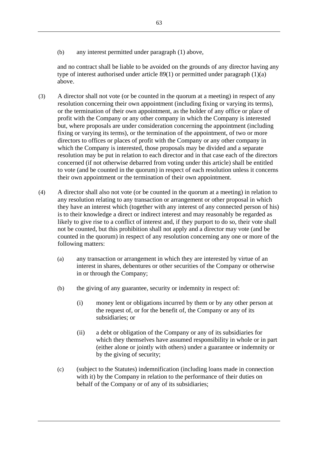(b) any interest permitted under paragraph [\(1\)](#page-67-0) above,

and no contract shall be liable to be avoided on the grounds of any director having any type of interest authorised under article [89\(1\)](#page-64-0) or permitted under paragraph [\(1\)](#page-67-0)[\(a\)](#page-67-1)  [above.](#page-67-1)

- (3) A director shall not vote (or be counted in the quorum at a meeting) in respect of any resolution concerning their own appointment (including fixing or varying its terms), or the termination of their own appointment, as the holder of any office or place of profit with the Company or any other company in which the Company is interested but, where proposals are under consideration concerning the appointment (including fixing or varying its terms), or the termination of the appointment, of two or more directors to offices or places of profit with the Company or any other company in which the Company is interested, those proposals may be divided and a separate resolution may be put in relation to each director and in that case each of the directors concerned (if not otherwise debarred from voting under this article) shall be entitled to vote (and be counted in the quorum) in respect of each resolution unless it concerns their own appointment or the termination of their own appointment.
- (4) A director shall also not vote (or be counted in the quorum at a meeting) in relation to any resolution relating to any transaction or arrangement or other proposal in which they have an interest which (together with any interest of any connected person of his) is to their knowledge a direct or indirect interest and may reasonably be regarded as likely to give rise to a conflict of interest and, if they purport to do so, their vote shall not be counted, but this prohibition shall not apply and a director may vote (and be counted in the quorum) in respect of any resolution concerning any one or more of the following matters:
	- (a) any transaction or arrangement in which they are interested by virtue of an interest in shares, debentures or other securities of the Company or otherwise in or through the Company;
	- (b) the giving of any guarantee, security or indemnity in respect of:
		- (i) money lent or obligations incurred by them or by any other person at the request of, or for the benefit of, the Company or any of its subsidiaries; or
		- (ii) a debt or obligation of the Company or any of its subsidiaries for which they themselves have assumed responsibility in whole or in part (either alone or jointly with others) under a guarantee or indemnity or by the giving of security;
	- (c) (subject to the Statutes) indemnification (including loans made in connection with it) by the Company in relation to the performance of their duties on behalf of the Company or of any of its subsidiaries;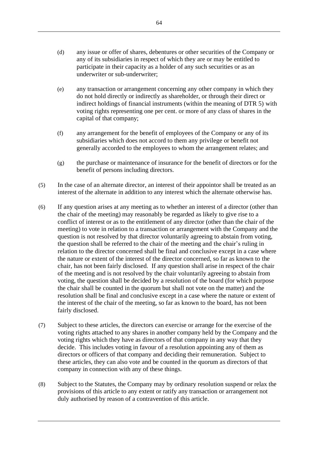- (d) any issue or offer of shares, debentures or other securities of the Company or any of its subsidiaries in respect of which they are or may be entitled to participate in their capacity as a holder of any such securities or as an underwriter or sub-underwriter;
- (e) any transaction or arrangement concerning any other company in which they do not hold directly or indirectly as shareholder, or through their direct or indirect holdings of financial instruments (within the meaning of DTR 5) with voting rights representing one per cent. or more of any class of shares in the capital of that company;
- (f) any arrangement for the benefit of employees of the Company or any of its subsidiaries which does not accord to them any privilege or benefit not generally accorded to the employees to whom the arrangement relates; and
- (g) the purchase or maintenance of insurance for the benefit of directors or for the benefit of persons including directors.
- (5) In the case of an alternate director, an interest of their appointor shall be treated as an interest of the alternate in addition to any interest which the alternate otherwise has.
- (6) If any question arises at any meeting as to whether an interest of a director (other than the chair of the meeting) may reasonably be regarded as likely to give rise to a conflict of interest or as to the entitlement of any director (other than the chair of the meeting) to vote in relation to a transaction or arrangement with the Company and the question is not resolved by that director voluntarily agreeing to abstain from voting, the question shall be referred to the chair of the meeting and the chair's ruling in relation to the director concerned shall be final and conclusive except in a case where the nature or extent of the interest of the director concerned, so far as known to the chair, has not been fairly disclosed. If any question shall arise in respect of the chair of the meeting and is not resolved by the chair voluntarily agreeing to abstain from voting, the question shall be decided by a resolution of the board (for which purpose the chair shall be counted in the quorum but shall not vote on the matter) and the resolution shall be final and conclusive except in a case where the nature or extent of the interest of the chair of the meeting, so far as known to the board, has not been fairly disclosed.
- (7) Subject to these articles, the directors can exercise or arrange for the exercise of the voting rights attached to any shares in another company held by the Company and the voting rights which they have as directors of that company in any way that they decide. This includes voting in favour of a resolution appointing any of them as directors or officers of that company and deciding their remuneration. Subject to these articles, they can also vote and be counted in the quorum as directors of that company in connection with any of these things.
- (8) Subject to the Statutes, the Company may by ordinary resolution suspend or relax the provisions of this article to any extent or ratify any transaction or arrangement not duly authorised by reason of a contravention of this article.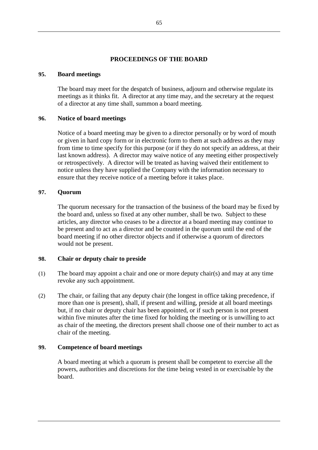# **PROCEEDINGS OF THE BOARD**

### **95. Board meetings**

The board may meet for the despatch of business, adjourn and otherwise regulate its meetings as it thinks fit. A director at any time may, and the secretary at the request of a director at any time shall, summon a board meeting.

## **96. Notice of board meetings**

Notice of a board meeting may be given to a director personally or by word of mouth or given in hard copy form or in electronic form to them at such address as they may from time to time specify for this purpose (or if they do not specify an address, at their last known address). A director may waive notice of any meeting either prospectively or retrospectively. A director will be treated as having waived their entitlement to notice unless they have supplied the Company with the information necessary to ensure that they receive notice of a meeting before it takes place.

## **97. Quorum**

The quorum necessary for the transaction of the business of the board may be fixed by the board and, unless so fixed at any other number, shall be two. Subject to these articles, any director who ceases to be a director at a board meeting may continue to be present and to act as a director and be counted in the quorum until the end of the board meeting if no other director objects and if otherwise a quorum of directors would not be present.

## **98. Chair or deputy chair to preside**

- (1) The board may appoint a chair and one or more deputy chair(s) and may at any time revoke any such appointment.
- (2) The chair, or failing that any deputy chair (the longest in office taking precedence, if more than one is present), shall, if present and willing, preside at all board meetings but, if no chair or deputy chair has been appointed, or if such person is not present within five minutes after the time fixed for holding the meeting or is unwilling to act as chair of the meeting, the directors present shall choose one of their number to act as chair of the meeting.

## **99. Competence of board meetings**

A board meeting at which a quorum is present shall be competent to exercise all the powers, authorities and discretions for the time being vested in or exercisable by the board.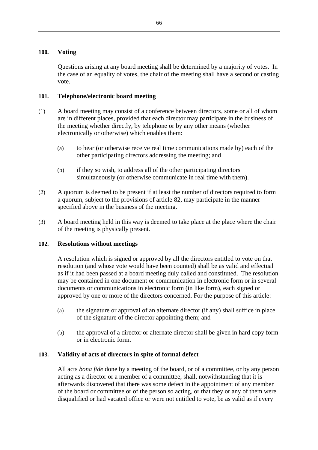## **100. Voting**

Questions arising at any board meeting shall be determined by a majority of votes. In the case of an equality of votes, the chair of the meeting shall have a second or casting vote.

# **101. Telephone/electronic board meeting**

- (1) A board meeting may consist of a conference between directors, some or all of whom are in different places, provided that each director may participate in the business of the meeting whether directly, by telephone or by any other means (whether electronically or otherwise) which enables them:
	- (a) to hear (or otherwise receive real time communications made by) each of the other participating directors addressing the meeting; and
	- (b) if they so wish, to address all of the other participating directors simultaneously (or otherwise communicate in real time with them).
- (2) A quorum is deemed to be present if at least the number of directors required to form a quorum, subject to the provisions of article [82,](#page-58-0) may participate in the manner specified above in the business of the meeting.
- (3) A board meeting held in this way is deemed to take place at the place where the chair of the meeting is physically present.

# **102. Resolutions without meetings**

A resolution which is signed or approved by all the directors entitled to vote on that resolution (and whose vote would have been counted) shall be as valid and effectual as if it had been passed at a board meeting duly called and constituted. The resolution may be contained in one document or communication in electronic form or in several documents or communications in electronic form (in like form), each signed or approved by one or more of the directors concerned. For the purpose of this article:

- (a) the signature or approval of an alternate director (if any) shall suffice in place of the signature of the director appointing them; and
- (b) the approval of a director or alternate director shall be given in hard copy form or in electronic form.

# **103. Validity of acts of directors in spite of formal defect**

All acts *bona fide* done by a meeting of the board, or of a committee, or by any person acting as a director or a member of a committee, shall, notwithstanding that it is afterwards discovered that there was some defect in the appointment of any member of the board or committee or of the person so acting, or that they or any of them were disqualified or had vacated office or were not entitled to vote, be as valid as if every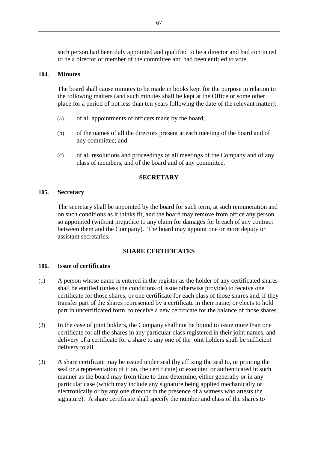such person had been duly appointed and qualified to be a director and had continued to be a director or member of the committee and had been entitled to vote.

### <span id="page-72-0"></span>**104. Minutes**

The board shall cause minutes to be made in books kept for the purpose in relation to the following matters (and such minutes shall be kept at the Office or some other place for a period of not less than ten years following the date of the relevant matter):

- (a) of all appointments of officers made by the board;
- (b) of the names of all the directors present at each meeting of the board and of any committee; and
- (c) of all resolutions and proceedings of all meetings of the Company and of any class of members, and of the board and of any committee.

### **SECRETARY**

#### **105. Secretary**

The secretary shall be appointed by the board for such term, at such remuneration and on such conditions as it thinks fit, and the board may remove from office any person so appointed (without prejudice to any claim for damages for breach of any contract between them and the Company). The board may appoint one or more deputy or assistant secretaries.

### **SHARE CERTIFICATES**

#### **106. Issue of certificates**

- (1) A person whose name is entered in the register as the holder of any certificated shares shall be entitled (unless the conditions of issue otherwise provide) to receive one certificate for those shares, or one certificate for each class of those shares and, if they transfer part of the shares represented by a certificate in their name, or elects to hold part in uncertificated form, to receive a new certificate for the balance of those shares.
- (2) In the case of joint holders, the Company shall not be bound to issue more than one certificate for all the shares in any particular class registered in their joint names, and delivery of a certificate for a share to any one of the joint holders shall be sufficient delivery to all.
- (3) A share certificate may be issued under seal (by affixing the seal to, or printing the seal or a representation of it on, the certificate) or executed or authenticated in such manner as the board may from time to time determine, either generally or in any particular case (which may include any signature being applied mechanically or electronically or by any one director in the presence of a witness who attests the signature). A share certificate shall specify the number and class of the shares to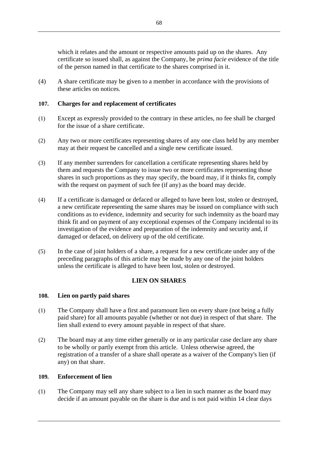which it relates and the amount or respective amounts paid up on the shares. Any certificate so issued shall, as against the Company, be *prima facie* evidence of the title of the person named in that certificate to the shares comprised in it.

(4) A share certificate may be given to a member in accordance with the provisions of these articles on notices.

## **107. Charges for and replacement of certificates**

- (1) Except as expressly provided to the contrary in these articles, no fee shall be charged for the issue of a share certificate.
- (2) Any two or more certificates representing shares of any one class held by any member may at their request be cancelled and a single new certificate issued.
- (3) If any member surrenders for cancellation a certificate representing shares held by them and requests the Company to issue two or more certificates representing those shares in such proportions as they may specify, the board may, if it thinks fit, comply with the request on payment of such fee (if any) as the board may decide.
- (4) If a certificate is damaged or defaced or alleged to have been lost, stolen or destroyed, a new certificate representing the same shares may be issued on compliance with such conditions as to evidence, indemnity and security for such indemnity as the board may think fit and on payment of any exceptional expenses of the Company incidental to its investigation of the evidence and preparation of the indemnity and security and, if damaged or defaced, on delivery up of the old certificate.
- (5) In the case of joint holders of a share, a request for a new certificate under any of the preceding paragraphs of this article may be made by any one of the joint holders unless the certificate is alleged to have been lost, stolen or destroyed.

# **LIEN ON SHARES**

### **108. Lien on partly paid shares**

- (1) The Company shall have a first and paramount lien on every share (not being a fully paid share) for all amounts payable (whether or not due) in respect of that share. The lien shall extend to every amount payable in respect of that share.
- (2) The board may at any time either generally or in any particular case declare any share to be wholly or partly exempt from this article. Unless otherwise agreed, the registration of a transfer of a share shall operate as a waiver of the Company's lien (if any) on that share.

#### **109. Enforcement of lien**

(1) The Company may sell any share subject to a lien in such manner as the board may decide if an amount payable on the share is due and is not paid within 14 clear days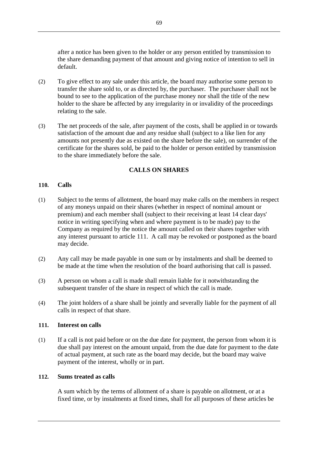after a notice has been given to the holder or any person entitled by transmission to the share demanding payment of that amount and giving notice of intention to sell in default.

- (2) To give effect to any sale under this article, the board may authorise some person to transfer the share sold to, or as directed by, the purchaser. The purchaser shall not be bound to see to the application of the purchase money nor shall the title of the new holder to the share be affected by any irregularity in or invalidity of the proceedings relating to the sale.
- (3) The net proceeds of the sale, after payment of the costs, shall be applied in or towards satisfaction of the amount due and any residue shall (subject to a like lien for any amounts not presently due as existed on the share before the sale), on surrender of the certificate for the shares sold, be paid to the holder or person entitled by transmission to the share immediately before the sale.

## **CALLS ON SHARES**

### **110. Calls**

- (1) Subject to the terms of allotment, the board may make calls on the members in respect of any moneys unpaid on their shares (whether in respect of nominal amount or premium) and each member shall (subject to their receiving at least 14 clear days' notice in writing specifying when and where payment is to be made) pay to the Company as required by the notice the amount called on their shares together with any interest pursuant to article [111.](#page-74-0) A call may be revoked or postponed as the board may decide.
- (2) Any call may be made payable in one sum or by instalments and shall be deemed to be made at the time when the resolution of the board authorising that call is passed.
- (3) A person on whom a call is made shall remain liable for it notwithstanding the subsequent transfer of the share in respect of which the call is made.
- (4) The joint holders of a share shall be jointly and severally liable for the payment of all calls in respect of that share.

#### <span id="page-74-0"></span>**111. Interest on calls**

(1) If a call is not paid before or on the due date for payment, the person from whom it is due shall pay interest on the amount unpaid, from the due date for payment to the date of actual payment, at such rate as the board may decide, but the board may waive payment of the interest, wholly or in part.

### **112. Sums treated as calls**

A sum which by the terms of allotment of a share is payable on allotment, or at a fixed time, or by instalments at fixed times, shall for all purposes of these articles be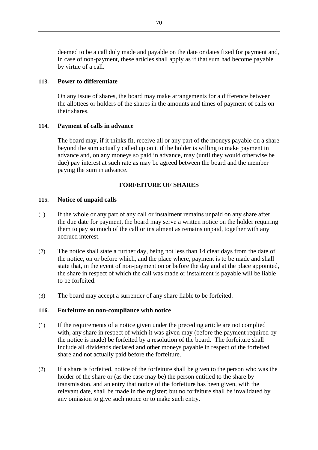deemed to be a call duly made and payable on the date or dates fixed for payment and, in case of non-payment, these articles shall apply as if that sum had become payable by virtue of a call.

### **113. Power to differentiate**

On any issue of shares, the board may make arrangements for a difference between the allottees or holders of the shares in the amounts and times of payment of calls on their shares.

### **114. Payment of calls in advance**

The board may, if it thinks fit, receive all or any part of the moneys payable on a share beyond the sum actually called up on it if the holder is willing to make payment in advance and, on any moneys so paid in advance, may (until they would otherwise be due) pay interest at such rate as may be agreed between the board and the member paying the sum in advance.

# **FORFEITURE OF SHARES**

## **115. Notice of unpaid calls**

- (1) If the whole or any part of any call or instalment remains unpaid on any share after the due date for payment, the board may serve a written notice on the holder requiring them to pay so much of the call or instalment as remains unpaid, together with any accrued interest.
- (2) The notice shall state a further day, being not less than 14 clear days from the date of the notice, on or before which, and the place where, payment is to be made and shall state that, in the event of non-payment on or before the day and at the place appointed, the share in respect of which the call was made or instalment is payable will be liable to be forfeited.
- (3) The board may accept a surrender of any share liable to be forfeited.

### **116. Forfeiture on non-compliance with notice**

- (1) If the requirements of a notice given under the preceding article are not complied with, any share in respect of which it was given may (before the payment required by the notice is made) be forfeited by a resolution of the board. The forfeiture shall include all dividends declared and other moneys payable in respect of the forfeited share and not actually paid before the forfeiture.
- (2) If a share is forfeited, notice of the forfeiture shall be given to the person who was the holder of the share or (as the case may be) the person entitled to the share by transmission, and an entry that notice of the forfeiture has been given, with the relevant date, shall be made in the register; but no forfeiture shall be invalidated by any omission to give such notice or to make such entry.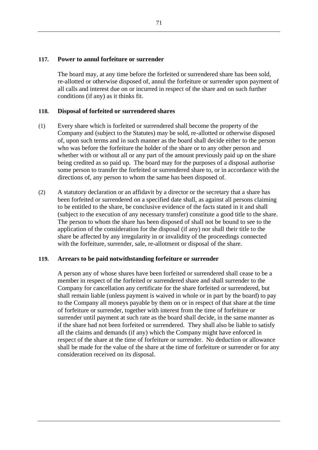### **117. Power to annul forfeiture or surrender**

The board may, at any time before the forfeited or surrendered share has been sold, re-allotted or otherwise disposed of, annul the forfeiture or surrender upon payment of all calls and interest due on or incurred in respect of the share and on such further conditions (if any) as it thinks fit.

### **118. Disposal of forfeited or surrendered shares**

- (1) Every share which is forfeited or surrendered shall become the property of the Company and (subject to the Statutes) may be sold, re-allotted or otherwise disposed of, upon such terms and in such manner as the board shall decide either to the person who was before the forfeiture the holder of the share or to any other person and whether with or without all or any part of the amount previously paid up on the share being credited as so paid up. The board may for the purposes of a disposal authorise some person to transfer the forfeited or surrendered share to, or in accordance with the directions of, any person to whom the same has been disposed of.
- (2) A statutory declaration or an affidavit by a director or the secretary that a share has been forfeited or surrendered on a specified date shall, as against all persons claiming to be entitled to the share, be conclusive evidence of the facts stated in it and shall (subject to the execution of any necessary transfer) constitute a good title to the share. The person to whom the share has been disposed of shall not be bound to see to the application of the consideration for the disposal (if any) nor shall their title to the share be affected by any irregularity in or invalidity of the proceedings connected with the forfeiture, surrender, sale, re-allotment or disposal of the share.

### **119. Arrears to be paid notwithstanding forfeiture or surrender**

A person any of whose shares have been forfeited or surrendered shall cease to be a member in respect of the forfeited or surrendered share and shall surrender to the Company for cancellation any certificate for the share forfeited or surrendered, but shall remain liable (unless payment is waived in whole or in part by the board) to pay to the Company all moneys payable by them on or in respect of that share at the time of forfeiture or surrender, together with interest from the time of forfeiture or surrender until payment at such rate as the board shall decide, in the same manner as if the share had not been forfeited or surrendered. They shall also be liable to satisfy all the claims and demands (if any) which the Company might have enforced in respect of the share at the time of forfeiture or surrender. No deduction or allowance shall be made for the value of the share at the time of forfeiture or surrender or for any consideration received on its disposal.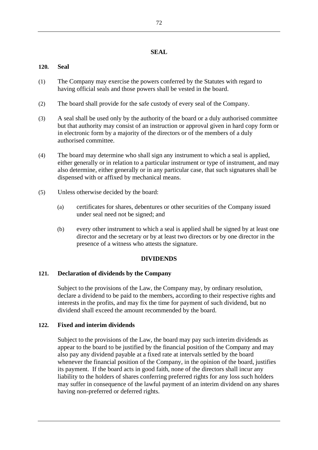### **SEAL**

# **120. Seal**

- (1) The Company may exercise the powers conferred by the Statutes with regard to having official seals and those powers shall be vested in the board.
- (2) The board shall provide for the safe custody of every seal of the Company.
- (3) A seal shall be used only by the authority of the board or a duly authorised committee but that authority may consist of an instruction or approval given in hard copy form or in electronic form by a majority of the directors or of the members of a duly authorised committee.
- (4) The board may determine who shall sign any instrument to which a seal is applied, either generally or in relation to a particular instrument or type of instrument, and may also determine, either generally or in any particular case, that such signatures shall be dispensed with or affixed by mechanical means.
- (5) Unless otherwise decided by the board:
	- (a) certificates for shares, debentures or other securities of the Company issued under seal need not be signed; and
	- (b) every other instrument to which a seal is applied shall be signed by at least one director and the secretary or by at least two directors or by one director in the presence of a witness who attests the signature.

### **DIVIDENDS**

### **121. Declaration of dividends by the Company**

Subject to the provisions of the Law, the Company may, by ordinary resolution, declare a dividend to be paid to the members, according to their respective rights and interests in the profits, and may fix the time for payment of such dividend, but no dividend shall exceed the amount recommended by the board.

### **122. Fixed and interim dividends**

Subject to the provisions of the Law, the board may pay such interim dividends as appear to the board to be justified by the financial position of the Company and may also pay any dividend payable at a fixed rate at intervals settled by the board whenever the financial position of the Company, in the opinion of the board, justifies its payment. If the board acts in good faith, none of the directors shall incur any liability to the holders of shares conferring preferred rights for any loss such holders may suffer in consequence of the lawful payment of an interim dividend on any shares having non-preferred or deferred rights.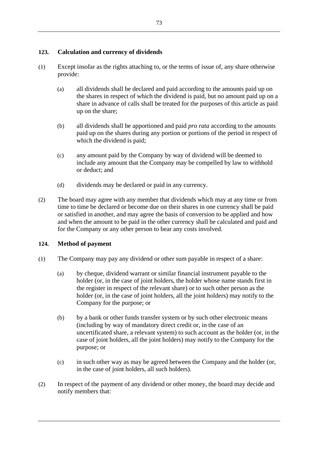# **123. Calculation and currency of dividends**

- (1) Except insofar as the rights attaching to, or the terms of issue of, any share otherwise provide:
	- (a) all dividends shall be declared and paid according to the amounts paid up on the shares in respect of which the dividend is paid, but no amount paid up on a share in advance of calls shall be treated for the purposes of this article as paid up on the share;
	- (b) all dividends shall be apportioned and paid *pro rata* according to the amounts paid up on the shares during any portion or portions of the period in respect of which the dividend is paid;
	- (c) any amount paid by the Company by way of dividend will be deemed to include any amount that the Company may be compelled by law to withhold or deduct; and
	- (d) dividends may be declared or paid in any currency.
- (2) The board may agree with any member that dividends which may at any time or from time to time be declared or become due on their shares in one currency shall be paid or satisfied in another, and may agree the basis of conversion to be applied and how and when the amount to be paid in the other currency shall be calculated and paid and for the Company or any other person to bear any costs involved.

# **124. Method of payment**

- (1) The Company may pay any dividend or other sum payable in respect of a share:
	- (a) by cheque, dividend warrant or similar financial instrument payable to the holder (or, in the case of joint holders, the holder whose name stands first in the register in respect of the relevant share) or to such other person as the holder (or, in the case of joint holders, all the joint holders) may notify to the Company for the purpose; or
	- (b) by a bank or other funds transfer system or by such other electronic means (including by way of mandatory direct credit or, in the case of an uncertificated share, a relevant system) to such account as the holder (or, in the case of joint holders, all the joint holders) may notify to the Company for the purpose; or
	- (c) in such other way as may be agreed between the Company and the holder (or, in the case of joint holders, all such holders).
- (2) In respect of the payment of any dividend or other money, the board may decide and notify members that: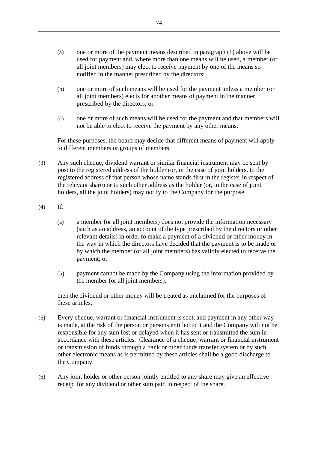- (a) one or more of the payment means described in paragraph (1) above will be used for payment and, where more than one means will be used, a member (or all joint members) may elect to receive payment by one of the means so notified in the manner prescribed by the directors;
- (b) one or more of such means will be used for the payment unless a member (or all joint members) elects for another means of payment in the manner prescribed by the directors; or
- (c) one or more of such means will be used for the payment and that members will not be able to elect to receive the payment by any other means.

For these purposes, the board may decide that different means of payment will apply to different members or groups of members.

- (3) Any such cheque, dividend warrant or similar financial instrument may be sent by post to the registered address of the holder (or, in the case of joint holders, to the registered address of that person whose name stands first in the register in respect of the relevant share) or to such other address as the holder (or, in the case of joint holders, all the joint holders) may notify to the Company for the purpose.
- (4) If:
	- (a) a member (or all joint members) does not provide the information necessary (such as an address, an account of the type prescribed by the directors or other relevant details) in order to make a payment of a dividend or other money in the way in which the directors have decided that the payment is to be made or by which the member (or all joint members) has validly elected to receive the payment; or
	- (b) payment cannot be made by the Company using the information provided by the member (or all joint members),

then the dividend or other money will be treated as unclaimed for the purposes of these articles.

- (5) Every cheque, warrant or financial instrument is sent, and payment in any other way is made, at the risk of the person or persons entitled to it and the Company will not be responsible for any sum lost or delayed when it has sent or transmitted the sum in accordance with these articles. Clearance of a cheque, warrant or financial instrument or transmission of funds through a bank or other funds transfer system or by such other electronic means as is permitted by these articles shall be a good discharge to the Company.
- (6) Any joint holder or other person jointly entitled to any share may give an effective receipt for any dividend or other sum paid in respect of the share.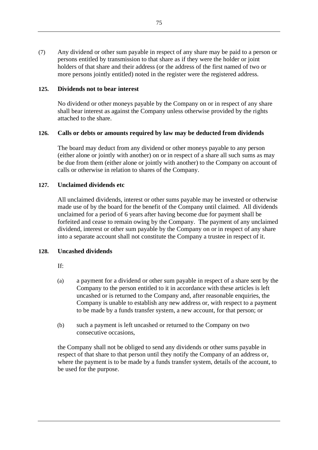(7) Any dividend or other sum payable in respect of any share may be paid to a person or persons entitled by transmission to that share as if they were the holder or joint holders of that share and their address (or the address of the first named of two or more persons jointly entitled) noted in the register were the registered address.

### **125. Dividends not to bear interest**

No dividend or other moneys payable by the Company on or in respect of any share shall bear interest as against the Company unless otherwise provided by the rights attached to the share.

## **126. Calls or debts or amounts required by law may be deducted from dividends**

The board may deduct from any dividend or other moneys payable to any person (either alone or jointly with another) on or in respect of a share all such sums as may be due from them (either alone or jointly with another) to the Company on account of calls or otherwise in relation to shares of the Company.

## **127. Unclaimed dividends etc**

All unclaimed dividends, interest or other sums payable may be invested or otherwise made use of by the board for the benefit of the Company until claimed. All dividends unclaimed for a period of 6 years after having become due for payment shall be forfeited and cease to remain owing by the Company. The payment of any unclaimed dividend, interest or other sum payable by the Company on or in respect of any share into a separate account shall not constitute the Company a trustee in respect of it.

### **128. Uncashed dividends**

- If:
- (a) a payment for a dividend or other sum payable in respect of a share sent by the Company to the person entitled to it in accordance with these articles is left uncashed or is returned to the Company and, after reasonable enquiries, the Company is unable to establish any new address or, with respect to a payment to be made by a funds transfer system, a new account, for that person; or
- (b) such a payment is left uncashed or returned to the Company on two consecutive occasions,

the Company shall not be obliged to send any dividends or other sums payable in respect of that share to that person until they notify the Company of an address or, where the payment is to be made by a funds transfer system, details of the account, to be used for the purpose.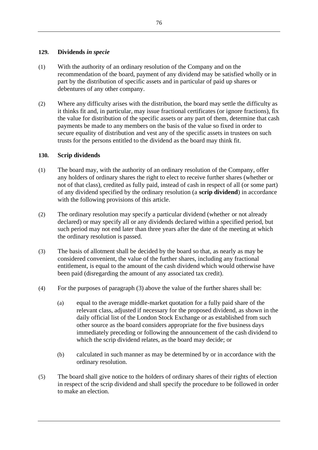### **129. Dividends** *in specie*

- (1) With the authority of an ordinary resolution of the Company and on the recommendation of the board, payment of any dividend may be satisfied wholly or in part by the distribution of specific assets and in particular of paid up shares or debentures of any other company.
- (2) Where any difficulty arises with the distribution, the board may settle the difficulty as it thinks fit and, in particular, may issue fractional certificates (or ignore fractions), fix the value for distribution of the specific assets or any part of them, determine that cash payments be made to any members on the basis of the value so fixed in order to secure equality of distribution and vest any of the specific assets in trustees on such trusts for the persons entitled to the dividend as the board may think fit.

# **130. Scrip dividends**

- (1) The board may, with the authority of an ordinary resolution of the Company, offer any holders of ordinary shares the right to elect to receive further shares (whether or not of that class), credited as fully paid, instead of cash in respect of all (or some part) of any dividend specified by the ordinary resolution (a **scrip dividend**) in accordance with the following provisions of this article.
- (2) The ordinary resolution may specify a particular dividend (whether or not already declared) or may specify all or any dividends declared within a specified period, but such period may not end later than three years after the date of the meeting at which the ordinary resolution is passed.
- (3) The basis of allotment shall be decided by the board so that, as nearly as may be considered convenient, the value of the further shares, including any fractional entitlement, is equal to the amount of the cash dividend which would otherwise have been paid (disregarding the amount of any associated tax credit).
- (4) For the purposes of paragraph (3) above the value of the further shares shall be:
	- (a) equal to the average middle-market quotation for a fully paid share of the relevant class, adjusted if necessary for the proposed dividend, as shown in the daily official list of the London Stock Exchange or as established from such other source as the board considers appropriate for the five business days immediately preceding or following the announcement of the cash dividend to which the scrip dividend relates, as the board may decide; or
	- (b) calculated in such manner as may be determined by or in accordance with the ordinary resolution.
- (5) The board shall give notice to the holders of ordinary shares of their rights of election in respect of the scrip dividend and shall specify the procedure to be followed in order to make an election.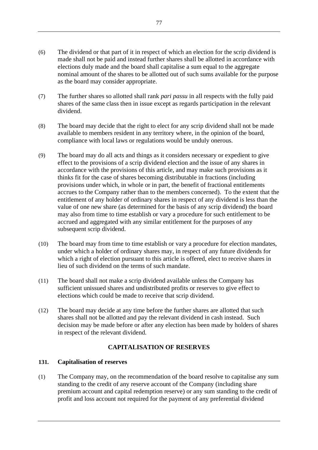- (6) The dividend or that part of it in respect of which an election for the scrip dividend is made shall not be paid and instead further shares shall be allotted in accordance with elections duly made and the board shall capitalise a sum equal to the aggregate nominal amount of the shares to be allotted out of such sums available for the purpose as the board may consider appropriate.
- (7) The further shares so allotted shall rank *pari passu* in all respects with the fully paid shares of the same class then in issue except as regards participation in the relevant dividend.
- (8) The board may decide that the right to elect for any scrip dividend shall not be made available to members resident in any territory where, in the opinion of the board, compliance with local laws or regulations would be unduly onerous.
- (9) The board may do all acts and things as it considers necessary or expedient to give effect to the provisions of a scrip dividend election and the issue of any shares in accordance with the provisions of this article, and may make such provisions as it thinks fit for the case of shares becoming distributable in fractions (including provisions under which, in whole or in part, the benefit of fractional entitlements accrues to the Company rather than to the members concerned). To the extent that the entitlement of any holder of ordinary shares in respect of any dividend is less than the value of one new share (as determined for the basis of any scrip dividend) the board may also from time to time establish or vary a procedure for such entitlement to be accrued and aggregated with any similar entitlement for the purposes of any subsequent scrip dividend.
- (10) The board may from time to time establish or vary a procedure for election mandates, under which a holder of ordinary shares may, in respect of any future dividends for which a right of election pursuant to this article is offered, elect to receive shares in lieu of such dividend on the terms of such mandate.
- (11) The board shall not make a scrip dividend available unless the Company has sufficient unissued shares and undistributed profits or reserves to give effect to elections which could be made to receive that scrip dividend.
- (12) The board may decide at any time before the further shares are allotted that such shares shall not be allotted and pay the relevant dividend in cash instead. Such decision may be made before or after any election has been made by holders of shares in respect of the relevant dividend.

# **CAPITALISATION OF RESERVES**

### **131. Capitalisation of reserves**

(1) The Company may, on the recommendation of the board resolve to capitalise any sum standing to the credit of any reserve account of the Company (including share premium account and capital redemption reserve) or any sum standing to the credit of profit and loss account not required for the payment of any preferential dividend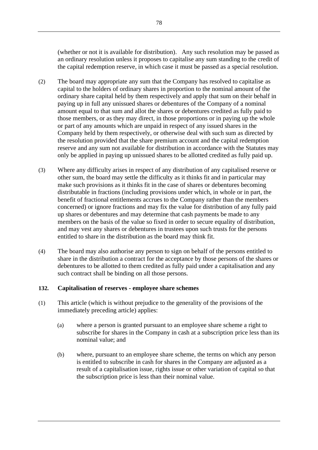(whether or not it is available for distribution). Any such resolution may be passed as an ordinary resolution unless it proposes to capitalise any sum standing to the credit of the capital redemption reserve, in which case it must be passed as a special resolution.

- (2) The board may appropriate any sum that the Company has resolved to capitalise as capital to the holders of ordinary shares in proportion to the nominal amount of the ordinary share capital held by them respectively and apply that sum on their behalf in paying up in full any unissued shares or debentures of the Company of a nominal amount equal to that sum and allot the shares or debentures credited as fully paid to those members, or as they may direct, in those proportions or in paying up the whole or part of any amounts which are unpaid in respect of any issued shares in the Company held by them respectively, or otherwise deal with such sum as directed by the resolution provided that the share premium account and the capital redemption reserve and any sum not available for distribution in accordance with the Statutes may only be applied in paying up unissued shares to be allotted credited as fully paid up.
- (3) Where any difficulty arises in respect of any distribution of any capitalised reserve or other sum, the board may settle the difficulty as it thinks fit and in particular may make such provisions as it thinks fit in the case of shares or debentures becoming distributable in fractions (including provisions under which, in whole or in part, the benefit of fractional entitlements accrues to the Company rather than the members concerned) or ignore fractions and may fix the value for distribution of any fully paid up shares or debentures and may determine that cash payments be made to any members on the basis of the value so fixed in order to secure equality of distribution, and may vest any shares or debentures in trustees upon such trusts for the persons entitled to share in the distribution as the board may think fit.
- (4) The board may also authorise any person to sign on behalf of the persons entitled to share in the distribution a contract for the acceptance by those persons of the shares or debentures to be allotted to them credited as fully paid under a capitalisation and any such contract shall be binding on all those persons.

### **132. Capitalisation of reserves - employee share schemes**

- (1) This article (which is without prejudice to the generality of the provisions of the immediately preceding article) applies:
	- (a) where a person is granted pursuant to an employee share scheme a right to subscribe for shares in the Company in cash at a subscription price less than its nominal value; and
	- (b) where, pursuant to an employee share scheme, the terms on which any person is entitled to subscribe in cash for shares in the Company are adjusted as a result of a capitalisation issue, rights issue or other variation of capital so that the subscription price is less than their nominal value.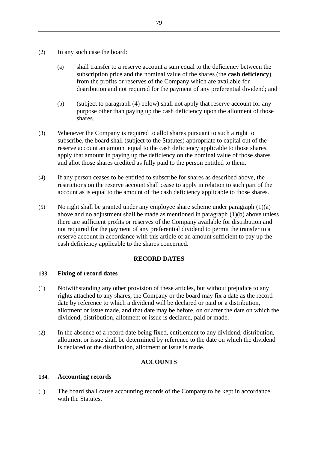- (2) In any such case the board:
	- (a) shall transfer to a reserve account a sum equal to the deficiency between the subscription price and the nominal value of the shares (the **cash deficiency**) from the profits or reserves of the Company which are available for distribution and not required for the payment of any preferential dividend; and
	- (b) (subject to paragraph (4) below) shall not apply that reserve account for any purpose other than paying up the cash deficiency upon the allotment of those shares.
- (3) Whenever the Company is required to allot shares pursuant to such a right to subscribe, the board shall (subject to the Statutes) appropriate to capital out of the reserve account an amount equal to the cash deficiency applicable to those shares, apply that amount in paying up the deficiency on the nominal value of those shares and allot those shares credited as fully paid to the person entitled to them.
- (4) If any person ceases to be entitled to subscribe for shares as described above, the restrictions on the reserve account shall cease to apply in relation to such part of the account as is equal to the amount of the cash deficiency applicable to those shares.
- (5) No right shall be granted under any employee share scheme under paragraph (1)(a) above and no adjustment shall be made as mentioned in paragraph (1)(b) above unless there are sufficient profits or reserves of the Company available for distribution and not required for the payment of any preferential dividend to permit the transfer to a reserve account in accordance with this article of an amount sufficient to pay up the cash deficiency applicable to the shares concerned.

### **RECORD DATES**

# **133. Fixing of record dates**

- (1) Notwithstanding any other provision of these articles, but without prejudice to any rights attached to any shares, the Company or the board may fix a date as the record date by reference to which a dividend will be declared or paid or a distribution, allotment or issue made, and that date may be before, on or after the date on which the dividend, distribution, allotment or issue is declared, paid or made.
- (2) In the absence of a record date being fixed, entitlement to any dividend, distribution, allotment or issue shall be determined by reference to the date on which the dividend is declared or the distribution, allotment or issue is made.

# **ACCOUNTS**

### **134. Accounting records**

(1) The board shall cause accounting records of the Company to be kept in accordance with the Statutes.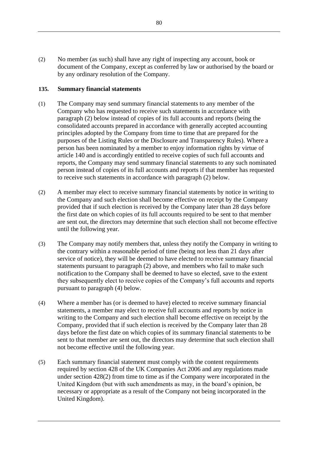(2) No member (as such) shall have any right of inspecting any account, book or document of the Company, except as conferred by law or authorised by the board or by any ordinary resolution of the Company.

### **135. Summary financial statements**

- (1) The Company may send summary financial statements to any member of the Company who has requested to receive such statements in accordance with paragraph (2) below instead of copies of its full accounts and reports (being the consolidated accounts prepared in accordance with generally accepted accounting principles adopted by the Company from time to time that are prepared for the purposes of the Listing Rules or the Disclosure and Transparency Rules). Where a person has been nominated by a member to enjoy information rights by virtue of article 140 and is accordingly entitled to receive copies of such full accounts and reports, the Company may send summary financial statements to any such nominated person instead of copies of its full accounts and reports if that member has requested to receive such statements in accordance with paragraph (2) below.
- (2) A member may elect to receive summary financial statements by notice in writing to the Company and such election shall become effective on receipt by the Company provided that if such election is received by the Company later than 28 days before the first date on which copies of its full accounts required to be sent to that member are sent out, the directors may determine that such election shall not become effective until the following year.
- (3) The Company may notify members that, unless they notify the Company in writing to the contrary within a reasonable period of time (being not less than 21 days after service of notice), they will be deemed to have elected to receive summary financial statements pursuant to paragraph (2) above, and members who fail to make such notification to the Company shall be deemed to have so elected, save to the extent they subsequently elect to receive copies of the Company's full accounts and reports pursuant to paragraph (4) below.
- (4) Where a member has (or is deemed to have) elected to receive summary financial statements, a member may elect to receive full accounts and reports by notice in writing to the Company and such election shall become effective on receipt by the Company, provided that if such election is received by the Company later than 28 days before the first date on which copies of its summary financial statements to be sent to that member are sent out, the directors may determine that such election shall not become effective until the following year.
- (5) Each summary financial statement must comply with the content requirements required by section 428 of the UK Companies Act 2006 and any regulations made under section 428(2) from time to time as if the Company were incorporated in the United Kingdom (but with such amendments as may, in the board's opinion, be necessary or appropriate as a result of the Company not being incorporated in the United Kingdom).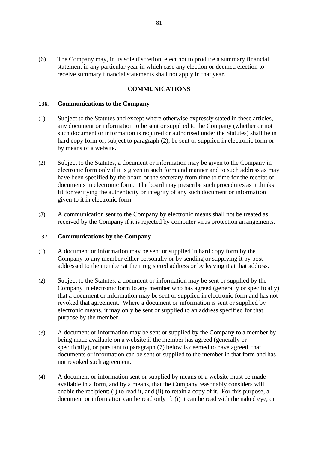(6) The Company may, in its sole discretion, elect not to produce a summary financial statement in any particular year in which case any election or deemed election to receive summary financial statements shall not apply in that year.

### **COMMUNICATIONS**

#### <span id="page-86-0"></span>**136. Communications to the Company**

- (1) Subject to the Statutes and except where otherwise expressly stated in these articles, any document or information to be sent or supplied to the Company (whether or not such document or information is required or authorised under the Statutes) shall be in hard copy form or, subject to paragraph (2), be sent or supplied in electronic form or by means of a website.
- (2) Subject to the Statutes, a document or information may be given to the Company in electronic form only if it is given in such form and manner and to such address as may have been specified by the board or the secretary from time to time for the receipt of documents in electronic form. The board may prescribe such procedures as it thinks fit for verifying the authenticity or integrity of any such document or information given to it in electronic form.
- (3) A communication sent to the Company by electronic means shall not be treated as received by the Company if it is rejected by computer virus protection arrangements.

#### **137. Communications by the Company**

- (1) A document or information may be sent or supplied in hard copy form by the Company to any member either personally or by sending or supplying it by post addressed to the member at their registered address or by leaving it at that address.
- (2) Subject to the Statutes, a document or information may be sent or supplied by the Company in electronic form to any member who has agreed (generally or specifically) that a document or information may be sent or supplied in electronic form and has not revoked that agreement. Where a document or information is sent or supplied by electronic means, it may only be sent or supplied to an address specified for that purpose by the member.
- (3) A document or information may be sent or supplied by the Company to a member by being made available on a website if the member has agreed (generally or specifically), or pursuant to paragraph (7) below is deemed to have agreed, that documents or information can be sent or supplied to the member in that form and has not revoked such agreement.
- (4) A document or information sent or supplied by means of a website must be made available in a form, and by a means, that the Company reasonably considers will enable the recipient: (i) to read it, and (ii) to retain a copy of it. For this purpose, a document or information can be read only if: (i) it can be read with the naked eye, or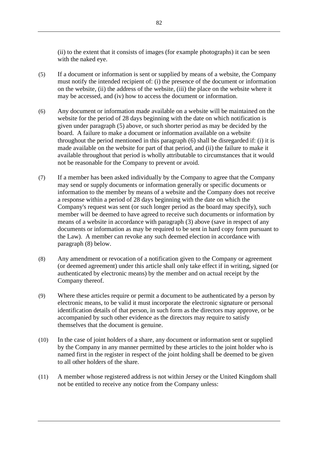(ii) to the extent that it consists of images (for example photographs) it can be seen with the naked eye.

- (5) If a document or information is sent or supplied by means of a website, the Company must notify the intended recipient of: (i) the presence of the document or information on the website, (ii) the address of the website, (iii) the place on the website where it may be accessed, and (iv) how to access the document or information.
- (6) Any document or information made available on a website will be maintained on the website for the period of 28 days beginning with the date on which notification is given under paragraph (5) above, or such shorter period as may be decided by the board. A failure to make a document or information available on a website throughout the period mentioned in this paragraph (6) shall be disregarded if: (i) it is made available on the website for part of that period, and (ii) the failure to make it available throughout that period is wholly attributable to circumstances that it would not be reasonable for the Company to prevent or avoid.
- (7) If a member has been asked individually by the Company to agree that the Company may send or supply documents or information generally or specific documents or information to the member by means of a website and the Company does not receive a response within a period of 28 days beginning with the date on which the Company's request was sent (or such longer period as the board may specify), such member will be deemed to have agreed to receive such documents or information by means of a website in accordance with paragraph (3) above (save in respect of any documents or information as may be required to be sent in hard copy form pursuant to the Law). A member can revoke any such deemed election in accordance with paragraph (8) below.
- (8) Any amendment or revocation of a notification given to the Company or agreement (or deemed agreement) under this article shall only take effect if in writing, signed (or authenticated by electronic means) by the member and on actual receipt by the Company thereof.
- (9) Where these articles require or permit a document to be authenticated by a person by electronic means, to be valid it must incorporate the electronic signature or personal identification details of that person, in such form as the directors may approve, or be accompanied by such other evidence as the directors may require to satisfy themselves that the document is genuine.
- (10) In the case of joint holders of a share, any document or information sent or supplied by the Company in any manner permitted by these articles to the joint holder who is named first in the register in respect of the joint holding shall be deemed to be given to all other holders of the share.
- (11) A member whose registered address is not within Jersey or the United Kingdom shall not be entitled to receive any notice from the Company unless: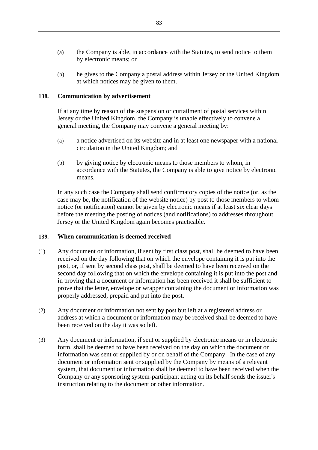- (a) the Company is able, in accordance with the Statutes, to send notice to them by electronic means; or
- (b) he gives to the Company a postal address within Jersey or the United Kingdom at which notices may be given to them.

### <span id="page-88-0"></span>**138. Communication by advertisement**

If at any time by reason of the suspension or curtailment of postal services within Jersey or the United Kingdom, the Company is unable effectively to convene a general meeting, the Company may convene a general meeting by:

- (a) a notice advertised on its website and in at least one newspaper with a national circulation in the United Kingdom; and
- (b) by giving notice by electronic means to those members to whom, in accordance with the Statutes, the Company is able to give notice by electronic means.

In any such case the Company shall send confirmatory copies of the notice (or, as the case may be, the notification of the website notice) by post to those members to whom notice (or notification) cannot be given by electronic means if at least six clear days before the meeting the posting of notices (and notifications) to addresses throughout Jersey or the United Kingdom again becomes practicable.

### **139. When communication is deemed received**

- (1) Any document or information, if sent by first class post, shall be deemed to have been received on the day following that on which the envelope containing it is put into the post, or, if sent by second class post, shall be deemed to have been received on the second day following that on which the envelope containing it is put into the post and in proving that a document or information has been received it shall be sufficient to prove that the letter, envelope or wrapper containing the document or information was properly addressed, prepaid and put into the post.
- (2) Any document or information not sent by post but left at a registered address or address at which a document or information may be received shall be deemed to have been received on the day it was so left.
- (3) Any document or information, if sent or supplied by electronic means or in electronic form, shall be deemed to have been received on the day on which the document or information was sent or supplied by or on behalf of the Company. In the case of any document or information sent or supplied by the Company by means of a relevant system, that document or information shall be deemed to have been received when the Company or any sponsoring system-participant acting on its behalf sends the issuer's instruction relating to the document or other information.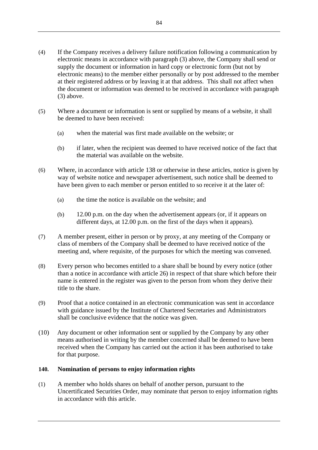- (4) If the Company receives a delivery failure notification following a communication by electronic means in accordance with paragraph (3) above, the Company shall send or supply the document or information in hard copy or electronic form (but not by electronic means) to the member either personally or by post addressed to the member at their registered address or by leaving it at that address. This shall not affect when the document or information was deemed to be received in accordance with paragraph (3) above.
- (5) Where a document or information is sent or supplied by means of a website, it shall be deemed to have been received:
	- (a) when the material was first made available on the website; or
	- (b) if later, when the recipient was deemed to have received notice of the fact that the material was available on the website.
- (6) Where, in accordance with article [138](#page-88-0) or otherwise in these articles, notice is given by way of website notice and newspaper advertisement, such notice shall be deemed to have been given to each member or person entitled to so receive it at the later of:
	- (a) the time the notice is available on the website; and
	- (b) 12.00 p.m. on the day when the advertisement appears (or, if it appears on different days, at 12.00 p.m. on the first of the days when it appears).
- (7) A member present, either in person or by proxy, at any meeting of the Company or class of members of the Company shall be deemed to have received notice of the meeting and, where requisite, of the purposes for which the meeting was convened.
- (8) Every person who becomes entitled to a share shall be bound by every notice (other than a notice in accordance with article 26) in respect of that share which before their name is entered in the register was given to the person from whom they derive their title to the share.
- (9) Proof that a notice contained in an electronic communication was sent in accordance with guidance issued by the Institute of Chartered Secretaries and Administrators shall be conclusive evidence that the notice was given.
- (10) Any document or other information sent or supplied by the Company by any other means authorised in writing by the member concerned shall be deemed to have been received when the Company has carried out the action it has been authorised to take for that purpose.

# **140. Nomination of persons to enjoy information rights**

(1) A member who holds shares on behalf of another person, pursuant to the Uncertificated Securities Order, may nominate that person to enjoy information rights in accordance with this article.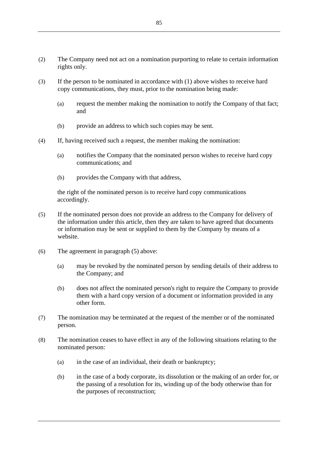- (2) The Company need not act on a nomination purporting to relate to certain information rights only.
- (3) If the person to be nominated in accordance with (1) above wishes to receive hard copy communications, they must, prior to the nomination being made:
	- (a) request the member making the nomination to notify the Company of that fact; and
	- (b) provide an address to which such copies may be sent.
- (4) If, having received such a request, the member making the nomination:
	- (a) notifies the Company that the nominated person wishes to receive hard copy communications; and
	- (b) provides the Company with that address,

the right of the nominated person is to receive hard copy communications accordingly.

- (5) If the nominated person does not provide an address to the Company for delivery of the information under this article, then they are taken to have agreed that documents or information may be sent or supplied to them by the Company by means of a website.
- (6) The agreement in paragraph (5) above:
	- (a) may be revoked by the nominated person by sending details of their address to the Company; and
	- (b) does not affect the nominated person's right to require the Company to provide them with a hard copy version of a document or information provided in any other form.
- (7) The nomination may be terminated at the request of the member or of the nominated person.
- (8) The nomination ceases to have effect in any of the following situations relating to the nominated person:
	- (a) in the case of an individual, their death or bankruptcy;
	- (b) in the case of a body corporate, its dissolution or the making of an order for, or the passing of a resolution for its, winding up of the body otherwise than for the purposes of reconstruction;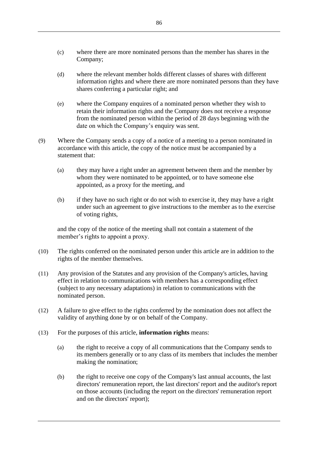- (c) where there are more nominated persons than the member has shares in the Company;
- (d) where the relevant member holds different classes of shares with different information rights and where there are more nominated persons than they have shares conferring a particular right; and
- (e) where the Company enquires of a nominated person whether they wish to retain their information rights and the Company does not receive a response from the nominated person within the period of 28 days beginning with the date on which the Company's enquiry was sent.
- (9) Where the Company sends a copy of a notice of a meeting to a person nominated in accordance with this article, the copy of the notice must be accompanied by a statement that:
	- (a) they may have a right under an agreement between them and the member by whom they were nominated to be appointed, or to have someone else appointed, as a proxy for the meeting, and
	- (b) if they have no such right or do not wish to exercise it, they may have a right under such an agreement to give instructions to the member as to the exercise of voting rights,

and the copy of the notice of the meeting shall not contain a statement of the member's rights to appoint a proxy.

- (10) The rights conferred on the nominated person under this article are in addition to the rights of the member themselves.
- (11) Any provision of the Statutes and any provision of the Company's articles, having effect in relation to communications with members has a corresponding effect (subject to any necessary adaptations) in relation to communications with the nominated person.
- (12) A failure to give effect to the rights conferred by the nomination does not affect the validity of anything done by or on behalf of the Company.
- (13) For the purposes of this article, **information rights** means:
	- (a) the right to receive a copy of all communications that the Company sends to its members generally or to any class of its members that includes the member making the nomination;
	- (b) the right to receive one copy of the Company's last annual accounts, the last directors' remuneration report, the last directors' report and the auditor's report on those accounts (including the report on the directors' remuneration report and on the directors' report);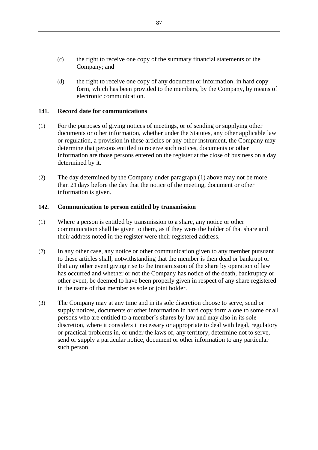- (c) the right to receive one copy of the summary financial statements of the Company; and
- (d) the right to receive one copy of any document or information, in hard copy form, which has been provided to the members, by the Company, by means of electronic communication.

### **141. Record date for communications**

- (1) For the purposes of giving notices of meetings, or of sending or supplying other documents or other information, whether under the Statutes, any other applicable law or regulation, a provision in these articles or any other instrument, the Company may determine that persons entitled to receive such notices, documents or other information are those persons entered on the register at the close of business on a day determined by it.
- (2) The day determined by the Company under paragraph (1) above may not be more than 21 days before the day that the notice of the meeting, document or other information is given.

#### **142. Communication to person entitled by transmission**

- (1) Where a person is entitled by transmission to a share, any notice or other communication shall be given to them, as if they were the holder of that share and their address noted in the register were their registered address.
- (2) In any other case, any notice or other communication given to any member pursuant to these articles shall, notwithstanding that the member is then dead or bankrupt or that any other event giving rise to the transmission of the share by operation of law has occurred and whether or not the Company has notice of the death, bankruptcy or other event, be deemed to have been properly given in respect of any share registered in the name of that member as sole or joint holder.
- (3) The Company may at any time and in its sole discretion choose to serve, send or supply notices, documents or other information in hard copy form alone to some or all persons who are entitled to a member's shares by law and may also in its sole discretion, where it considers it necessary or appropriate to deal with legal, regulatory or practical problems in, or under the laws of, any territory, determine not to serve, send or supply a particular notice, document or other information to any particular such person.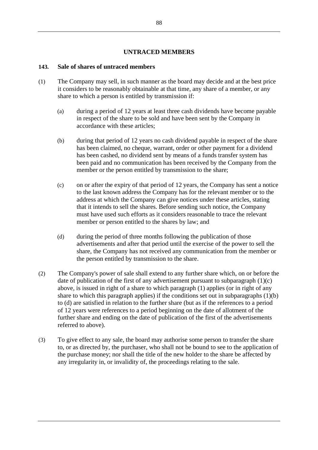### **UNTRACED MEMBERS**

### **143. Sale of shares of untraced members**

- (1) The Company may sell, in such manner as the board may decide and at the best price it considers to be reasonably obtainable at that time, any share of a member, or any share to which a person is entitled by transmission if:
	- (a) during a period of 12 years at least three cash dividends have become payable in respect of the share to be sold and have been sent by the Company in accordance with these articles;
	- (b) during that period of 12 years no cash dividend payable in respect of the share has been claimed, no cheque, warrant, order or other payment for a dividend has been cashed, no dividend sent by means of a funds transfer system has been paid and no communication has been received by the Company from the member or the person entitled by transmission to the share;
	- (c) on or after the expiry of that period of 12 years, the Company has sent a notice to the last known address the Company has for the relevant member or to the address at which the Company can give notices under these articles, stating that it intends to sell the shares. Before sending such notice, the Company must have used such efforts as it considers reasonable to trace the relevant member or person entitled to the shares by law; and
	- (d) during the period of three months following the publication of those advertisements and after that period until the exercise of the power to sell the share, the Company has not received any communication from the member or the person entitled by transmission to the share.
- (2) The Company's power of sale shall extend to any further share which, on or before the date of publication of the first of any advertisement pursuant to subparagraph  $(1)(c)$ above, is issued in right of a share to which paragraph (1) applies (or in right of any share to which this paragraph applies) if the conditions set out in subparagraphs  $(1)(b)$ to (d) are satisfied in relation to the further share (but as if the references to a period of 12 years were references to a period beginning on the date of allotment of the further share and ending on the date of publication of the first of the advertisements referred to above).
- (3) To give effect to any sale, the board may authorise some person to transfer the share to, or as directed by, the purchaser, who shall not be bound to see to the application of the purchase money; nor shall the title of the new holder to the share be affected by any irregularity in, or invalidity of, the proceedings relating to the sale.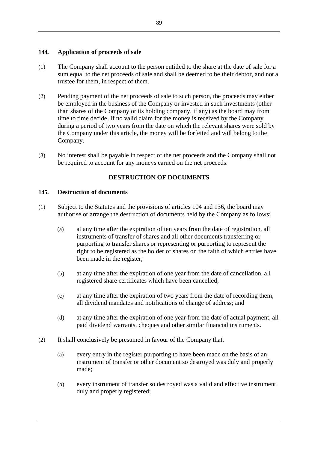# **144. Application of proceeds of sale**

- (1) The Company shall account to the person entitled to the share at the date of sale for a sum equal to the net proceeds of sale and shall be deemed to be their debtor, and not a trustee for them, in respect of them.
- (2) Pending payment of the net proceeds of sale to such person, the proceeds may either be employed in the business of the Company or invested in such investments (other than shares of the Company or its holding company, if any) as the board may from time to time decide. If no valid claim for the money is received by the Company during a period of two years from the date on which the relevant shares were sold by the Company under this article, the money will be forfeited and will belong to the Company.
- (3) No interest shall be payable in respect of the net proceeds and the Company shall not be required to account for any moneys earned on the net proceeds.

## **DESTRUCTION OF DOCUMENTS**

### **145. Destruction of documents**

- (1) Subject to the Statutes and the provisions of articles [104](#page-72-0) and [136,](#page-86-0) the board may authorise or arrange the destruction of documents held by the Company as follows:
	- (a) at any time after the expiration of ten years from the date of registration, all instruments of transfer of shares and all other documents transferring or purporting to transfer shares or representing or purporting to represent the right to be registered as the holder of shares on the faith of which entries have been made in the register;
	- (b) at any time after the expiration of one year from the date of cancellation, all registered share certificates which have been cancelled;
	- (c) at any time after the expiration of two years from the date of recording them, all dividend mandates and notifications of change of address; and
	- (d) at any time after the expiration of one year from the date of actual payment, all paid dividend warrants, cheques and other similar financial instruments.
- (2) It shall conclusively be presumed in favour of the Company that:
	- (a) every entry in the register purporting to have been made on the basis of an instrument of transfer or other document so destroyed was duly and properly made;
	- (b) every instrument of transfer so destroyed was a valid and effective instrument duly and properly registered;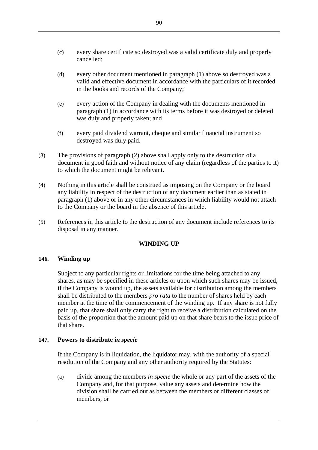- (c) every share certificate so destroyed was a valid certificate duly and properly cancelled;
- (d) every other document mentioned in paragraph (1) above so destroyed was a valid and effective document in accordance with the particulars of it recorded in the books and records of the Company;
- (e) every action of the Company in dealing with the documents mentioned in paragraph (1) in accordance with its terms before it was destroyed or deleted was duly and properly taken; and
- (f) every paid dividend warrant, cheque and similar financial instrument so destroyed was duly paid.
- (3) The provisions of paragraph (2) above shall apply only to the destruction of a document in good faith and without notice of any claim (regardless of the parties to it) to which the document might be relevant.
- (4) Nothing in this article shall be construed as imposing on the Company or the board any liability in respect of the destruction of any document earlier than as stated in paragraph (1) above or in any other circumstances in which liability would not attach to the Company or the board in the absence of this article.
- (5) References in this article to the destruction of any document include references to its disposal in any manner.

# **WINDING UP**

### **146. Winding up**

Subject to any particular rights or limitations for the time being attached to any shares, as may be specified in these articles or upon which such shares may be issued, if the Company is wound up, the assets available for distribution among the members shall be distributed to the members *pro rata* to the number of shares held by each member at the time of the commencement of the winding up. If any share is not fully paid up, that share shall only carry the right to receive a distribution calculated on the basis of the proportion that the amount paid up on that share bears to the issue price of that share.

### **147. Powers to distribute** *in specie*

If the Company is in liquidation, the liquidator may, with the authority of a special resolution of the Company and any other authority required by the Statutes:

(a) divide among the members *in specie* the whole or any part of the assets of the Company and, for that purpose, value any assets and determine how the division shall be carried out as between the members or different classes of members; or